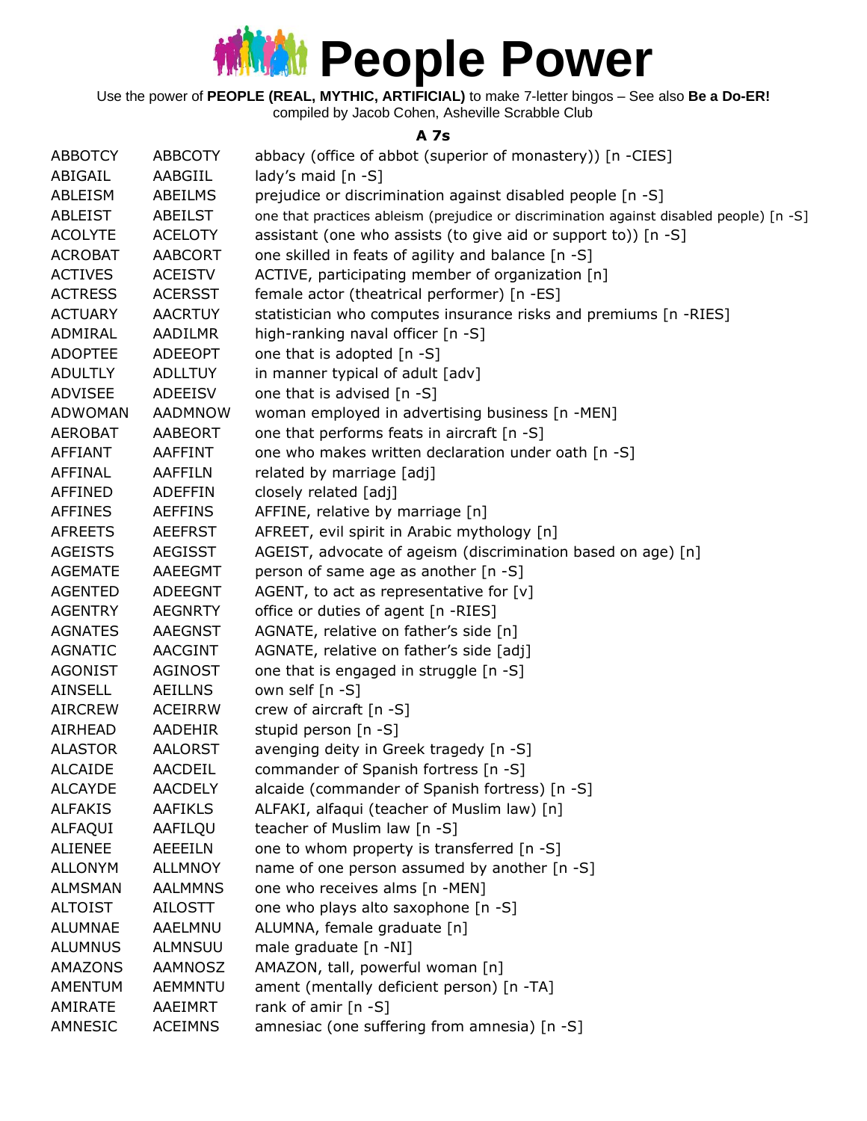

Use the power of **PEOPLE (REAL, MYTHIC, ARTIFICIAL)** to make 7-letter bingos – See also **Be a Do-ER!** compiled by Jacob Cohen, Asheville Scrabble Club

#### **A 7s**

| <b>ABBOTCY</b> | <b>ABBCOTY</b> | abbacy (office of abbot (superior of monastery)) [n -CIES]                              |
|----------------|----------------|-----------------------------------------------------------------------------------------|
| ABIGAIL        | AABGIIL        | lady's maid $[n - S]$                                                                   |
| ABLEISM        | ABEILMS        | prejudice or discrimination against disabled people [n -S]                              |
| ABLEIST        | ABEILST        | one that practices ableism (prejudice or discrimination against disabled people) [n -S] |
| <b>ACOLYTE</b> | <b>ACELOTY</b> | assistant (one who assists (to give aid or support to)) [n -S]                          |
| <b>ACROBAT</b> | <b>AABCORT</b> | one skilled in feats of agility and balance [n -S]                                      |
| <b>ACTIVES</b> | <b>ACEISTV</b> | ACTIVE, participating member of organization [n]                                        |
| <b>ACTRESS</b> | <b>ACERSST</b> | female actor (theatrical performer) [n -ES]                                             |
| <b>ACTUARY</b> | <b>AACRTUY</b> | statistician who computes insurance risks and premiums [n -RIES]                        |
| ADMIRAL        | AADILMR        | high-ranking naval officer [n -S]                                                       |
| <b>ADOPTEE</b> | <b>ADEEOPT</b> | one that is adopted [n -S]                                                              |
| <b>ADULTLY</b> | <b>ADLLTUY</b> | in manner typical of adult [adv]                                                        |
| <b>ADVISEE</b> | <b>ADEEISV</b> | one that is advised [n -S]                                                              |
| <b>ADWOMAN</b> | AADMNOW        | woman employed in advertising business [n -MEN]                                         |
| <b>AEROBAT</b> | AABEORT        | one that performs feats in aircraft [n -S]                                              |
| AFFIANT        | AAFFINT        | one who makes written declaration under oath [n -S]                                     |
| <b>AFFINAL</b> | AAFFILN        | related by marriage [adj]                                                               |
| AFFINED        | ADEFFIN        | closely related [adj]                                                                   |
| <b>AFFINES</b> | <b>AEFFINS</b> | AFFINE, relative by marriage [n]                                                        |
| <b>AFREETS</b> | <b>AEEFRST</b> | AFREET, evil spirit in Arabic mythology [n]                                             |
| <b>AGEISTS</b> | <b>AEGISST</b> | AGEIST, advocate of ageism (discrimination based on age) [n]                            |
| <b>AGEMATE</b> | AAEEGMT        | person of same age as another [n -S]                                                    |
| <b>AGENTED</b> | <b>ADEEGNT</b> | AGENT, to act as representative for $[v]$                                               |
| <b>AGENTRY</b> | <b>AEGNRTY</b> | office or duties of agent [n -RIES]                                                     |
| <b>AGNATES</b> | AAEGNST        | AGNATE, relative on father's side [n]                                                   |
| <b>AGNATIC</b> | <b>AACGINT</b> | AGNATE, relative on father's side [adj]                                                 |
| <b>AGONIST</b> | <b>AGINOST</b> | one that is engaged in struggle [n -S]                                                  |
| <b>AINSELL</b> | AEILLNS        | own self [n -S]                                                                         |
| <b>AIRCREW</b> | <b>ACEIRRW</b> | crew of aircraft [n -S]                                                                 |
| AIRHEAD        | AADEHIR        | stupid person [n -S]                                                                    |
| <b>ALASTOR</b> | <b>AALORST</b> | avenging deity in Greek tragedy [n -S]                                                  |
| <b>ALCAIDE</b> | AACDEIL        | commander of Spanish fortress [n -S]                                                    |
| <b>ALCAYDE</b> | <b>AACDELY</b> | alcaide (commander of Spanish fortress) [n -S]                                          |
| <b>ALFAKIS</b> | <b>AAFIKLS</b> | ALFAKI, alfaqui (teacher of Muslim law) [n]                                             |
| ALFAQUI        | AAFILQU        | teacher of Muslim law [n -S]                                                            |
| <b>ALIENEE</b> | AEEEILN        | one to whom property is transferred [n -S]                                              |
| <b>ALLONYM</b> | <b>ALLMNOY</b> | name of one person assumed by another [n -S]                                            |
| <b>ALMSMAN</b> | <b>AALMMNS</b> | one who receives alms [n -MEN]                                                          |
| <b>ALTOIST</b> | AILOSTT        | one who plays alto saxophone [n -S]                                                     |
| <b>ALUMNAE</b> | AAELMNU        | ALUMNA, female graduate [n]                                                             |
| <b>ALUMNUS</b> | ALMNSUU        | male graduate [n -NI]                                                                   |
| AMAZONS        | AAMNOSZ        | AMAZON, tall, powerful woman [n]                                                        |
| AMENTUM        | <b>AEMMNTU</b> | ament (mentally deficient person) [n -TA]                                               |
| AMIRATE        | AAEIMRT        | rank of amir [n -S]                                                                     |
| AMNESIC        | <b>ACEIMNS</b> | amnesiac (one suffering from amnesia) [n -S]                                            |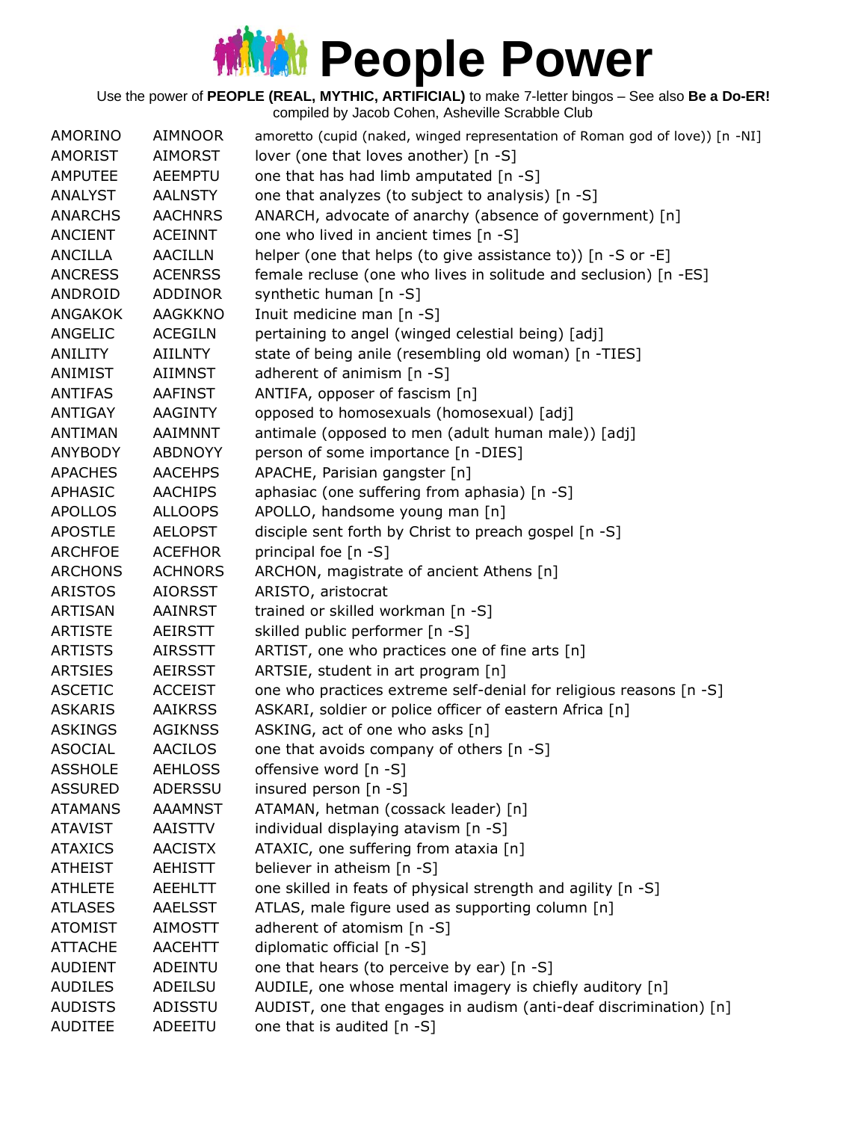| AMORINO        | <b>AIMNOOR</b> | amoretto (cupid (naked, winged representation of Roman god of love)) [n -NI] |
|----------------|----------------|------------------------------------------------------------------------------|
| AMORIST        | AIMORST        | lover (one that loves another) [n -S]                                        |
| <b>AMPUTEE</b> | AEEMPTU        | one that has had limb amputated [n -S]                                       |
| <b>ANALYST</b> | <b>AALNSTY</b> | one that analyzes (to subject to analysis) [n -S]                            |
| <b>ANARCHS</b> | <b>AACHNRS</b> | ANARCH, advocate of anarchy (absence of government) [n]                      |
| <b>ANCIENT</b> | <b>ACEINNT</b> | one who lived in ancient times [n -S]                                        |
| <b>ANCILLA</b> | <b>AACILLN</b> | helper (one that helps (to give assistance to)) [n -S or -E]                 |
| <b>ANCRESS</b> | <b>ACENRSS</b> | female recluse (one who lives in solitude and seclusion) [n -ES]             |
| ANDROID        | ADDINOR        | synthetic human [n -S]                                                       |
| <b>ANGAKOK</b> | <b>AAGKKNO</b> | Inuit medicine man [n -S]                                                    |
| ANGELIC        | <b>ACEGILN</b> | pertaining to angel (winged celestial being) [adj]                           |
| ANILITY        | <b>AIILNTY</b> | state of being anile (resembling old woman) [n -TIES]                        |
| ANIMIST        | <b>AIIMNST</b> | adherent of animism $[n - S]$                                                |
| <b>ANTIFAS</b> | <b>AAFINST</b> | ANTIFA, opposer of fascism [n]                                               |
| <b>ANTIGAY</b> | <b>AAGINTY</b> | opposed to homosexuals (homosexual) [adj]                                    |
| <b>ANTIMAN</b> | AAIMNNT        | antimale (opposed to men (adult human male)) [adj]                           |
| <b>ANYBODY</b> | ABDNOYY        | person of some importance [n -DIES]                                          |
| <b>APACHES</b> | <b>AACEHPS</b> | APACHE, Parisian gangster [n]                                                |
| APHASIC        | <b>AACHIPS</b> | aphasiac (one suffering from aphasia) [n -S]                                 |
| <b>APOLLOS</b> | <b>ALLOOPS</b> | APOLLO, handsome young man [n]                                               |
| <b>APOSTLE</b> | <b>AELOPST</b> | disciple sent forth by Christ to preach gospel [n -S]                        |
| <b>ARCHFOE</b> | <b>ACEFHOR</b> | principal foe [n -S]                                                         |
| <b>ARCHONS</b> | <b>ACHNORS</b> | ARCHON, magistrate of ancient Athens [n]                                     |
| <b>ARISTOS</b> | <b>AIORSST</b> | ARISTO, aristocrat                                                           |
| <b>ARTISAN</b> | AAINRST        | trained or skilled workman [n -S]                                            |
| <b>ARTISTE</b> | AEIRSTT        | skilled public performer [n -S]                                              |
| <b>ARTISTS</b> | <b>AIRSSTT</b> | ARTIST, one who practices one of fine arts [n]                               |
| <b>ARTSIES</b> | <b>AEIRSST</b> | ARTSIE, student in art program [n]                                           |
| <b>ASCETIC</b> | <b>ACCEIST</b> | one who practices extreme self-denial for religious reasons [n -S]           |
| <b>ASKARIS</b> | <b>AAIKRSS</b> | ASKARI, soldier or police officer of eastern Africa [n]                      |
| <b>ASKINGS</b> | <b>AGIKNSS</b> | ASKING, act of one who asks [n]                                              |
| <b>ASOCIAL</b> | <b>AACILOS</b> | one that avoids company of others [n -S]                                     |
| <b>ASSHOLE</b> | <b>AEHLOSS</b> | offensive word [n -S]                                                        |
| <b>ASSURED</b> | <b>ADERSSU</b> | insured person [n -S]                                                        |
| <b>ATAMANS</b> | AAAMNST        | ATAMAN, hetman (cossack leader) [n]                                          |
| <b>ATAVIST</b> | AAISTTV        | individual displaying atavism [n -S]                                         |
| <b>ATAXICS</b> | <b>AACISTX</b> | ATAXIC, one suffering from ataxia [n]                                        |
| <b>ATHEIST</b> | <b>AEHISTT</b> | believer in atheism [n -S]                                                   |
| <b>ATHLETE</b> | <b>AEEHLTT</b> | one skilled in feats of physical strength and agility [n -S]                 |
| <b>ATLASES</b> | <b>AAELSST</b> | ATLAS, male figure used as supporting column [n]                             |
| <b>ATOMIST</b> | <b>AIMOSTT</b> | adherent of atomism [n -S]                                                   |
| <b>ATTACHE</b> | <b>AACEHTT</b> | diplomatic official [n -S]                                                   |
| <b>AUDIENT</b> | ADEINTU        | one that hears (to perceive by ear) [n -S]                                   |
| <b>AUDILES</b> | ADEILSU        | AUDILE, one whose mental imagery is chiefly auditory [n]                     |
| <b>AUDISTS</b> | ADISSTU        | AUDIST, one that engages in audism (anti-deaf discrimination) [n]            |
| <b>AUDITEE</b> | ADEEITU        | one that is audited [n -S]                                                   |
|                |                |                                                                              |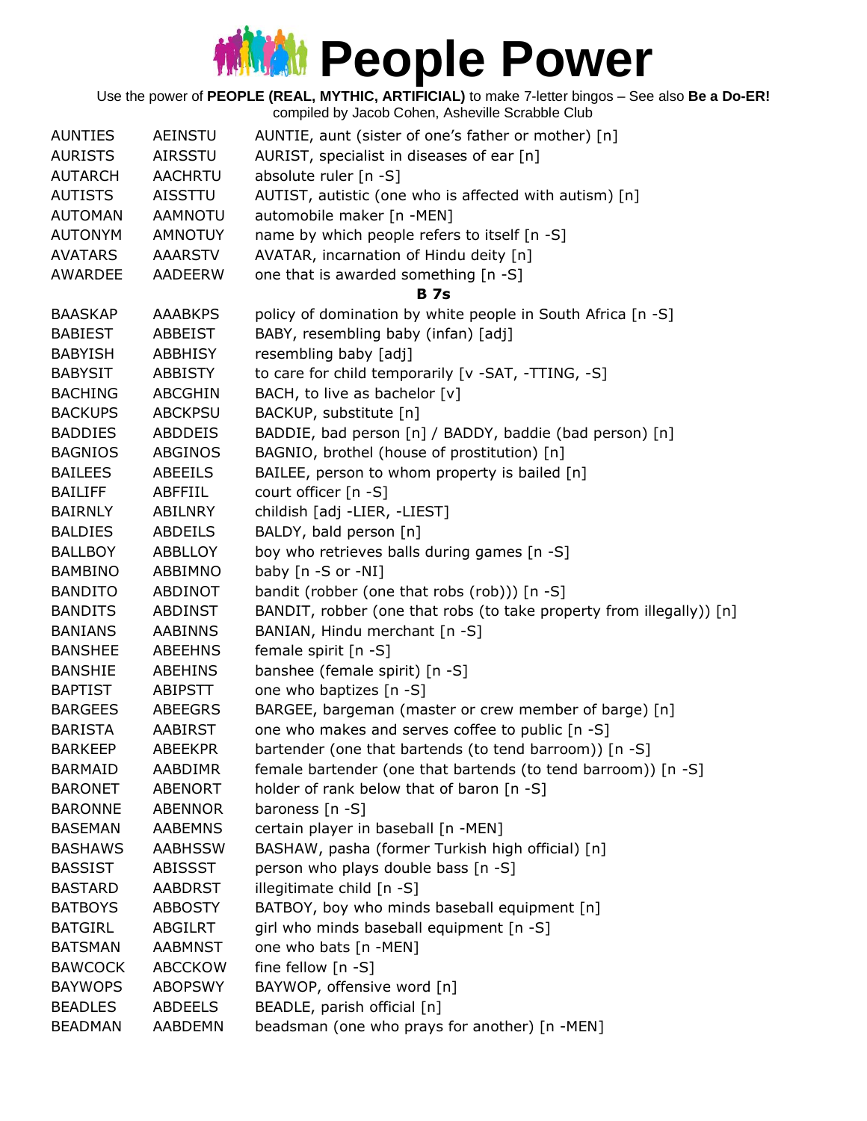| <b>AUNTIES</b> | <b>AEINSTU</b> | AUNTIE, aunt (sister of one's father or mother) [n]                  |
|----------------|----------------|----------------------------------------------------------------------|
| <b>AURISTS</b> | AIRSSTU        | AURIST, specialist in diseases of ear [n]                            |
| <b>AUTARCH</b> | <b>AACHRTU</b> | absolute ruler [n -S]                                                |
| <b>AUTISTS</b> | <b>AISSTTU</b> | AUTIST, autistic (one who is affected with autism) [n]               |
| <b>AUTOMAN</b> | <b>AAMNOTU</b> | automobile maker [n -MEN]                                            |
| <b>AUTONYM</b> | <b>AMNOTUY</b> | name by which people refers to itself [n -S]                         |
| <b>AVATARS</b> | <b>AAARSTV</b> | AVATAR, incarnation of Hindu deity [n]                               |
| <b>AWARDEE</b> | <b>AADEERW</b> | one that is awarded something [n -S]                                 |
|                |                | <b>B</b> 7s                                                          |
| <b>BAASKAP</b> | <b>AAABKPS</b> | policy of domination by white people in South Africa [n -S]          |
| <b>BABIEST</b> | ABBEIST        | BABY, resembling baby (infan) [adj]                                  |
| <b>BABYISH</b> | <b>ABBHISY</b> | resembling baby [adj]                                                |
| <b>BABYSIT</b> | ABBISTY        | to care for child temporarily [v -SAT, -TTING, -S]                   |
| <b>BACHING</b> | <b>ABCGHIN</b> | BACH, to live as bachelor [v]                                        |
| <b>BACKUPS</b> | <b>ABCKPSU</b> | BACKUP, substitute [n]                                               |
| <b>BADDIES</b> | <b>ABDDEIS</b> | BADDIE, bad person [n] / BADDY, baddie (bad person) [n]              |
| <b>BAGNIOS</b> | <b>ABGINOS</b> | BAGNIO, brothel (house of prostitution) [n]                          |
| <b>BAILEES</b> | ABEEILS        | BAILEE, person to whom property is bailed [n]                        |
| <b>BAILIFF</b> | <b>ABFFIIL</b> | court officer [n -S]                                                 |
| <b>BAIRNLY</b> | ABILNRY        | childish [adj -LIER, -LIEST]                                         |
|                |                |                                                                      |
| <b>BALDIES</b> | <b>ABDEILS</b> | BALDY, bald person [n]                                               |
| <b>BALLBOY</b> | ABBLLOY        | boy who retrieves balls during games [n -S]                          |
| <b>BAMBINO</b> | ABBIMNO        | baby [n -S or -NI]                                                   |
| <b>BANDITO</b> | ABDINOT        | bandit (robber (one that robs (rob))) [n -S]                         |
| <b>BANDITS</b> | ABDINST        | BANDIT, robber (one that robs (to take property from illegally)) [n] |
| <b>BANIANS</b> | <b>AABINNS</b> | BANIAN, Hindu merchant [n -S]                                        |
| <b>BANSHEE</b> | <b>ABEEHNS</b> | female spirit [n -S]                                                 |
| <b>BANSHIE</b> | <b>ABEHINS</b> | banshee (female spirit) [n -S]                                       |
| <b>BAPTIST</b> | ABIPSTT        | one who baptizes [n -S]                                              |
| <b>BARGEES</b> | <b>ABEEGRS</b> | BARGEE, bargeman (master or crew member of barge) [n]                |
| <b>BARISTA</b> | AABIRST        | one who makes and serves coffee to public [n -S]                     |
| <b>BARKEEP</b> | <b>ABEEKPR</b> | bartender (one that bartends (to tend barroom)) [n -S]               |
| <b>BARMAID</b> | AABDIMR        | female bartender (one that bartends (to tend barroom)) [n -S]        |
| <b>BARONET</b> | <b>ABENORT</b> | holder of rank below that of baron [n -S]                            |
| <b>BARONNE</b> | <b>ABENNOR</b> | baroness $[n -S]$                                                    |
| <b>BASEMAN</b> | <b>AABEMNS</b> | certain player in baseball [n -MEN]                                  |
| <b>BASHAWS</b> | <b>AABHSSW</b> | BASHAW, pasha (former Turkish high official) [n]                     |
| <b>BASSIST</b> | ABISSST        | person who plays double bass [n -S]                                  |
| <b>BASTARD</b> | <b>AABDRST</b> | illegitimate child [n -S]                                            |
| <b>BATBOYS</b> | <b>ABBOSTY</b> | BATBOY, boy who minds baseball equipment [n]                         |
| <b>BATGIRL</b> | ABGILRT        | girl who minds baseball equipment [n -S]                             |
| <b>BATSMAN</b> | <b>AABMNST</b> | one who bats [n -MEN]                                                |
| <b>BAWCOCK</b> | <b>ABCCKOW</b> | fine fellow $[n -S]$                                                 |
| <b>BAYWOPS</b> | <b>ABOPSWY</b> | BAYWOP, offensive word [n]                                           |
| <b>BEADLES</b> | <b>ABDEELS</b> | BEADLE, parish official [n]                                          |
| <b>BEADMAN</b> | AABDEMN        | beadsman (one who prays for another) [n -MEN]                        |
|                |                |                                                                      |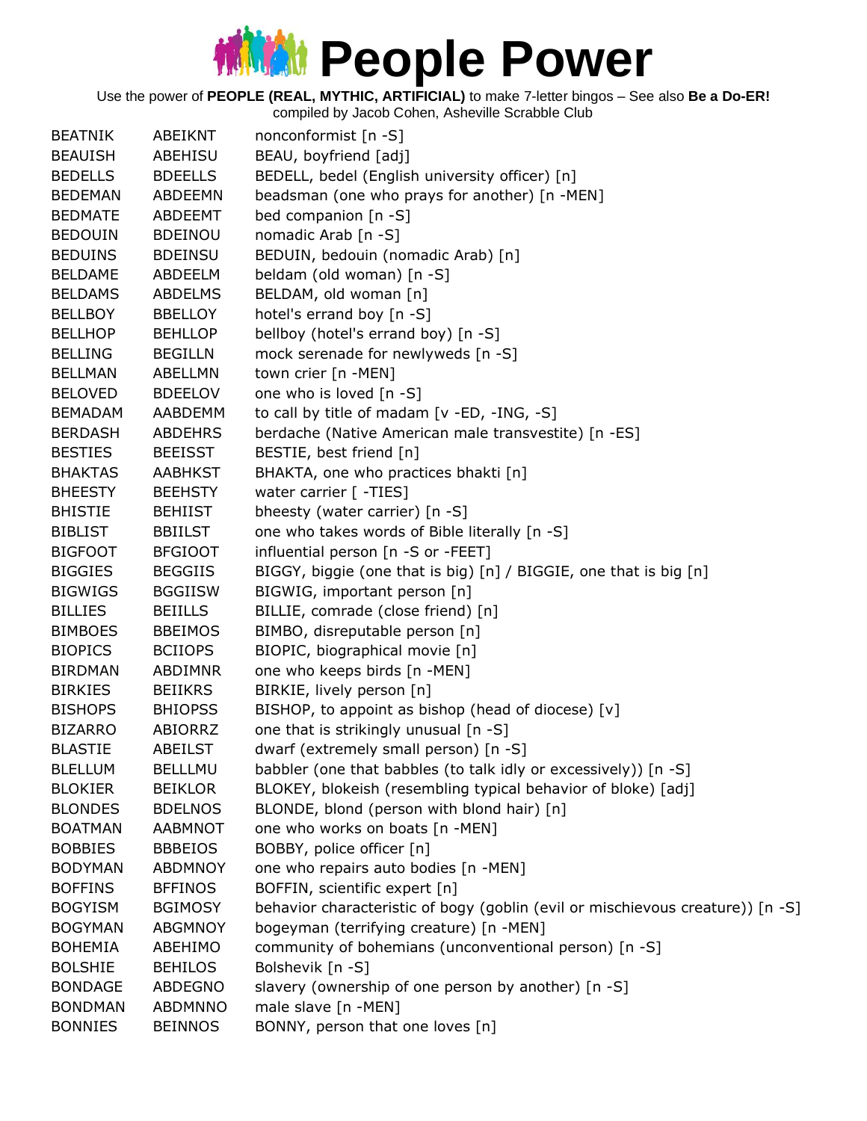| <b>BEATNIK</b> | ABEIKNT        | nonconformist [n -S]                                                           |
|----------------|----------------|--------------------------------------------------------------------------------|
| <b>BEAUISH</b> | ABEHISU        | BEAU, boyfriend [adj]                                                          |
| <b>BEDELLS</b> | <b>BDEELLS</b> | BEDELL, bedel (English university officer) [n]                                 |
| <b>BEDEMAN</b> | ABDEEMN        | beadsman (one who prays for another) [n -MEN]                                  |
| <b>BEDMATE</b> | ABDEEMT        | bed companion [n -S]                                                           |
| <b>BEDOUIN</b> | <b>BDEINOU</b> | nomadic Arab [n -S]                                                            |
| <b>BEDUINS</b> | <b>BDEINSU</b> | BEDUIN, bedouin (nomadic Arab) [n]                                             |
| <b>BELDAME</b> | ABDEELM        | beldam (old woman) [n -S]                                                      |
| <b>BELDAMS</b> | ABDELMS        | BELDAM, old woman [n]                                                          |
| <b>BELLBOY</b> | <b>BBELLOY</b> | hotel's errand boy [n -S]                                                      |
| <b>BELLHOP</b> | <b>BEHLLOP</b> | bellboy (hotel's errand boy) [n -S]                                            |
| <b>BELLING</b> | <b>BEGILLN</b> | mock serenade for newlyweds [n -S]                                             |
| <b>BELLMAN</b> | ABELLMN        | town crier [n -MEN]                                                            |
| <b>BELOVED</b> | <b>BDEELOV</b> | one who is loved [n -S]                                                        |
| <b>BEMADAM</b> | AABDEMM        | to call by title of madam [v -ED, -ING, -S]                                    |
| <b>BERDASH</b> | <b>ABDEHRS</b> | berdache (Native American male transvestite) [n -ES]                           |
| <b>BESTIES</b> | <b>BEEISST</b> | BESTIE, best friend [n]                                                        |
| <b>BHAKTAS</b> | <b>AABHKST</b> | BHAKTA, one who practices bhakti [n]                                           |
| <b>BHEESTY</b> | <b>BEEHSTY</b> | water carrier [ -TIES]                                                         |
| <b>BHISTIE</b> | <b>BEHIIST</b> | bheesty (water carrier) [n -S]                                                 |
| <b>BIBLIST</b> | <b>BBIILST</b> | one who takes words of Bible literally [n -S]                                  |
| <b>BIGFOOT</b> | <b>BFGIOOT</b> | influential person [n -S or -FEET]                                             |
| <b>BIGGIES</b> | <b>BEGGIIS</b> | BIGGY, biggie (one that is big) [n] / BIGGIE, one that is big [n]              |
| <b>BIGWIGS</b> | <b>BGGIISW</b> | BIGWIG, important person [n]                                                   |
| <b>BILLIES</b> | <b>BEIILLS</b> | BILLIE, comrade (close friend) [n]                                             |
| <b>BIMBOES</b> | <b>BBEIMOS</b> | BIMBO, disreputable person [n]                                                 |
| <b>BIOPICS</b> | <b>BCIIOPS</b> | BIOPIC, biographical movie [n]                                                 |
| <b>BIRDMAN</b> | <b>ABDIMNR</b> | one who keeps birds [n -MEN]                                                   |
| <b>BIRKIES</b> | <b>BEIIKRS</b> | BIRKIE, lively person [n]                                                      |
| <b>BISHOPS</b> | <b>BHIOPSS</b> | BISHOP, to appoint as bishop (head of diocese) [v]                             |
| <b>BIZARRO</b> | ABIORRZ        | one that is strikingly unusual [n -S]                                          |
| <b>BLASTIE</b> | ABEILST        | dwarf (extremely small person) [n -S]                                          |
| <b>BLELLUM</b> | <b>BELLLMU</b> | babbler (one that babbles (to talk idly or excessively)) [n -S]                |
| <b>BLOKIER</b> | <b>BEIKLOR</b> | BLOKEY, blokeish (resembling typical behavior of bloke) [adj]                  |
| <b>BLONDES</b> | <b>BDELNOS</b> | BLONDE, blond (person with blond hair) [n]                                     |
| <b>BOATMAN</b> | AABMNOT        | one who works on boats [n -MEN]                                                |
| <b>BOBBIES</b> | <b>BBBEIOS</b> | BOBBY, police officer [n]                                                      |
| <b>BODYMAN</b> | <b>ABDMNOY</b> | one who repairs auto bodies [n -MEN]                                           |
| <b>BOFFINS</b> | <b>BFFINOS</b> | BOFFIN, scientific expert [n]                                                  |
| <b>BOGYISM</b> | <b>BGIMOSY</b> | behavior characteristic of bogy (goblin (evil or mischievous creature)) [n -S] |
| <b>BOGYMAN</b> | <b>ABGMNOY</b> | bogeyman (terrifying creature) [n -MEN]                                        |
| <b>BOHEMIA</b> | ABEHIMO        | community of bohemians (unconventional person) [n -S]                          |
| <b>BOLSHIE</b> | <b>BEHILOS</b> | Bolshevik [n -S]                                                               |
| <b>BONDAGE</b> | <b>ABDEGNO</b> | slavery (ownership of one person by another) [n -S]                            |
| <b>BONDMAN</b> | <b>ABDMNNO</b> | male slave [n -MEN]                                                            |
| <b>BONNIES</b> | <b>BEINNOS</b> | BONNY, person that one loves [n]                                               |
|                |                |                                                                                |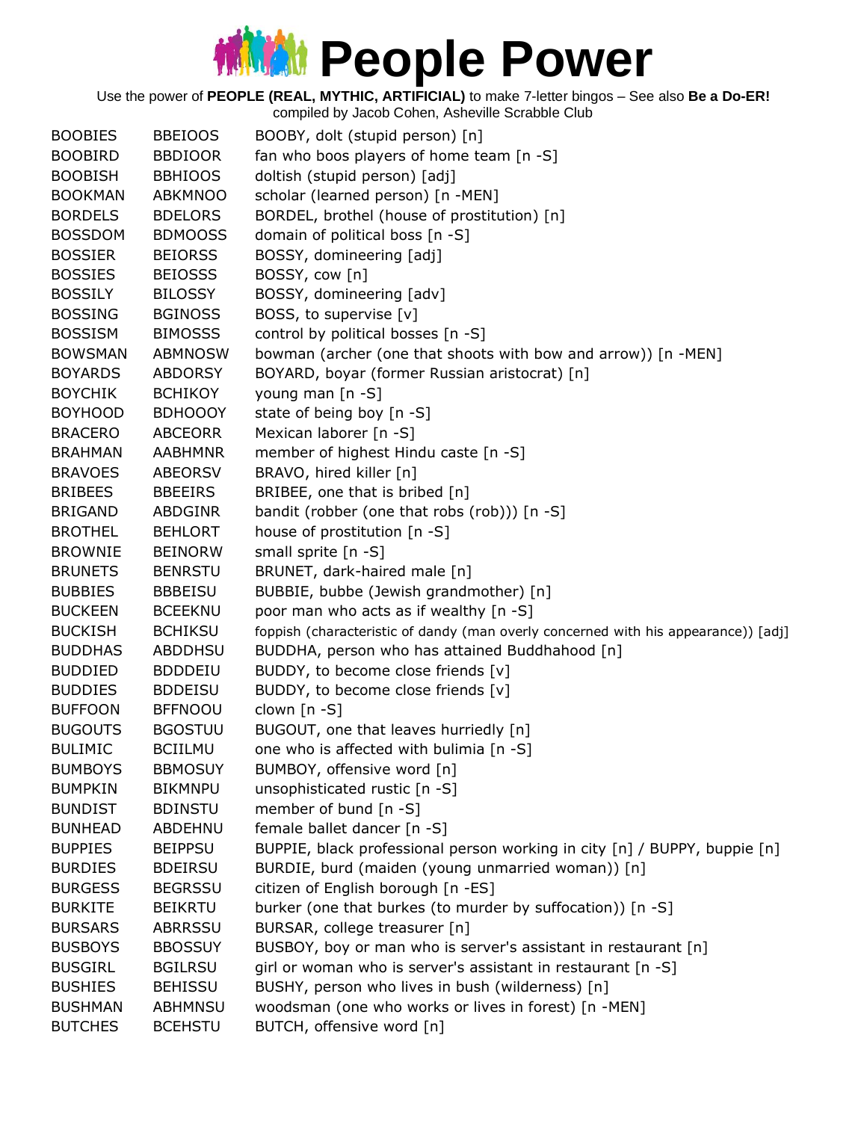Use the power of **PEOPLE (REAL, MYTHIC, ARTIFICIAL)** to make 7-letter bingos – See also **Be a Do-ER!**

| <b>BOOBIES</b> | <b>BBEIOOS</b> | BOOBY, dolt (stupid person) [n]                                                    |
|----------------|----------------|------------------------------------------------------------------------------------|
| <b>BOOBIRD</b> | <b>BBDIOOR</b> | fan who boos players of home team [n -S]                                           |
| <b>BOOBISH</b> | <b>BBHIOOS</b> | doltish (stupid person) [adj]                                                      |
| <b>BOOKMAN</b> | ABKMNOO        | scholar (learned person) [n -MEN]                                                  |
| <b>BORDELS</b> | <b>BDELORS</b> | BORDEL, brothel (house of prostitution) [n]                                        |
| <b>BOSSDOM</b> | <b>BDMOOSS</b> | domain of political boss [n -S]                                                    |
| <b>BOSSIER</b> | <b>BEIORSS</b> | BOSSY, domineering [adj]                                                           |
| <b>BOSSIES</b> | <b>BEIOSSS</b> | BOSSY, cow [n]                                                                     |
| <b>BOSSILY</b> | <b>BILOSSY</b> | BOSSY, domineering [adv]                                                           |
| <b>BOSSING</b> | <b>BGINOSS</b> | BOSS, to supervise [v]                                                             |
| <b>BOSSISM</b> | <b>BIMOSSS</b> | control by political bosses [n -S]                                                 |
| <b>BOWSMAN</b> | ABMNOSW        | bowman (archer (one that shoots with bow and arrow)) [n -MEN]                      |
| <b>BOYARDS</b> | <b>ABDORSY</b> | BOYARD, boyar (former Russian aristocrat) [n]                                      |
| <b>BOYCHIK</b> | <b>BCHIKOY</b> | young man [n -S]                                                                   |
| <b>BOYHOOD</b> | <b>BDHOOOY</b> | state of being boy [n -S]                                                          |
| <b>BRACERO</b> | <b>ABCEORR</b> | Mexican laborer [n -S]                                                             |
| <b>BRAHMAN</b> | <b>AABHMNR</b> | member of highest Hindu caste [n -S]                                               |
| <b>BRAVOES</b> | <b>ABEORSV</b> | BRAVO, hired killer [n]                                                            |
| <b>BRIBEES</b> | <b>BBEEIRS</b> | BRIBEE, one that is bribed [n]                                                     |
| <b>BRIGAND</b> | ABDGINR        | bandit (robber (one that robs (rob))) [n -S]                                       |
| <b>BROTHEL</b> | <b>BEHLORT</b> | house of prostitution [n -S]                                                       |
| <b>BROWNIE</b> | <b>BEINORW</b> | small sprite [n -S]                                                                |
| <b>BRUNETS</b> | <b>BENRSTU</b> | BRUNET, dark-haired male [n]                                                       |
| <b>BUBBIES</b> | <b>BBBEISU</b> | BUBBIE, bubbe (Jewish grandmother) [n]                                             |
| <b>BUCKEEN</b> | <b>BCEEKNU</b> | poor man who acts as if wealthy [n -S]                                             |
| <b>BUCKISH</b> | <b>BCHIKSU</b> | foppish (characteristic of dandy (man overly concerned with his appearance)) [adj] |
| <b>BUDDHAS</b> | <b>ABDDHSU</b> | BUDDHA, person who has attained Buddhahood [n]                                     |
| <b>BUDDIED</b> | <b>BDDDEIU</b> | BUDDY, to become close friends [v]                                                 |
| <b>BUDDIES</b> | <b>BDDEISU</b> | BUDDY, to become close friends [v]                                                 |
| <b>BUFFOON</b> | <b>BFFNOOU</b> | clown [n -S]                                                                       |
| <b>BUGOUTS</b> | <b>BGOSTUU</b> | BUGOUT, one that leaves hurriedly [n]                                              |
| <b>BULIMIC</b> | <b>BCIILMU</b> | one who is affected with bulimia [n -S]                                            |
| <b>BUMBOYS</b> | <b>BBMOSUY</b> | BUMBOY, offensive word [n]                                                         |
| <b>BUMPKIN</b> | <b>BIKMNPU</b> | unsophisticated rustic [n -S]                                                      |
| <b>BUNDIST</b> | <b>BDINSTU</b> | member of bund [n -S]                                                              |
| <b>BUNHEAD</b> | ABDEHNU        | female ballet dancer [n -S]                                                        |
| <b>BUPPIES</b> | <b>BEIPPSU</b> | BUPPIE, black professional person working in city [n] / BUPPY, buppie [n]          |
| <b>BURDIES</b> | <b>BDEIRSU</b> | BURDIE, burd (maiden (young unmarried woman)) [n]                                  |
| <b>BURGESS</b> | <b>BEGRSSU</b> | citizen of English borough [n -ES]                                                 |
| <b>BURKITE</b> | <b>BEIKRTU</b> | burker (one that burkes (to murder by suffocation)) [n -S]                         |
| <b>BURSARS</b> | <b>ABRRSSU</b> | BURSAR, college treasurer [n]                                                      |
| <b>BUSBOYS</b> | <b>BBOSSUY</b> | BUSBOY, boy or man who is server's assistant in restaurant [n]                     |
| <b>BUSGIRL</b> | <b>BGILRSU</b> | girl or woman who is server's assistant in restaurant [n -S]                       |
| <b>BUSHIES</b> | <b>BEHISSU</b> | BUSHY, person who lives in bush (wilderness) [n]                                   |
| <b>BUSHMAN</b> | <b>ABHMNSU</b> | woodsman (one who works or lives in forest) [n -MEN]                               |
| <b>BUTCHES</b> | <b>BCEHSTU</b> | BUTCH, offensive word [n]                                                          |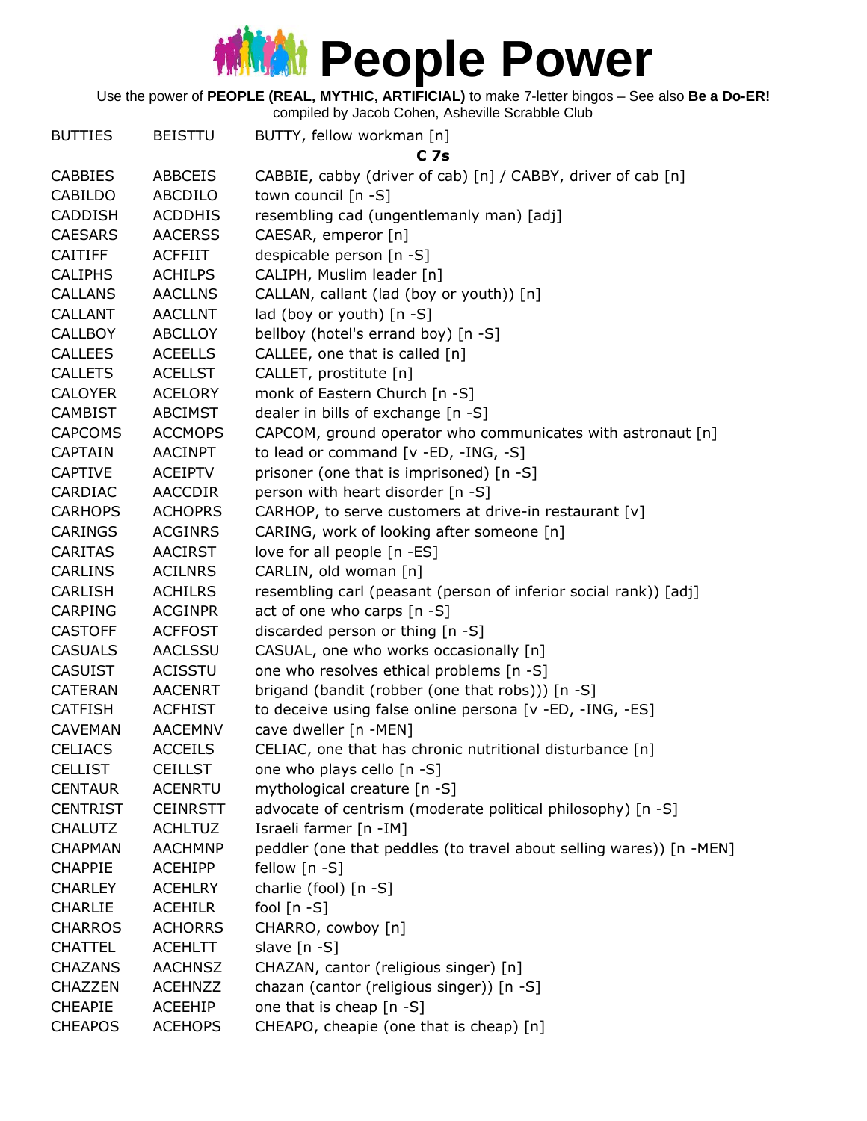Use the power of **PEOPLE (REAL, MYTHIC, ARTIFICIAL)** to make 7-letter bingos – See also **Be a Do-ER!**

| <b>BUTTIES</b>  | <b>BEISTTU</b>  | BUTTY, fellow workman [n]                                           |
|-----------------|-----------------|---------------------------------------------------------------------|
|                 |                 | C <sub>7s</sub>                                                     |
| <b>CABBIES</b>  | <b>ABBCEIS</b>  | CABBIE, cabby (driver of cab) [n] / CABBY, driver of cab [n]        |
| <b>CABILDO</b>  | ABCDILO         | town council [n -S]                                                 |
| <b>CADDISH</b>  | <b>ACDDHIS</b>  | resembling cad (ungentlemanly man) [adj]                            |
| <b>CAESARS</b>  | <b>AACERSS</b>  | CAESAR, emperor [n]                                                 |
| <b>CAITIFF</b>  | <b>ACFFIIT</b>  | despicable person [n -S]                                            |
| <b>CALIPHS</b>  | <b>ACHILPS</b>  | CALIPH, Muslim leader [n]                                           |
| <b>CALLANS</b>  | <b>AACLLNS</b>  | CALLAN, callant (lad (boy or youth)) [n]                            |
| <b>CALLANT</b>  | <b>AACLLNT</b>  | lad (boy or youth) $[n - S]$                                        |
| <b>CALLBOY</b>  | <b>ABCLLOY</b>  | bellboy (hotel's errand boy) [n -S]                                 |
| <b>CALLEES</b>  | <b>ACEELLS</b>  | CALLEE, one that is called [n]                                      |
| <b>CALLETS</b>  | <b>ACELLST</b>  | CALLET, prostitute [n]                                              |
| <b>CALOYER</b>  | <b>ACELORY</b>  | monk of Eastern Church [n -S]                                       |
| <b>CAMBIST</b>  | <b>ABCIMST</b>  | dealer in bills of exchange [n -S]                                  |
| <b>CAPCOMS</b>  | <b>ACCMOPS</b>  | CAPCOM, ground operator who communicates with astronaut [n]         |
| <b>CAPTAIN</b>  | <b>AACINPT</b>  | to lead or command [v -ED, -ING, -S]                                |
| <b>CAPTIVE</b>  | <b>ACEIPTV</b>  | prisoner (one that is imprisoned) [n -S]                            |
| CARDIAC         | AACCDIR         | person with heart disorder [n -S]                                   |
| <b>CARHOPS</b>  | <b>ACHOPRS</b>  | CARHOP, to serve customers at drive-in restaurant [v]               |
| <b>CARINGS</b>  | <b>ACGINRS</b>  | CARING, work of looking after someone [n]                           |
| <b>CARITAS</b>  | <b>AACIRST</b>  | love for all people [n -ES]                                         |
| <b>CARLINS</b>  | <b>ACILNRS</b>  | CARLIN, old woman [n]                                               |
| <b>CARLISH</b>  | <b>ACHILRS</b>  | resembling carl (peasant (person of inferior social rank)) [adj]    |
| <b>CARPING</b>  | <b>ACGINPR</b>  | act of one who carps [n -S]                                         |
| <b>CASTOFF</b>  | <b>ACFFOST</b>  | discarded person or thing [n -S]                                    |
| <b>CASUALS</b>  | <b>AACLSSU</b>  | CASUAL, one who works occasionally [n]                              |
| <b>CASUIST</b>  | <b>ACISSTU</b>  | one who resolves ethical problems [n -S]                            |
| <b>CATERAN</b>  | <b>AACENRT</b>  | brigand (bandit (robber (one that robs))) [n -S]                    |
| <b>CATFISH</b>  | <b>ACFHIST</b>  | to deceive using false online persona [v -ED, -ING, -ES]            |
| <b>CAVEMAN</b>  | <b>AACEMNV</b>  | cave dweller [n -MEN]                                               |
| <b>CELIACS</b>  | <b>ACCEILS</b>  | CELIAC, one that has chronic nutritional disturbance [n]            |
| <b>CELLIST</b>  | <b>CEILLST</b>  | one who plays cello [n -S]                                          |
| <b>CENTAUR</b>  | <b>ACENRTU</b>  | mythological creature [n -S]                                        |
| <b>CENTRIST</b> | <b>CEINRSTT</b> | advocate of centrism (moderate political philosophy) [n -S]         |
| <b>CHALUTZ</b>  | <b>ACHLTUZ</b>  | Israeli farmer [n -IM]                                              |
| <b>CHAPMAN</b>  | <b>AACHMNP</b>  | peddler (one that peddles (to travel about selling wares)) [n -MEN] |
| <b>CHAPPIE</b>  | <b>ACEHIPP</b>  | fellow $[n - S]$                                                    |
| <b>CHARLEY</b>  | <b>ACEHLRY</b>  | charlie (fool) [n -S]                                               |
| <b>CHARLIE</b>  | <b>ACEHILR</b>  | fool $[n - S]$                                                      |
| <b>CHARROS</b>  | <b>ACHORRS</b>  | CHARRO, cowboy [n]                                                  |
| <b>CHATTEL</b>  | <b>ACEHLTT</b>  | slave [n -S]                                                        |
| <b>CHAZANS</b>  | <b>AACHNSZ</b>  | CHAZAN, cantor (religious singer) [n]                               |
| CHAZZEN         | <b>ACEHNZZ</b>  | chazan (cantor (religious singer)) [n -S]                           |
| <b>CHEAPIE</b>  | ACEEHIP         | one that is cheap [n -S]                                            |
| <b>CHEAPOS</b>  | <b>ACEHOPS</b>  | CHEAPO, cheapie (one that is cheap) [n]                             |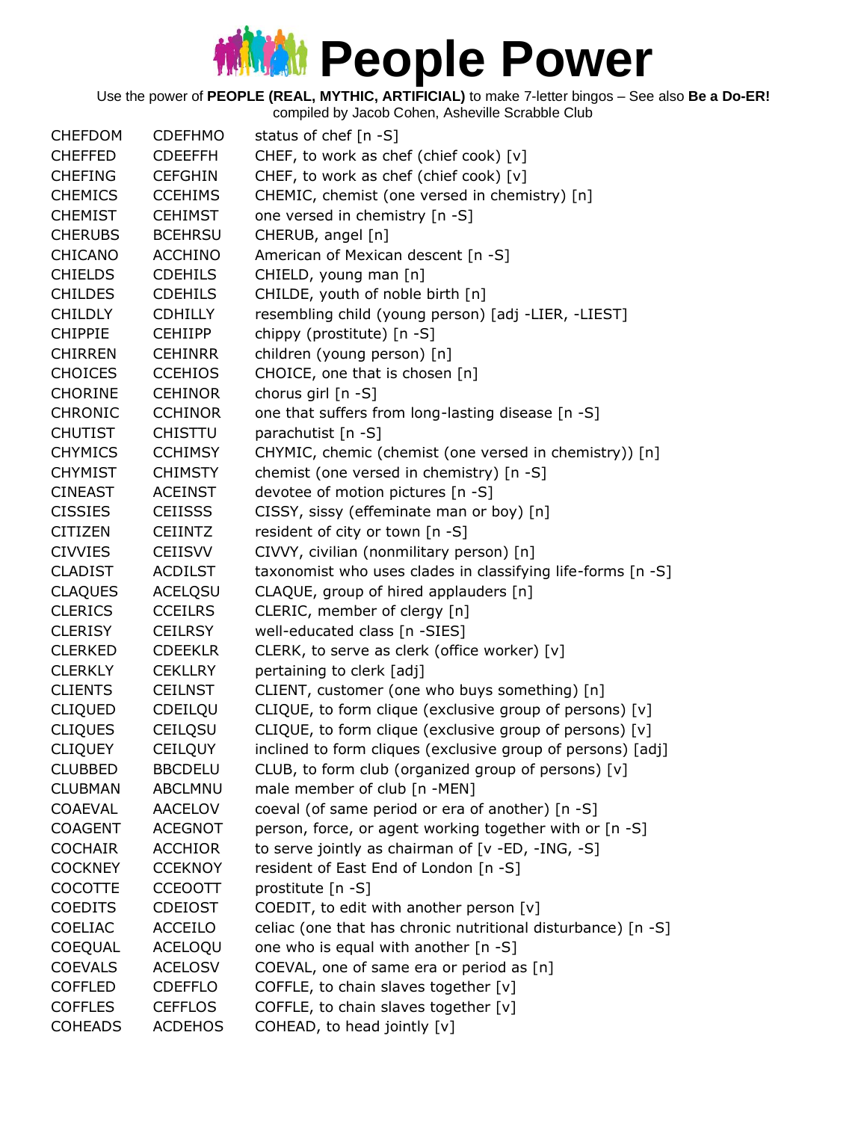Use the power of **PEOPLE (REAL, MYTHIC, ARTIFICIAL)** to make 7-letter bingos – See also **Be a Do-ER!**

| <b>CHEFDOM</b> | <b>CDEFHMO</b> | status of chef [n -S]                                        |
|----------------|----------------|--------------------------------------------------------------|
| <b>CHEFFED</b> | <b>CDEEFFH</b> | CHEF, to work as chef (chief cook) [v]                       |
| <b>CHEFING</b> | <b>CEFGHIN</b> | CHEF, to work as chef (chief cook) [v]                       |
| <b>CHEMICS</b> | <b>CCEHIMS</b> | CHEMIC, chemist (one versed in chemistry) [n]                |
| <b>CHEMIST</b> | <b>CEHIMST</b> | one versed in chemistry [n -S]                               |
| <b>CHERUBS</b> | <b>BCEHRSU</b> | CHERUB, angel [n]                                            |
| <b>CHICANO</b> | <b>ACCHINO</b> | American of Mexican descent [n -S]                           |
| <b>CHIELDS</b> | <b>CDEHILS</b> | CHIELD, young man [n]                                        |
| <b>CHILDES</b> | <b>CDEHILS</b> | CHILDE, youth of noble birth [n]                             |
| <b>CHILDLY</b> | <b>CDHILLY</b> | resembling child (young person) [adj -LIER, -LIEST]          |
| <b>CHIPPIE</b> | <b>CEHIIPP</b> | chippy (prostitute) [n -S]                                   |
| <b>CHIRREN</b> | <b>CEHINRR</b> | children (young person) [n]                                  |
| <b>CHOICES</b> | <b>CCEHIOS</b> | CHOICE, one that is chosen [n]                               |
| <b>CHORINE</b> | <b>CEHINOR</b> | chorus girl [n -S]                                           |
| <b>CHRONIC</b> | <b>CCHINOR</b> | one that suffers from long-lasting disease [n -S]            |
| <b>CHUTIST</b> | <b>CHISTTU</b> | parachutist [n -S]                                           |
| <b>CHYMICS</b> | <b>CCHIMSY</b> | CHYMIC, chemic (chemist (one versed in chemistry)) [n]       |
| <b>CHYMIST</b> | <b>CHIMSTY</b> | chemist (one versed in chemistry) [n -S]                     |
| <b>CINEAST</b> | <b>ACEINST</b> | devotee of motion pictures [n -S]                            |
| <b>CISSIES</b> | <b>CEIISSS</b> | CISSY, sissy (effeminate man or boy) [n]                     |
| <b>CITIZEN</b> | <b>CEIINTZ</b> | resident of city or town [n -S]                              |
| <b>CIVVIES</b> | <b>CEIISVV</b> | CIVVY, civilian (nonmilitary person) [n]                     |
| <b>CLADIST</b> | <b>ACDILST</b> | taxonomist who uses clades in classifying life-forms [n -S]  |
| <b>CLAQUES</b> | <b>ACELQSU</b> | CLAQUE, group of hired applauders [n]                        |
| <b>CLERICS</b> | <b>CCEILRS</b> | CLERIC, member of clergy [n]                                 |
| <b>CLERISY</b> | <b>CEILRSY</b> | well-educated class [n -SIES]                                |
| <b>CLERKED</b> | <b>CDEEKLR</b> | CLERK, to serve as clerk (office worker) [v]                 |
| <b>CLERKLY</b> | <b>CEKLLRY</b> | pertaining to clerk [adj]                                    |
| <b>CLIENTS</b> | <b>CEILNST</b> | CLIENT, customer (one who buys something) [n]                |
| <b>CLIQUED</b> | CDEILQU        | CLIQUE, to form clique (exclusive group of persons) [v]      |
| <b>CLIQUES</b> | CEILQSU        | CLIQUE, to form clique (exclusive group of persons) [v]      |
| <b>CLIQUEY</b> | CEILQUY        | inclined to form cliques (exclusive group of persons) [adj]  |
| <b>CLUBBED</b> | <b>BBCDELU</b> | CLUB, to form club (organized group of persons) [v]          |
| <b>CLUBMAN</b> | <b>ABCLMNU</b> | male member of club [n -MEN]                                 |
| <b>COAEVAL</b> | <b>AACELOV</b> | coeval (of same period or era of another) [n -S]             |
| <b>COAGENT</b> | <b>ACEGNOT</b> | person, force, or agent working together with or [n -S]      |
| <b>COCHAIR</b> | <b>ACCHIOR</b> | to serve jointly as chairman of [v -ED, -ING, -S]            |
| <b>COCKNEY</b> | <b>CCEKNOY</b> | resident of East End of London [n -S]                        |
| <b>COCOTTE</b> | <b>CCEOOTT</b> | prostitute [n -S]                                            |
| <b>COEDITS</b> | <b>CDEIOST</b> | COEDIT, to edit with another person [v]                      |
| <b>COELIAC</b> | <b>ACCEILO</b> | celiac (one that has chronic nutritional disturbance) [n -S] |
| COEQUAL        | ACELOQU        | one who is equal with another [n -S]                         |
| <b>COEVALS</b> | <b>ACELOSV</b> | COEVAL, one of same era or period as [n]                     |
| <b>COFFLED</b> | <b>CDEFFLO</b> | COFFLE, to chain slaves together [v]                         |
| <b>COFFLES</b> | <b>CEFFLOS</b> | COFFLE, to chain slaves together [v]                         |
| <b>COHEADS</b> | <b>ACDEHOS</b> | COHEAD, to head jointly [v]                                  |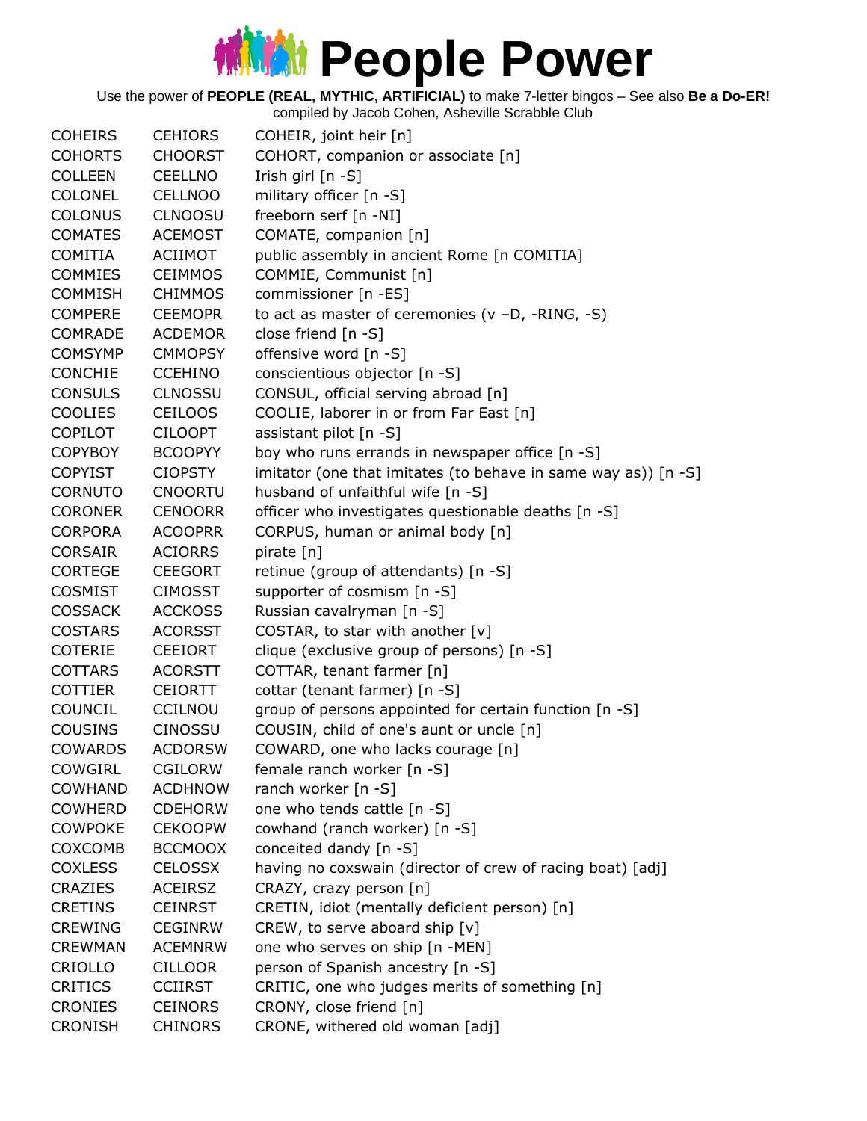Use the power of **PEOPLE (REAL, MYTHIC, ARTIFICIAL)** to make 7-letter bingos – See also **Be a Do-ER!**

| <b>COHEIRS</b> | <b>CEHIORS</b> | COHEIR, joint heir [n]                                         |
|----------------|----------------|----------------------------------------------------------------|
| <b>COHORTS</b> | <b>CHOORST</b> | COHORT, companion or associate [n]                             |
| <b>COLLEEN</b> | <b>CEELLNO</b> | Irish girl [n -S]                                              |
| COLONEL        | CELLNOO        | military officer [n -S]                                        |
| <b>COLONUS</b> | <b>CLNOOSU</b> | freeborn serf [n -NI]                                          |
| <b>COMATES</b> | <b>ACEMOST</b> | COMATE, companion [n]                                          |
| <b>COMITIA</b> | <b>ACIIMOT</b> | public assembly in ancient Rome [n COMITIA]                    |
| <b>COMMIES</b> | <b>CEIMMOS</b> | COMMIE, Communist [n]                                          |
| <b>COMMISH</b> | <b>CHIMMOS</b> | commissioner [n -ES]                                           |
| <b>COMPERE</b> | <b>CEEMOPR</b> | to act as master of ceremonies $(v - D, -RING, -S)$            |
| <b>COMRADE</b> | <b>ACDEMOR</b> | close friend [n -S]                                            |
| <b>COMSYMP</b> | <b>CMMOPSY</b> | offensive word [n -S]                                          |
| <b>CONCHIE</b> | <b>CCEHINO</b> | conscientious objector [n -S]                                  |
| <b>CONSULS</b> | <b>CLNOSSU</b> | CONSUL, official serving abroad [n]                            |
| <b>COOLIES</b> | <b>CEILOOS</b> | COOLIE, laborer in or from Far East [n]                        |
| <b>COPILOT</b> | <b>CILOOPT</b> | assistant pilot [n -S]                                         |
| <b>COPYBOY</b> | <b>BCOOPYY</b> | boy who runs errands in newspaper office [n -S]                |
| <b>COPYIST</b> | <b>CIOPSTY</b> | imitator (one that imitates (to behave in same way as)) [n -S] |
| <b>CORNUTO</b> | <b>CNOORTU</b> | husband of unfaithful wife [n -S]                              |
| <b>CORONER</b> | <b>CENOORR</b> | officer who investigates questionable deaths [n -S]            |
| <b>CORPORA</b> | <b>ACOOPRR</b> | CORPUS, human or animal body [n]                               |
| <b>CORSAIR</b> | <b>ACIORRS</b> | pirate $[n]$                                                   |
| <b>CORTEGE</b> | <b>CEEGORT</b> | retinue (group of attendants) [n -S]                           |
| <b>COSMIST</b> | <b>CIMOSST</b> | supporter of cosmism [n -S]                                    |
| <b>COSSACK</b> | <b>ACCKOSS</b> | Russian cavalryman [n -S]                                      |
| <b>COSTARS</b> | <b>ACORSST</b> | COSTAR, to star with another [v]                               |
| <b>COTERIE</b> | <b>CEEIORT</b> | clique (exclusive group of persons) [n -S]                     |
| <b>COTTARS</b> | <b>ACORSTT</b> | COTTAR, tenant farmer [n]                                      |
| <b>COTTIER</b> | <b>CEIORTT</b> | cottar (tenant farmer) [n -S]                                  |
| COUNCIL        | CCILNOU        | group of persons appointed for certain function [n -S]         |
| <b>COUSINS</b> | <b>CINOSSU</b> | COUSIN, child of one's aunt or uncle [n]                       |
| <b>COWARDS</b> | <b>ACDORSW</b> | COWARD, one who lacks courage [n]                              |
| COWGIRL        | <b>CGILORW</b> | female ranch worker [n -S]                                     |
| <b>COWHAND</b> | <b>ACDHNOW</b> | ranch worker [n -S]                                            |
| <b>COWHERD</b> | <b>CDEHORW</b> | one who tends cattle [n -S]                                    |
| <b>COWPOKE</b> | <b>CEKOOPW</b> | cowhand (ranch worker) [n -S]                                  |
| COXCOMB        | <b>BCCMOOX</b> | conceited dandy [n -S]                                         |
| <b>COXLESS</b> | <b>CELOSSX</b> | having no coxswain (director of crew of racing boat) [adj]     |
| <b>CRAZIES</b> | <b>ACEIRSZ</b> | CRAZY, crazy person [n]                                        |
| <b>CRETINS</b> | <b>CEINRST</b> | CRETIN, idiot (mentally deficient person) [n]                  |
| <b>CREWING</b> | <b>CEGINRW</b> | CREW, to serve aboard ship [v]                                 |
| <b>CREWMAN</b> | <b>ACEMNRW</b> | one who serves on ship [n -MEN]                                |
| CRIOLLO        | <b>CILLOOR</b> | person of Spanish ancestry [n -S]                              |
| <b>CRITICS</b> | <b>CCIIRST</b> | CRITIC, one who judges merits of something [n]                 |
| <b>CRONIES</b> | <b>CEINORS</b> | CRONY, close friend [n]                                        |
| <b>CRONISH</b> | <b>CHINORS</b> | CRONE, withered old woman [adj]                                |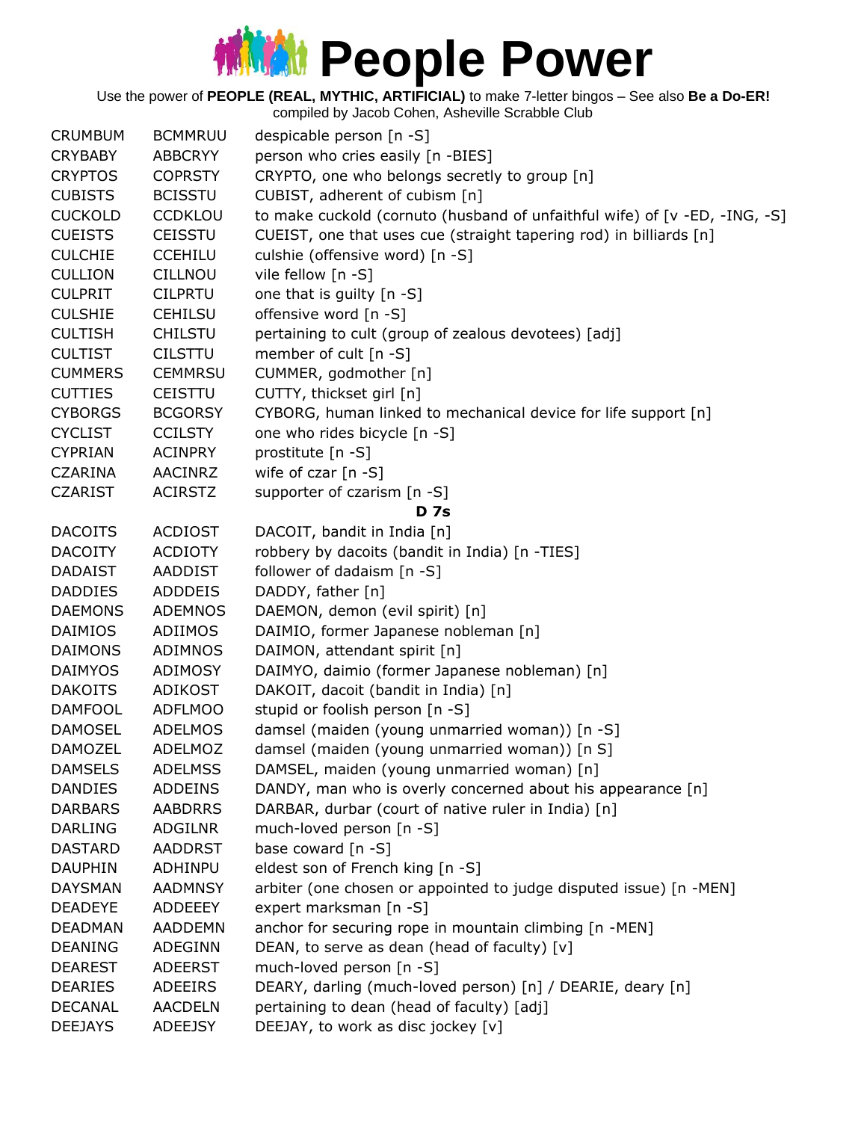Use the power of **PEOPLE (REAL, MYTHIC, ARTIFICIAL)** to make 7-letter bingos – See also **Be a Do-ER!**

| <b>CRUMBUM</b> | <b>BCMMRUU</b> | despicable person [n -S]                                                   |
|----------------|----------------|----------------------------------------------------------------------------|
| <b>CRYBABY</b> | <b>ABBCRYY</b> | person who cries easily [n -BIES]                                          |
| <b>CRYPTOS</b> | <b>COPRSTY</b> | CRYPTO, one who belongs secretly to group [n]                              |
| <b>CUBISTS</b> | <b>BCISSTU</b> | CUBIST, adherent of cubism [n]                                             |
| <b>CUCKOLD</b> | <b>CCDKLOU</b> | to make cuckold (cornuto (husband of unfaithful wife) of [v -ED, -ING, -S] |
| <b>CUEISTS</b> | <b>CEISSTU</b> | CUEIST, one that uses cue (straight tapering rod) in billiards [n]         |
| <b>CULCHIE</b> | <b>CCEHILU</b> | culshie (offensive word) [n -S]                                            |
| <b>CULLION</b> | <b>CILLNOU</b> | vile fellow [n -S]                                                         |
| <b>CULPRIT</b> | <b>CILPRTU</b> | one that is guilty [n -S]                                                  |
| <b>CULSHIE</b> | <b>CEHILSU</b> | offensive word [n -S]                                                      |
| <b>CULTISH</b> | <b>CHILSTU</b> | pertaining to cult (group of zealous devotees) [adj]                       |
| <b>CULTIST</b> | <b>CILSTTU</b> | member of cult [n -S]                                                      |
| <b>CUMMERS</b> | <b>CEMMRSU</b> | CUMMER, godmother [n]                                                      |
| <b>CUTTIES</b> | CEISTTU        | CUTTY, thickset girl [n]                                                   |
| <b>CYBORGS</b> | <b>BCGORSY</b> | CYBORG, human linked to mechanical device for life support [n]             |
| <b>CYCLIST</b> | <b>CCILSTY</b> | one who rides bicycle [n -S]                                               |
| <b>CYPRIAN</b> | <b>ACINPRY</b> | prostitute [n -S]                                                          |
| <b>CZARINA</b> | <b>AACINRZ</b> | wife of $czar$ [n -S]                                                      |
| <b>CZARIST</b> | <b>ACIRSTZ</b> | supporter of czarism [n -S]                                                |
|                |                | <b>D</b> 7s                                                                |
| <b>DACOITS</b> | <b>ACDIOST</b> | DACOIT, bandit in India [n]                                                |
| <b>DACOITY</b> | <b>ACDIOTY</b> | robbery by dacoits (bandit in India) [n -TIES]                             |
| <b>DADAIST</b> | <b>AADDIST</b> | follower of dadaism [n -S]                                                 |
| <b>DADDIES</b> | <b>ADDDEIS</b> | DADDY, father [n]                                                          |
| <b>DAEMONS</b> | <b>ADEMNOS</b> | DAEMON, demon (evil spirit) [n]                                            |
| <b>DAIMIOS</b> | ADIIMOS        | DAIMIO, former Japanese nobleman [n]                                       |
| <b>DAIMONS</b> | ADIMNOS        | DAIMON, attendant spirit [n]                                               |
| <b>DAIMYOS</b> | <b>ADIMOSY</b> | DAIMYO, daimio (former Japanese nobleman) [n]                              |
| <b>DAKOITS</b> | ADIKOST        | DAKOIT, dacoit (bandit in India) [n]                                       |
| <b>DAMFOOL</b> | <b>ADFLMOO</b> | stupid or foolish person [n -S]                                            |
| <b>DAMOSEL</b> | <b>ADELMOS</b> | damsel (maiden (young unmarried woman)) [n -S]                             |
| <b>DAMOZEL</b> | <b>ADELMOZ</b> | damsel (maiden (young unmarried woman)) [n S]                              |
| <b>DAMSELS</b> | <b>ADELMSS</b> | DAMSEL, maiden (young unmarried woman) [n]                                 |
| <b>DANDIES</b> | <b>ADDEINS</b> | DANDY, man who is overly concerned about his appearance [n]                |
| <b>DARBARS</b> | <b>AABDRRS</b> | DARBAR, durbar (court of native ruler in India) [n]                        |
| <b>DARLING</b> | <b>ADGILNR</b> | much-loved person [n -S]                                                   |
| <b>DASTARD</b> | <b>AADDRST</b> | base coward [n -S]                                                         |
| <b>DAUPHIN</b> | ADHINPU        | eldest son of French king [n -S]                                           |
| <b>DAYSMAN</b> | <b>AADMNSY</b> | arbiter (one chosen or appointed to judge disputed issue) [n -MEN]         |
| <b>DEADEYE</b> | <b>ADDEEEY</b> | expert marksman [n -S]                                                     |
| <b>DEADMAN</b> | <b>AADDEMN</b> | anchor for securing rope in mountain climbing [n -MEN]                     |
| <b>DEANING</b> | <b>ADEGINN</b> | DEAN, to serve as dean (head of faculty) [v]                               |
| <b>DEAREST</b> | <b>ADEERST</b> | much-loved person [n -S]                                                   |
| <b>DEARIES</b> | <b>ADEEIRS</b> | DEARY, darling (much-loved person) [n] / DEARIE, deary [n]                 |
| <b>DECANAL</b> | <b>AACDELN</b> | pertaining to dean (head of faculty) [adj]                                 |
| <b>DEEJAYS</b> | <b>ADEEJSY</b> | DEEJAY, to work as disc jockey [v]                                         |
|                |                |                                                                            |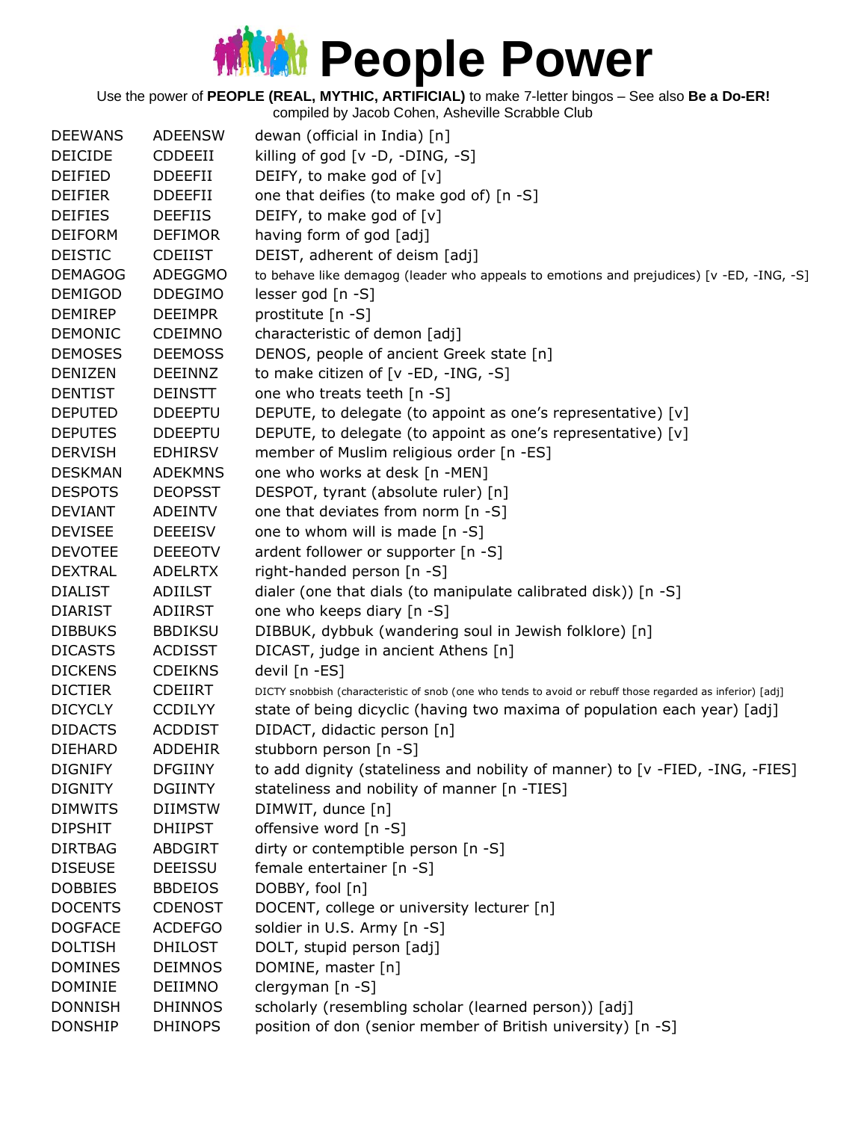Use the power of **PEOPLE (REAL, MYTHIC, ARTIFICIAL)** to make 7-letter bingos – See also **Be a Do-ER!**

| <b>DEEWANS</b> | <b>ADEENSW</b> | dewan (official in India) [n]                                                                              |
|----------------|----------------|------------------------------------------------------------------------------------------------------------|
| <b>DEICIDE</b> | <b>CDDEEII</b> | killing of god $[v -D, -DING, -S]$                                                                         |
| <b>DEIFIED</b> | <b>DDEEFII</b> | DEIFY, to make god of [v]                                                                                  |
| <b>DEIFIER</b> | <b>DDEEFII</b> | one that deifies (to make god of) [n -S]                                                                   |
| <b>DEIFIES</b> | <b>DEEFIIS</b> | DEIFY, to make god of [v]                                                                                  |
| <b>DEIFORM</b> | <b>DEFIMOR</b> | having form of god [adj]                                                                                   |
| <b>DEISTIC</b> | <b>CDEIIST</b> | DEIST, adherent of deism [adj]                                                                             |
| <b>DEMAGOG</b> | <b>ADEGGMO</b> | to behave like demagog (leader who appeals to emotions and prejudices) [v -ED, -ING, -S]                   |
| <b>DEMIGOD</b> | <b>DDEGIMO</b> | lesser god [n -S]                                                                                          |
| <b>DEMIREP</b> | <b>DEEIMPR</b> | prostitute [n -S]                                                                                          |
| <b>DEMONIC</b> | CDEIMNO        | characteristic of demon [adj]                                                                              |
| <b>DEMOSES</b> | <b>DEEMOSS</b> | DENOS, people of ancient Greek state [n]                                                                   |
| <b>DENIZEN</b> | <b>DEEINNZ</b> | to make citizen of [v -ED, -ING, -S]                                                                       |
| <b>DENTIST</b> | <b>DEINSTT</b> | one who treats teeth [n -S]                                                                                |
| <b>DEPUTED</b> | <b>DDEEPTU</b> | DEPUTE, to delegate (to appoint as one's representative) [v]                                               |
| <b>DEPUTES</b> | <b>DDEEPTU</b> | DEPUTE, to delegate (to appoint as one's representative) [v]                                               |
| <b>DERVISH</b> | <b>EDHIRSV</b> | member of Muslim religious order [n -ES]                                                                   |
| <b>DESKMAN</b> | <b>ADEKMNS</b> | one who works at desk [n -MEN]                                                                             |
| <b>DESPOTS</b> | <b>DEOPSST</b> | DESPOT, tyrant (absolute ruler) [n]                                                                        |
| <b>DEVIANT</b> | <b>ADEINTV</b> | one that deviates from norm [n -S]                                                                         |
| <b>DEVISEE</b> | <b>DEEEISV</b> | one to whom will is made [n -S]                                                                            |
| <b>DEVOTEE</b> | <b>DEEEOTV</b> | ardent follower or supporter [n -S]                                                                        |
| <b>DEXTRAL</b> | <b>ADELRTX</b> | right-handed person [n -S]                                                                                 |
| <b>DIALIST</b> | ADIILST        | dialer (one that dials (to manipulate calibrated disk)) [n -S]                                             |
| <b>DIARIST</b> | ADIIRST        | one who keeps diary [n -S]                                                                                 |
| <b>DIBBUKS</b> | <b>BBDIKSU</b> | DIBBUK, dybbuk (wandering soul in Jewish folklore) [n]                                                     |
| <b>DICASTS</b> | <b>ACDISST</b> | DICAST, judge in ancient Athens [n]                                                                        |
| <b>DICKENS</b> | <b>CDEIKNS</b> | devil [n -ES]                                                                                              |
| <b>DICTIER</b> | <b>CDEIIRT</b> | DICTY snobbish (characteristic of snob (one who tends to avoid or rebuff those regarded as inferior) [adj] |
| <b>DICYCLY</b> | <b>CCDILYY</b> | state of being dicyclic (having two maxima of population each year) [adj]                                  |
| <b>DIDACTS</b> | <b>ACDDIST</b> | DIDACT, didactic person [n]                                                                                |
| <b>DIEHARD</b> | <b>ADDEHIR</b> | stubborn person [n -S]                                                                                     |
| <b>DIGNIFY</b> | <b>DFGIINY</b> | to add dignity (stateliness and nobility of manner) to [v -FIED, -ING, -FIES]                              |
| <b>DIGNITY</b> | <b>DGIINTY</b> | stateliness and nobility of manner [n -TIES]                                                               |
| <b>DIMWITS</b> | <b>DIIMSTW</b> | DIMWIT, dunce [n]                                                                                          |
| <b>DIPSHIT</b> | <b>DHIIPST</b> | offensive word [n -S]                                                                                      |
| <b>DIRTBAG</b> | ABDGIRT        | dirty or contemptible person [n -S]                                                                        |
| <b>DISEUSE</b> | <b>DEEISSU</b> | female entertainer [n -S]                                                                                  |
| <b>DOBBIES</b> | <b>BBDEIOS</b> | DOBBY, fool [n]                                                                                            |
| <b>DOCENTS</b> | <b>CDENOST</b> | DOCENT, college or university lecturer [n]                                                                 |
| <b>DOGFACE</b> | <b>ACDEFGO</b> | soldier in U.S. Army [n -S]                                                                                |
| <b>DOLTISH</b> | <b>DHILOST</b> | DOLT, stupid person [adj]                                                                                  |
| <b>DOMINES</b> | <b>DEIMNOS</b> | DOMINE, master [n]                                                                                         |
| <b>DOMINIE</b> | <b>DEIIMNO</b> | clergyman [n -S]                                                                                           |
| <b>DONNISH</b> | <b>DHINNOS</b> | scholarly (resembling scholar (learned person)) [adj]                                                      |
| <b>DONSHIP</b> | <b>DHINOPS</b> | position of don (senior member of British university) [n -S]                                               |
|                |                |                                                                                                            |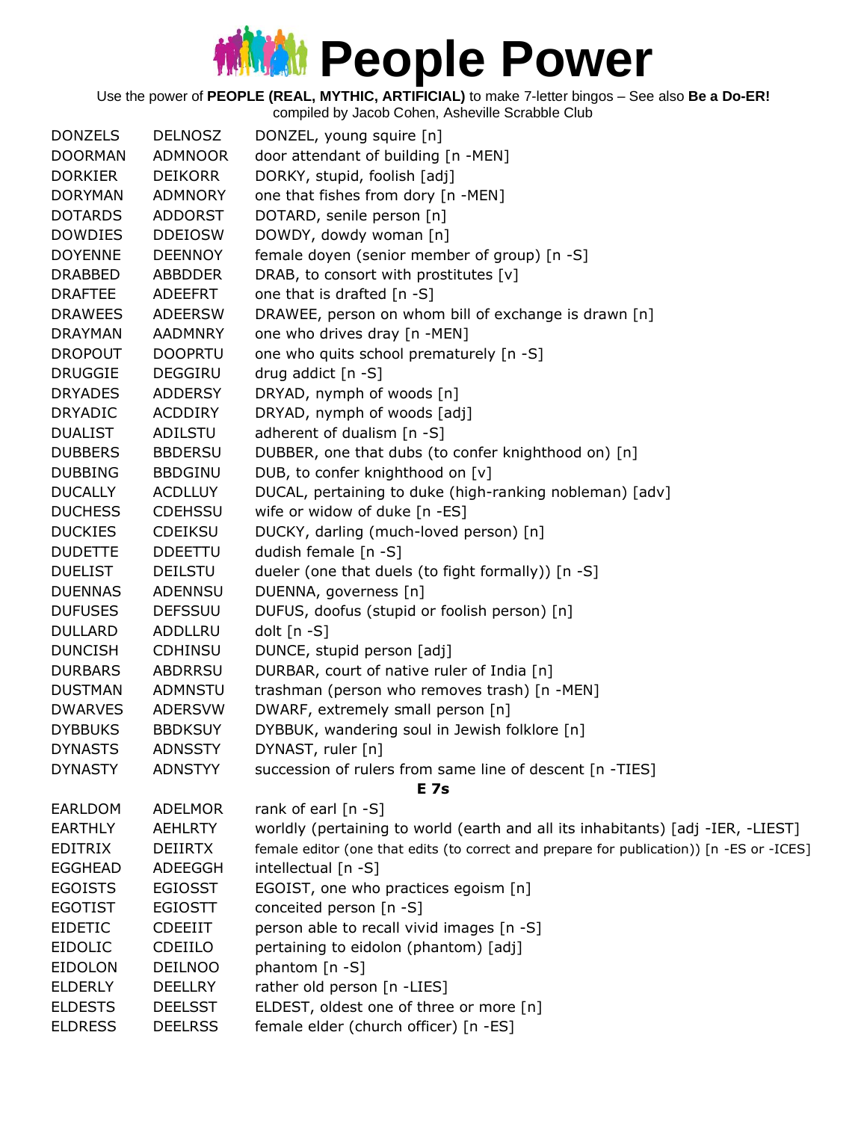Use the power of **PEOPLE (REAL, MYTHIC, ARTIFICIAL)** to make 7-letter bingos – See also **Be a Do-ER!**

| <b>DONZELS</b> | <b>DELNOSZ</b> | DONZEL, young squire [n]                                                                 |
|----------------|----------------|------------------------------------------------------------------------------------------|
| <b>DOORMAN</b> | <b>ADMNOOR</b> | door attendant of building [n -MEN]                                                      |
| <b>DORKIER</b> | <b>DEIKORR</b> | DORKY, stupid, foolish [adj]                                                             |
| <b>DORYMAN</b> | <b>ADMNORY</b> | one that fishes from dory [n -MEN]                                                       |
| <b>DOTARDS</b> | <b>ADDORST</b> | DOTARD, senile person [n]                                                                |
| <b>DOWDIES</b> | <b>DDEIOSW</b> | DOWDY, dowdy woman [n]                                                                   |
| <b>DOYENNE</b> | <b>DEENNOY</b> | female doyen (senior member of group) [n -S]                                             |
| <b>DRABBED</b> | <b>ABBDDER</b> | DRAB, to consort with prostitutes [v]                                                    |
| <b>DRAFTEE</b> | ADEEFRT        | one that is drafted [n -S]                                                               |
| <b>DRAWEES</b> | <b>ADEERSW</b> | DRAWEE, person on whom bill of exchange is drawn [n]                                     |
| <b>DRAYMAN</b> | <b>AADMNRY</b> | one who drives dray [n -MEN]                                                             |
| <b>DROPOUT</b> | <b>DOOPRTU</b> | one who quits school prematurely [n -S]                                                  |
| <b>DRUGGIE</b> | DEGGIRU        | drug addict $[n - S]$                                                                    |
| <b>DRYADES</b> | <b>ADDERSY</b> | DRYAD, nymph of woods [n]                                                                |
| <b>DRYADIC</b> | <b>ACDDIRY</b> | DRYAD, nymph of woods [adj]                                                              |
| <b>DUALIST</b> | <b>ADILSTU</b> | adherent of dualism [n -S]                                                               |
| <b>DUBBERS</b> | <b>BBDERSU</b> | DUBBER, one that dubs (to confer knighthood on) [n]                                      |
| <b>DUBBING</b> | <b>BBDGINU</b> | DUB, to confer knighthood on [v]                                                         |
| <b>DUCALLY</b> | <b>ACDLLUY</b> | DUCAL, pertaining to duke (high-ranking nobleman) [adv]                                  |
| <b>DUCHESS</b> | <b>CDEHSSU</b> | wife or widow of duke [n -ES]                                                            |
| <b>DUCKIES</b> | <b>CDEIKSU</b> | DUCKY, darling (much-loved person) [n]                                                   |
| <b>DUDETTE</b> | <b>DDEETTU</b> | dudish female [n -S]                                                                     |
| <b>DUELIST</b> | <b>DEILSTU</b> | dueler (one that duels (to fight formally)) [n -S]                                       |
| <b>DUENNAS</b> | <b>ADENNSU</b> | DUENNA, governess [n]                                                                    |
| <b>DUFUSES</b> | <b>DEFSSUU</b> | DUFUS, doofus (stupid or foolish person) [n]                                             |
| <b>DULLARD</b> | ADDLLRU        | dolt [n -S]                                                                              |
| <b>DUNCISH</b> | <b>CDHINSU</b> | DUNCE, stupid person [adj]                                                               |
| <b>DURBARS</b> | <b>ABDRRSU</b> | DURBAR, court of native ruler of India [n]                                               |
| <b>DUSTMAN</b> | ADMNSTU        | trashman (person who removes trash) [n -MEN]                                             |
| <b>DWARVES</b> | <b>ADERSVW</b> | DWARF, extremely small person [n]                                                        |
| <b>DYBBUKS</b> | <b>BBDKSUY</b> | DYBBUK, wandering soul in Jewish folklore [n]                                            |
| <b>DYNASTS</b> | <b>ADNSSTY</b> | DYNAST, ruler [n]                                                                        |
| <b>DYNASTY</b> | <b>ADNSTYY</b> | succession of rulers from same line of descent [n -TIES]                                 |
|                |                | <b>E</b> 7s                                                                              |
| <b>EARLDOM</b> | <b>ADELMOR</b> | rank of earl $[n - S]$                                                                   |
| <b>EARTHLY</b> | <b>AEHLRTY</b> | worldly (pertaining to world (earth and all its inhabitants) [adj -IER, -LIEST]          |
| <b>EDITRIX</b> | <b>DEIIRTX</b> | female editor (one that edits (to correct and prepare for publication)) [n -ES or -ICES] |
| <b>EGGHEAD</b> | <b>ADEEGGH</b> | intellectual [n -S]                                                                      |
| <b>EGOISTS</b> | <b>EGIOSST</b> | EGOIST, one who practices egoism [n]                                                     |
| <b>EGOTIST</b> | <b>EGIOSTT</b> | conceited person [n -S]                                                                  |
| <b>EIDETIC</b> | <b>CDEEIIT</b> | person able to recall vivid images [n -S]                                                |
| <b>EIDOLIC</b> | CDEIILO        | pertaining to eidolon (phantom) [adj]                                                    |
| <b>EIDOLON</b> | DEILNOO        | phantom [n -S]                                                                           |
| <b>ELDERLY</b> | <b>DEELLRY</b> | rather old person [n -LIES]                                                              |
| <b>ELDESTS</b> | <b>DEELSST</b> | ELDEST, oldest one of three or more [n]                                                  |
| <b>ELDRESS</b> | <b>DEELRSS</b> | female elder (church officer) [n -ES]                                                    |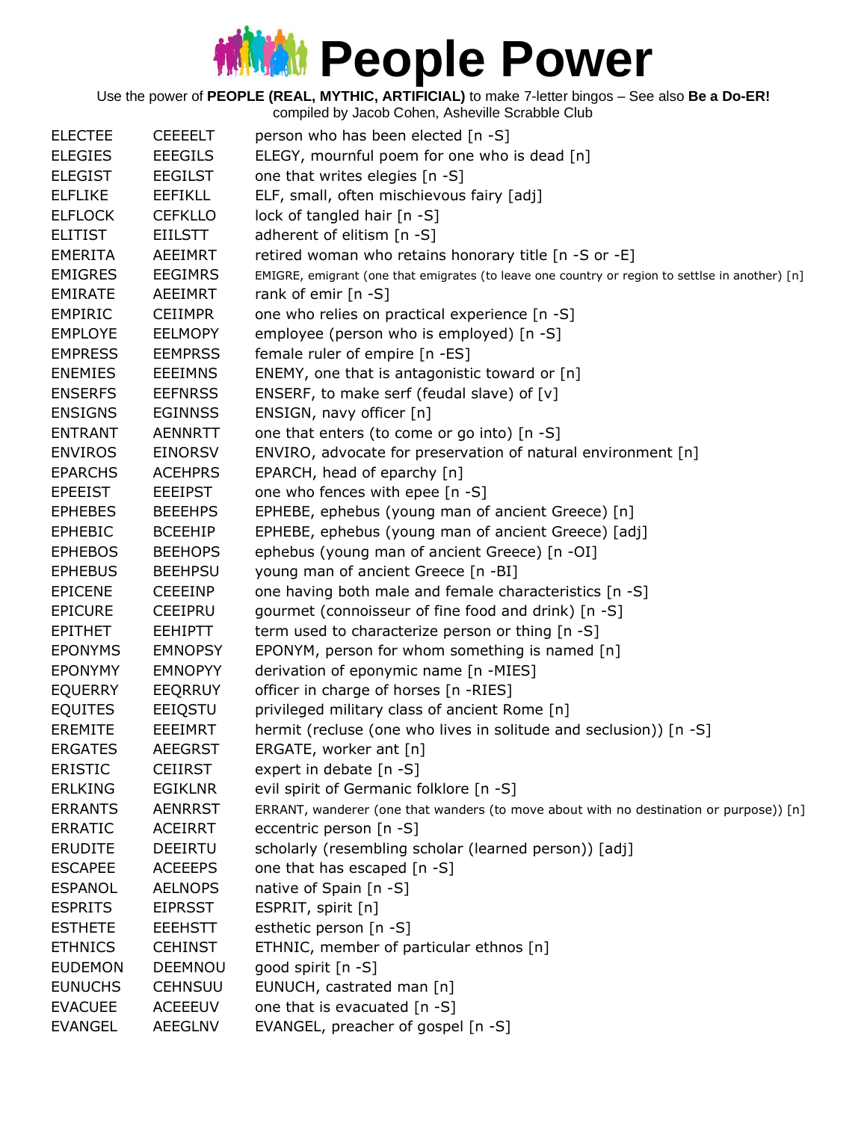Use the power of **PEOPLE (REAL, MYTHIC, ARTIFICIAL)** to make 7-letter bingos – See also **Be a Do-ER!**

| <b>ELECTEE</b> | <b>CEEEELT</b> | person who has been elected [n -S]                                                              |
|----------------|----------------|-------------------------------------------------------------------------------------------------|
| <b>ELEGIES</b> | <b>EEEGILS</b> | ELEGY, mournful poem for one who is dead [n]                                                    |
| <b>ELEGIST</b> | <b>EEGILST</b> | one that writes elegies [n -S]                                                                  |
| <b>ELFLIKE</b> | <b>EEFIKLL</b> | ELF, small, often mischievous fairy [adj]                                                       |
| <b>ELFLOCK</b> | <b>CEFKLLO</b> | lock of tangled hair [n -S]                                                                     |
| <b>ELITIST</b> | <b>EIILSTT</b> | adherent of elitism [n -S]                                                                      |
| <b>EMERITA</b> | AEEIMRT        | retired woman who retains honorary title [n -S or -E]                                           |
| <b>EMIGRES</b> | <b>EEGIMRS</b> | EMIGRE, emigrant (one that emigrates (to leave one country or region to settlse in another) [n] |
| <b>EMIRATE</b> | AEEIMRT        | rank of emir [n -S]                                                                             |
| <b>EMPIRIC</b> | <b>CEIIMPR</b> | one who relies on practical experience [n -S]                                                   |
| <b>EMPLOYE</b> | <b>EELMOPY</b> | employee (person who is employed) [n -S]                                                        |
| <b>EMPRESS</b> | <b>EEMPRSS</b> | female ruler of empire [n -ES]                                                                  |
| <b>ENEMIES</b> | <b>EEEIMNS</b> | ENEMY, one that is antagonistic toward or [n]                                                   |
| <b>ENSERFS</b> | <b>EEFNRSS</b> | ENSERF, to make serf (feudal slave) of [v]                                                      |
| <b>ENSIGNS</b> | <b>EGINNSS</b> | ENSIGN, navy officer [n]                                                                        |
| <b>ENTRANT</b> | <b>AENNRTT</b> | one that enters (to come or go into) [n -S]                                                     |
| <b>ENVIROS</b> | <b>EINORSV</b> | ENVIRO, advocate for preservation of natural environment [n]                                    |
| <b>EPARCHS</b> | <b>ACEHPRS</b> | EPARCH, head of eparchy [n]                                                                     |
| <b>EPEEIST</b> | <b>EEEIPST</b> | one who fences with epee [n -S]                                                                 |
| <b>EPHEBES</b> | <b>BEEEHPS</b> | EPHEBE, ephebus (young man of ancient Greece) [n]                                               |
| <b>EPHEBIC</b> | <b>BCEEHIP</b> | EPHEBE, ephebus (young man of ancient Greece) [adj]                                             |
| <b>EPHEBOS</b> | <b>BEEHOPS</b> | ephebus (young man of ancient Greece) [n -OI]                                                   |
| <b>EPHEBUS</b> | <b>BEEHPSU</b> | young man of ancient Greece [n -BI]                                                             |
| <b>EPICENE</b> | <b>CEEEINP</b> | one having both male and female characteristics [n -S]                                          |
| <b>EPICURE</b> | <b>CEEIPRU</b> | gourmet (connoisseur of fine food and drink) [n -S]                                             |
| <b>EPITHET</b> | <b>EEHIPTT</b> | term used to characterize person or thing [n -S]                                                |
| <b>EPONYMS</b> | <b>EMNOPSY</b> | EPONYM, person for whom something is named [n]                                                  |
| <b>EPONYMY</b> | <b>EMNOPYY</b> | derivation of eponymic name [n -MIES]                                                           |
| <b>EQUERRY</b> | EEQRRUY        | officer in charge of horses [n -RIES]                                                           |
| <b>EQUITES</b> | EEIQSTU        | privileged military class of ancient Rome [n]                                                   |
| <b>EREMITE</b> | <b>EEEIMRT</b> | hermit (recluse (one who lives in solitude and seclusion)) [n -S]                               |
| <b>ERGATES</b> | <b>AEEGRST</b> | ERGATE, worker ant [n]                                                                          |
| <b>ERISTIC</b> | <b>CEIIRST</b> | expert in debate [n -S]                                                                         |
| <b>ERLKING</b> | <b>EGIKLNR</b> | evil spirit of Germanic folklore [n -S]                                                         |
| <b>ERRANTS</b> | <b>AENRRST</b> | ERRANT, wanderer (one that wanders (to move about with no destination or purpose)) [n]          |
| <b>ERRATIC</b> | <b>ACEIRRT</b> | eccentric person [n -S]                                                                         |
| <b>ERUDITE</b> | <b>DEEIRTU</b> | scholarly (resembling scholar (learned person)) [adj]                                           |
| <b>ESCAPEE</b> | <b>ACEEEPS</b> | one that has escaped [n -S]                                                                     |
| <b>ESPANOL</b> | <b>AELNOPS</b> | native of Spain [n -S]                                                                          |
| <b>ESPRITS</b> | <b>EIPRSST</b> | ESPRIT, spirit [n]                                                                              |
| <b>ESTHETE</b> | <b>EEEHSTT</b> | esthetic person [n -S]                                                                          |
| <b>ETHNICS</b> | <b>CEHINST</b> | ETHNIC, member of particular ethnos [n]                                                         |
| <b>EUDEMON</b> | <b>DEEMNOU</b> | good spirit [n -S]                                                                              |
| <b>EUNUCHS</b> | <b>CEHNSUU</b> | EUNUCH, castrated man [n]                                                                       |
| <b>EVACUEE</b> | <b>ACEEEUV</b> | one that is evacuated [n -S]                                                                    |
| <b>EVANGEL</b> | <b>AEEGLNV</b> | EVANGEL, preacher of gospel [n -S]                                                              |
|                |                |                                                                                                 |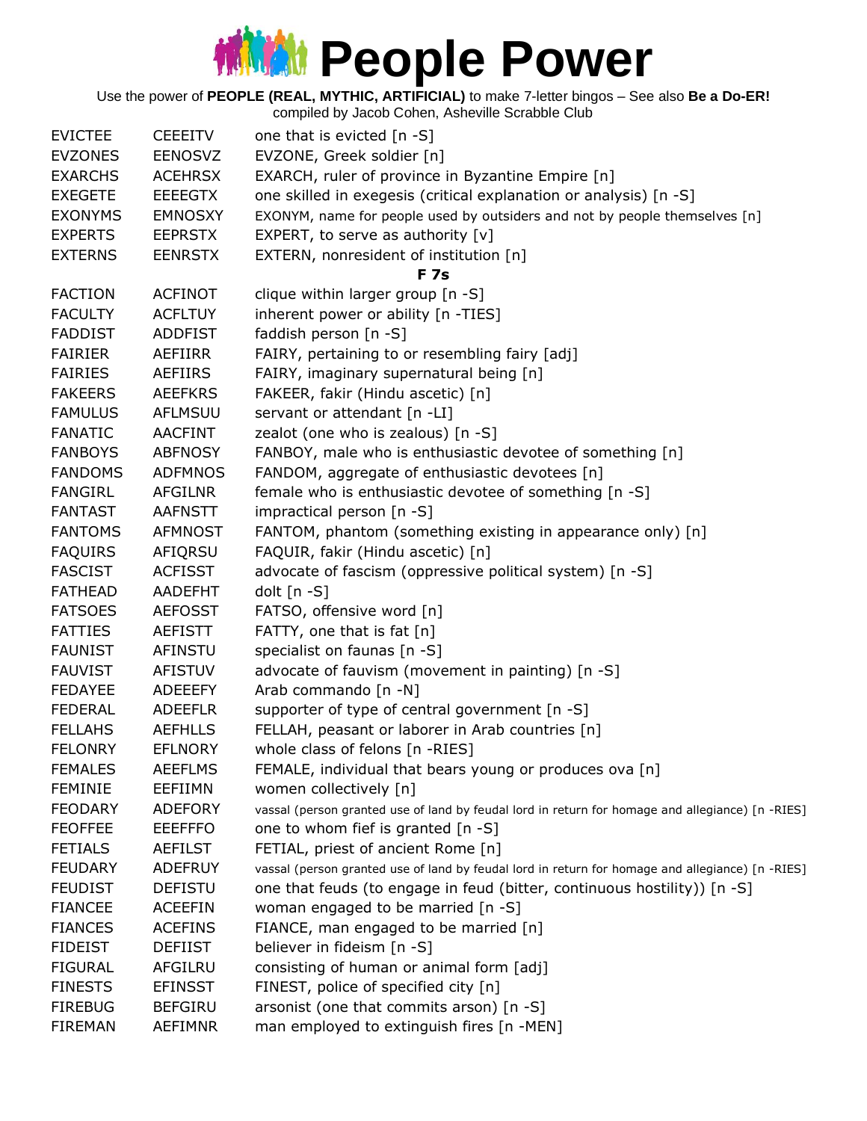Use the power of **PEOPLE (REAL, MYTHIC, ARTIFICIAL)** to make 7-letter bingos – See also **Be a Do-ER!**

|                |                | compiled by Jacob Cohen, Asheville Scrabble Club                                                 |
|----------------|----------------|--------------------------------------------------------------------------------------------------|
| <b>EVICTEE</b> | <b>CEEEITV</b> | one that is evicted $[n - S]$                                                                    |
| <b>EVZONES</b> | <b>EENOSVZ</b> | EVZONE, Greek soldier [n]                                                                        |
| <b>EXARCHS</b> | <b>ACEHRSX</b> | EXARCH, ruler of province in Byzantine Empire [n]                                                |
| <b>EXEGETE</b> | <b>EEEEGTX</b> | one skilled in exegesis (critical explanation or analysis) [n -S]                                |
| <b>EXONYMS</b> | <b>EMNOSXY</b> | EXONYM, name for people used by outsiders and not by people themselves [n]                       |
| <b>EXPERTS</b> | <b>EEPRSTX</b> | EXPERT, to serve as authority $[v]$                                                              |
| <b>EXTERNS</b> | <b>EENRSTX</b> | EXTERN, nonresident of institution [n]                                                           |
|                |                | <b>F</b> 7s                                                                                      |
| <b>FACTION</b> | <b>ACFINOT</b> | clique within larger group [n -S]                                                                |
| <b>FACULTY</b> | <b>ACFLTUY</b> | inherent power or ability [n -TIES]                                                              |
| <b>FADDIST</b> | <b>ADDFIST</b> | faddish person [n -S]                                                                            |
| <b>FAIRIER</b> | AEFIIRR        | FAIRY, pertaining to or resembling fairy [adj]                                                   |
| <b>FAIRIES</b> | AEFIIRS        | FAIRY, imaginary supernatural being [n]                                                          |
| <b>FAKEERS</b> | <b>AEEFKRS</b> | FAKEER, fakir (Hindu ascetic) [n]                                                                |
| <b>FAMULUS</b> | AFLMSUU        | servant or attendant [n -LI]                                                                     |
| <b>FANATIC</b> | <b>AACFINT</b> | zealot (one who is zealous) [n -S]                                                               |
| <b>FANBOYS</b> | <b>ABFNOSY</b> | FANBOY, male who is enthusiastic devotee of something [n]                                        |
| <b>FANDOMS</b> | <b>ADFMNOS</b> | FANDOM, aggregate of enthusiastic devotees [n]                                                   |
| <b>FANGIRL</b> | <b>AFGILNR</b> | female who is enthusiastic devotee of something [n -S]                                           |
| <b>FANTAST</b> | <b>AAFNSTT</b> | impractical person [n -S]                                                                        |
| <b>FANTOMS</b> | <b>AFMNOST</b> | FANTOM, phantom (something existing in appearance only) [n]                                      |
| <b>FAQUIRS</b> | AFIQRSU        | FAQUIR, fakir (Hindu ascetic) [n]                                                                |
| <b>FASCIST</b> | <b>ACFISST</b> | advocate of fascism (oppressive political system) [n -S]                                         |
| <b>FATHEAD</b> | <b>AADEFHT</b> | dolt $[n - S]$                                                                                   |
| <b>FATSOES</b> | <b>AEFOSST</b> | FATSO, offensive word [n]                                                                        |
| <b>FATTIES</b> | AEFISTT        | FATTY, one that is fat [n]                                                                       |
| <b>FAUNIST</b> | AFINSTU        | specialist on faunas [n -S]                                                                      |
| <b>FAUVIST</b> | <b>AFISTUV</b> | advocate of fauvism (movement in painting) [n -S]                                                |
| <b>FEDAYEE</b> | <b>ADEEEFY</b> | Arab commando [n -N]                                                                             |
| <b>FEDERAL</b> | <b>ADEEFLR</b> | supporter of type of central government [n -S]                                                   |
| <b>FELLAHS</b> | <b>AEFHLLS</b> | FELLAH, peasant or laborer in Arab countries [n]                                                 |
| <b>FELONRY</b> | <b>EFLNORY</b> | whole class of felons [n -RIES]                                                                  |
| <b>FEMALES</b> | <b>AEEFLMS</b> | FEMALE, individual that bears young or produces ova [n]                                          |
| <b>FEMINIE</b> | EEFIIMN        | women collectively [n]                                                                           |
| <b>FEODARY</b> | <b>ADEFORY</b> | vassal (person granted use of land by feudal lord in return for homage and allegiance) [n -RIES] |
| <b>FEOFFEE</b> | <b>EEEFFFO</b> | one to whom fief is granted [n -S]                                                               |
| <b>FETIALS</b> | <b>AEFILST</b> | FETIAL, priest of ancient Rome [n]                                                               |
| <b>FEUDARY</b> | <b>ADEFRUY</b> | vassal (person granted use of land by feudal lord in return for homage and allegiance) [n -RIES] |
| <b>FEUDIST</b> | <b>DEFISTU</b> | one that feuds (to engage in feud (bitter, continuous hostility)) [n -S]                         |
| <b>FIANCEE</b> | <b>ACEEFIN</b> | woman engaged to be married [n -S]                                                               |
| <b>FIANCES</b> | <b>ACEFINS</b> | FIANCE, man engaged to be married [n]                                                            |
| <b>FIDEIST</b> | <b>DEFIIST</b> | believer in fideism [n -S]                                                                       |
| <b>FIGURAL</b> | AFGILRU        | consisting of human or animal form [adj]                                                         |
| <b>FINESTS</b> | <b>EFINSST</b> | FINEST, police of specified city [n]                                                             |
| <b>FIREBUG</b> | <b>BEFGIRU</b> | arsonist (one that commits arson) [n -S]                                                         |
| <b>FIREMAN</b> | AEFIMNR        | man employed to extinguish fires [n -MEN]                                                        |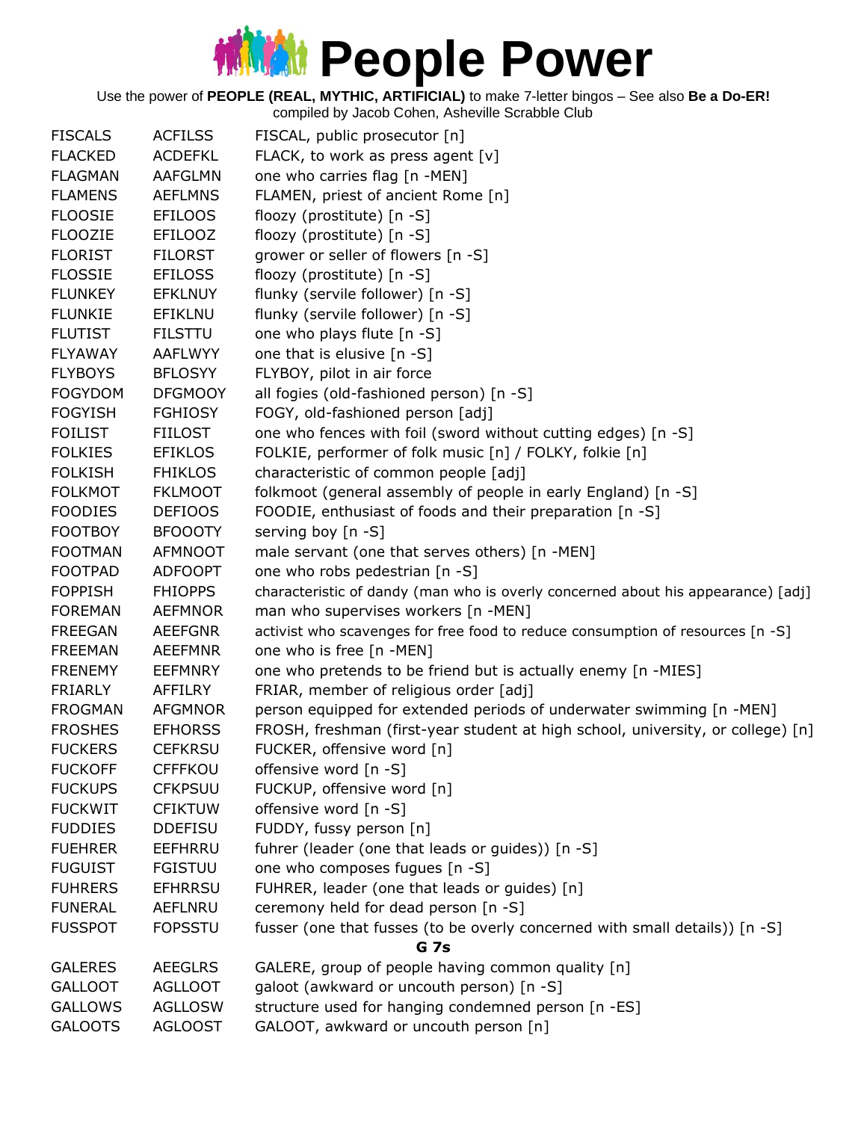Use the power of **PEOPLE (REAL, MYTHIC, ARTIFICIAL)** to make 7-letter bingos – See also **Be a Do-ER!**

| <b>FISCALS</b> | <b>ACFILSS</b> | FISCAL, public prosecutor [n]                                                    |
|----------------|----------------|----------------------------------------------------------------------------------|
| <b>FLACKED</b> | <b>ACDEFKL</b> | FLACK, to work as press agent [v]                                                |
| <b>FLAGMAN</b> | <b>AAFGLMN</b> | one who carries flag [n -MEN]                                                    |
| <b>FLAMENS</b> | <b>AEFLMNS</b> | FLAMEN, priest of ancient Rome [n]                                               |
| <b>FLOOSIE</b> | <b>EFILOOS</b> | floozy (prostitute) [n -S]                                                       |
| <b>FLOOZIE</b> | <b>EFILOOZ</b> | floozy (prostitute) [n -S]                                                       |
| <b>FLORIST</b> | <b>FILORST</b> | grower or seller of flowers [n -S]                                               |
| <b>FLOSSIE</b> | <b>EFILOSS</b> | floozy (prostitute) [n -S]                                                       |
| <b>FLUNKEY</b> | <b>EFKLNUY</b> | flunky (servile follower) [n -S]                                                 |
| <b>FLUNKIE</b> | EFIKLNU        | flunky (servile follower) [n -S]                                                 |
| <b>FLUTIST</b> | <b>FILSTTU</b> | one who plays flute [n -S]                                                       |
| <b>FLYAWAY</b> | AAFLWYY        | one that is elusive [n -S]                                                       |
| <b>FLYBOYS</b> | <b>BFLOSYY</b> | FLYBOY, pilot in air force                                                       |
| <b>FOGYDOM</b> | <b>DFGMOOY</b> | all fogies (old-fashioned person) [n -S]                                         |
| <b>FOGYISH</b> | <b>FGHIOSY</b> | FOGY, old-fashioned person [adj]                                                 |
| <b>FOILIST</b> | <b>FIILOST</b> | one who fences with foil (sword without cutting edges) [n -S]                    |
| <b>FOLKIES</b> | <b>EFIKLOS</b> | FOLKIE, performer of folk music [n] / FOLKY, folkie [n]                          |
| <b>FOLKISH</b> | <b>FHIKLOS</b> | characteristic of common people [adj]                                            |
| <b>FOLKMOT</b> | <b>FKLMOOT</b> | folkmoot (general assembly of people in early England) [n -S]                    |
| <b>FOODIES</b> | <b>DEFIOOS</b> | FOODIE, enthusiast of foods and their preparation [n -S]                         |
| <b>FOOTBOY</b> | <b>BFOOOTY</b> | serving boy [n -S]                                                               |
| <b>FOOTMAN</b> | AFMNOOT        | male servant (one that serves others) [n -MEN]                                   |
| <b>FOOTPAD</b> | <b>ADFOOPT</b> | one who robs pedestrian [n -S]                                                   |
| <b>FOPPISH</b> | <b>FHIOPPS</b> | characteristic of dandy (man who is overly concerned about his appearance) [adj] |
| <b>FOREMAN</b> | <b>AEFMNOR</b> | man who supervises workers [n -MEN]                                              |
| <b>FREEGAN</b> | <b>AEEFGNR</b> | activist who scavenges for free food to reduce consumption of resources [n -S]   |
| <b>FREEMAN</b> | <b>AEEFMNR</b> | one who is free [n -MEN]                                                         |
| <b>FRENEMY</b> | <b>EEFMNRY</b> | one who pretends to be friend but is actually enemy [n -MIES]                    |
| <b>FRIARLY</b> | AFFILRY        | FRIAR, member of religious order [adj]                                           |
| <b>FROGMAN</b> | <b>AFGMNOR</b> | person equipped for extended periods of underwater swimming [n -MEN]             |
| <b>FROSHES</b> | <b>EFHORSS</b> | FROSH, freshman (first-year student at high school, university, or college) [n]  |
| <b>FUCKERS</b> | <b>CEFKRSU</b> | FUCKER, offensive word [n]                                                       |
| <b>FUCKOFF</b> | <b>CFFFKOU</b> | offensive word [n -S]                                                            |
| <b>FUCKUPS</b> | <b>CFKPSUU</b> | FUCKUP, offensive word [n]                                                       |
| <b>FUCKWIT</b> | <b>CFIKTUW</b> | offensive word [n -S]                                                            |
| <b>FUDDIES</b> | <b>DDEFISU</b> | FUDDY, fussy person [n]                                                          |
| <b>FUEHRER</b> | EEFHRRU        | fuhrer (leader (one that leads or guides)) [n -S]                                |
| <b>FUGUIST</b> | <b>FGISTUU</b> | one who composes fugues [n -S]                                                   |
| <b>FUHRERS</b> | <b>EFHRRSU</b> | FUHRER, leader (one that leads or guides) [n]                                    |
| <b>FUNERAL</b> | <b>AEFLNRU</b> | ceremony held for dead person [n -S]                                             |
| <b>FUSSPOT</b> | <b>FOPSSTU</b> | fusser (one that fusses (to be overly concerned with small details)) [n -S]      |
|                |                | <b>G</b> 7s                                                                      |
| <b>GALERES</b> | <b>AEEGLRS</b> | GALERE, group of people having common quality [n]                                |
| <b>GALLOOT</b> | <b>AGLLOOT</b> | galoot (awkward or uncouth person) [n -S]                                        |
| <b>GALLOWS</b> | <b>AGLLOSW</b> | structure used for hanging condemned person [n -ES]                              |
| <b>GALOOTS</b> | <b>AGLOOST</b> | GALOOT, awkward or uncouth person [n]                                            |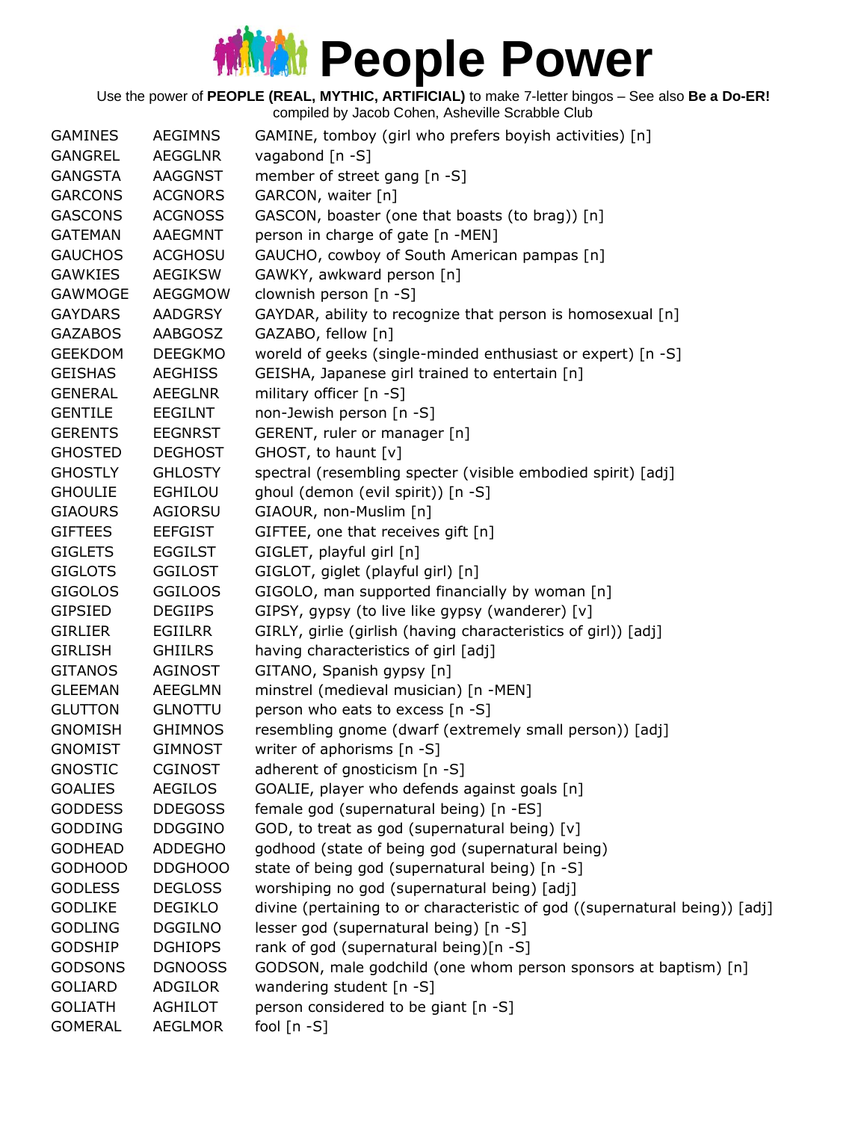| <b>GAMINES</b> | <b>AEGIMNS</b> | GAMINE, tomboy (girl who prefers boyish activities) [n]                     |
|----------------|----------------|-----------------------------------------------------------------------------|
| GANGREL        | <b>AEGGLNR</b> | vagabond [n -S]                                                             |
| <b>GANGSTA</b> | <b>AAGGNST</b> | member of street gang [n -S]                                                |
| <b>GARCONS</b> | <b>ACGNORS</b> | GARCON, waiter [n]                                                          |
| <b>GASCONS</b> | <b>ACGNOSS</b> | GASCON, boaster (one that boasts (to brag)) [n]                             |
| <b>GATEMAN</b> | AAEGMNT        | person in charge of gate [n -MEN]                                           |
| <b>GAUCHOS</b> | <b>ACGHOSU</b> | GAUCHO, cowboy of South American pampas [n]                                 |
| <b>GAWKIES</b> | <b>AEGIKSW</b> | GAWKY, awkward person [n]                                                   |
| GAWMOGE        | AEGGMOW        | clownish person [n -S]                                                      |
| <b>GAYDARS</b> | <b>AADGRSY</b> | GAYDAR, ability to recognize that person is homosexual [n]                  |
| <b>GAZABOS</b> | AABGOSZ        | GAZABO, fellow [n]                                                          |
| <b>GEEKDOM</b> | <b>DEEGKMO</b> | woreld of geeks (single-minded enthusiast or expert) [n -S]                 |
| <b>GEISHAS</b> | <b>AEGHISS</b> | GEISHA, Japanese girl trained to entertain [n]                              |
| <b>GENERAL</b> | <b>AEEGLNR</b> | military officer [n -S]                                                     |
| <b>GENTILE</b> | <b>EEGILNT</b> | non-Jewish person [n -S]                                                    |
| <b>GERENTS</b> | <b>EEGNRST</b> | GERENT, ruler or manager [n]                                                |
| <b>GHOSTED</b> | <b>DEGHOST</b> | GHOST, to haunt [v]                                                         |
| <b>GHOSTLY</b> | <b>GHLOSTY</b> | spectral (resembling specter (visible embodied spirit) [adj]                |
| <b>GHOULIE</b> | <b>EGHILOU</b> | ghoul (demon (evil spirit)) [n -S]                                          |
| <b>GIAOURS</b> | AGIORSU        | GIAOUR, non-Muslim [n]                                                      |
| <b>GIFTEES</b> | <b>EEFGIST</b> | GIFTEE, one that receives gift [n]                                          |
| <b>GIGLETS</b> | <b>EGGILST</b> | GIGLET, playful girl [n]                                                    |
| <b>GIGLOTS</b> | <b>GGILOST</b> |                                                                             |
|                |                | GIGLOT, giglet (playful girl) [n]                                           |
| <b>GIGOLOS</b> | <b>GGILOOS</b> | GIGOLO, man supported financially by woman [n]                              |
| <b>GIPSIED</b> | <b>DEGIIPS</b> | GIPSY, gypsy (to live like gypsy (wanderer) [v]                             |
| <b>GIRLIER</b> | EGIILRR        | GIRLY, girlie (girlish (having characteristics of girl)) [adj]              |
| <b>GIRLISH</b> | <b>GHIILRS</b> | having characteristics of girl [adj]                                        |
| <b>GITANOS</b> | <b>AGINOST</b> | GITANO, Spanish gypsy [n]                                                   |
| <b>GLEEMAN</b> | <b>AEEGLMN</b> | minstrel (medieval musician) [n -MEN]                                       |
| <b>GLUTTON</b> | <b>GLNOTTU</b> | person who eats to excess [n -S]                                            |
| <b>GNOMISH</b> | <b>GHIMNOS</b> | resembling gnome (dwarf (extremely small person)) [adj]                     |
| <b>GNOMIST</b> | <b>GIMNOST</b> | writer of aphorisms $[n -S]$                                                |
| <b>GNOSTIC</b> | <b>CGINOST</b> | adherent of gnosticism [n -S]                                               |
| <b>GOALIES</b> | <b>AEGILOS</b> | GOALIE, player who defends against goals [n]                                |
| <b>GODDESS</b> | <b>DDEGOSS</b> | female god (supernatural being) [n -ES]                                     |
| <b>GODDING</b> | <b>DDGGINO</b> | GOD, to treat as god (supernatural being) [v]                               |
| <b>GODHEAD</b> | <b>ADDEGHO</b> | godhood (state of being god (supernatural being)                            |
| <b>GODHOOD</b> | DDGHOOO        | state of being god (supernatural being) [n -S]                              |
| <b>GODLESS</b> | <b>DEGLOSS</b> | worshiping no god (supernatural being) [adj]                                |
| <b>GODLIKE</b> | <b>DEGIKLO</b> | divine (pertaining to or characteristic of god ((supernatural being)) [adj] |
| <b>GODLING</b> | <b>DGGILNO</b> | lesser god (supernatural being) [n -S]                                      |
| <b>GODSHIP</b> | <b>DGHIOPS</b> | rank of god (supernatural being)[n -S]                                      |
| <b>GODSONS</b> | <b>DGNOOSS</b> | GODSON, male godchild (one whom person sponsors at baptism) [n]             |
| <b>GOLIARD</b> | <b>ADGILOR</b> | wandering student [n -S]                                                    |
| <b>GOLIATH</b> | <b>AGHILOT</b> | person considered to be giant [n -S]                                        |
| <b>GOMERAL</b> | <b>AEGLMOR</b> | fool $[n - S]$                                                              |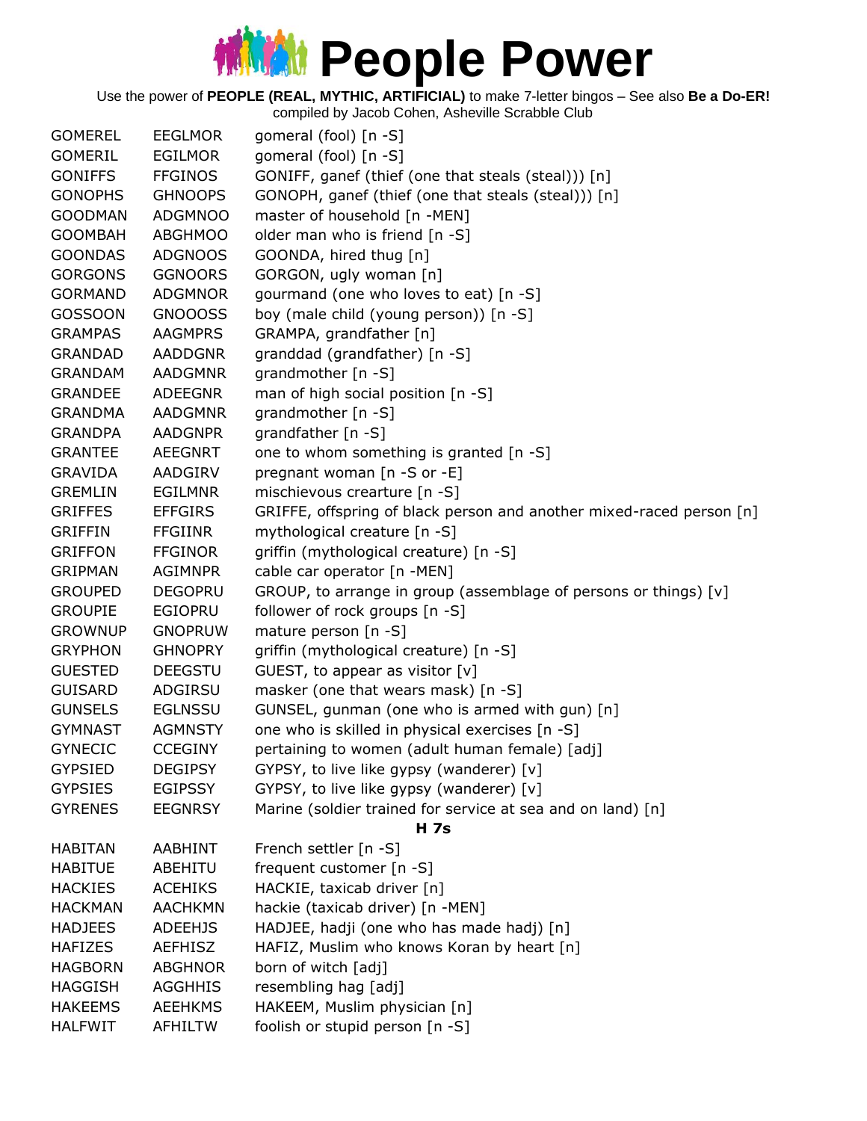| <b>GOMEREL</b> | <b>EEGLMOR</b> | gomeral (fool) [n -S]                                                |
|----------------|----------------|----------------------------------------------------------------------|
| <b>GOMERIL</b> | EGILMOR        | gomeral (fool) [n -S]                                                |
| <b>GONIFFS</b> | <b>FFGINOS</b> | GONIFF, ganef (thief (one that steals (steal))) [n]                  |
| <b>GONOPHS</b> | <b>GHNOOPS</b> | GONOPH, ganef (thief (one that steals (steal))) [n]                  |
| <b>GOODMAN</b> | <b>ADGMNOO</b> | master of household [n -MEN]                                         |
| <b>GOOMBAH</b> | <b>ABGHMOO</b> | older man who is friend [n -S]                                       |
| <b>GOONDAS</b> | <b>ADGNOOS</b> | GOONDA, hired thug [n]                                               |
| <b>GORGONS</b> | <b>GGNOORS</b> | GORGON, ugly woman [n]                                               |
| <b>GORMAND</b> | <b>ADGMNOR</b> | gourmand (one who loves to eat) [n -S]                               |
| <b>GOSSOON</b> | GNOOOSS        | boy (male child (young person)) [n -S]                               |
| <b>GRAMPAS</b> | <b>AAGMPRS</b> | GRAMPA, grandfather [n]                                              |
| <b>GRANDAD</b> | AADDGNR        | granddad (grandfather) [n -S]                                        |
| <b>GRANDAM</b> | <b>AADGMNR</b> | grandmother [n -S]                                                   |
| <b>GRANDEE</b> | ADEEGNR        | man of high social position [n -S]                                   |
| <b>GRANDMA</b> | <b>AADGMNR</b> | grandmother [n -S]                                                   |
| <b>GRANDPA</b> | <b>AADGNPR</b> | grandfather [n -S]                                                   |
| <b>GRANTEE</b> | <b>AEEGNRT</b> | one to whom something is granted [n -S]                              |
| <b>GRAVIDA</b> | AADGIRV        | pregnant woman [n -S or -E]                                          |
| <b>GREMLIN</b> | <b>EGILMNR</b> | mischievous crearture [n -S]                                         |
| <b>GRIFFES</b> | <b>EFFGIRS</b> | GRIFFE, offspring of black person and another mixed-raced person [n] |
| <b>GRIFFIN</b> | <b>FFGIINR</b> | mythological creature [n -S]                                         |
| <b>GRIFFON</b> | <b>FFGINOR</b> | griffin (mythological creature) [n -S]                               |
| <b>GRIPMAN</b> | <b>AGIMNPR</b> | cable car operator [n -MEN]                                          |
| <b>GROUPED</b> | <b>DEGOPRU</b> | GROUP, to arrange in group (assemblage of persons or things) [v]     |
| <b>GROUPIE</b> | <b>EGIOPRU</b> | follower of rock groups [n -S]                                       |
| <b>GROWNUP</b> | <b>GNOPRUW</b> | mature person [n -S]                                                 |
| <b>GRYPHON</b> | <b>GHNOPRY</b> | griffin (mythological creature) [n -S]                               |
| <b>GUESTED</b> | <b>DEEGSTU</b> | GUEST, to appear as visitor $[v]$                                    |
| <b>GUISARD</b> | ADGIRSU        | masker (one that wears mask) [n -S]                                  |
| <b>GUNSELS</b> | <b>EGLNSSU</b> | GUNSEL, gunman (one who is armed with gun) [n]                       |
| <b>GYMNAST</b> | <b>AGMNSTY</b> | one who is skilled in physical exercises [n -S]                      |
| <b>GYNECIC</b> | <b>CCEGINY</b> | pertaining to women (adult human female) [adj]                       |
| <b>GYPSIED</b> | <b>DEGIPSY</b> | GYPSY, to live like gypsy (wanderer) [v]                             |
| <b>GYPSIES</b> | <b>EGIPSSY</b> | GYPSY, to live like gypsy (wanderer) [v]                             |
| <b>GYRENES</b> | <b>EEGNRSY</b> | Marine (soldier trained for service at sea and on land) [n]          |
|                |                | <b>H</b> 7s                                                          |
| <b>HABITAN</b> | <b>AABHINT</b> | French settler [n -S]                                                |
| <b>HABITUE</b> | ABEHITU        | frequent customer [n -S]                                             |
| <b>HACKIES</b> | <b>ACEHIKS</b> | HACKIE, taxicab driver [n]                                           |
| <b>HACKMAN</b> | <b>AACHKMN</b> | hackie (taxicab driver) [n -MEN]                                     |
| <b>HADJEES</b> | <b>ADEEHJS</b> | HADJEE, hadji (one who has made hadj) [n]                            |
| <b>HAFIZES</b> | <b>AEFHISZ</b> | HAFIZ, Muslim who knows Koran by heart [n]                           |
| <b>HAGBORN</b> | <b>ABGHNOR</b> | born of witch [adj]                                                  |
| <b>HAGGISH</b> | <b>AGGHHIS</b> | resembling hag [adj]                                                 |
| <b>HAKEEMS</b> | <b>AEEHKMS</b> | HAKEEM, Muslim physician [n]                                         |
| <b>HALFWIT</b> | AFHILTW        | foolish or stupid person [n -S]                                      |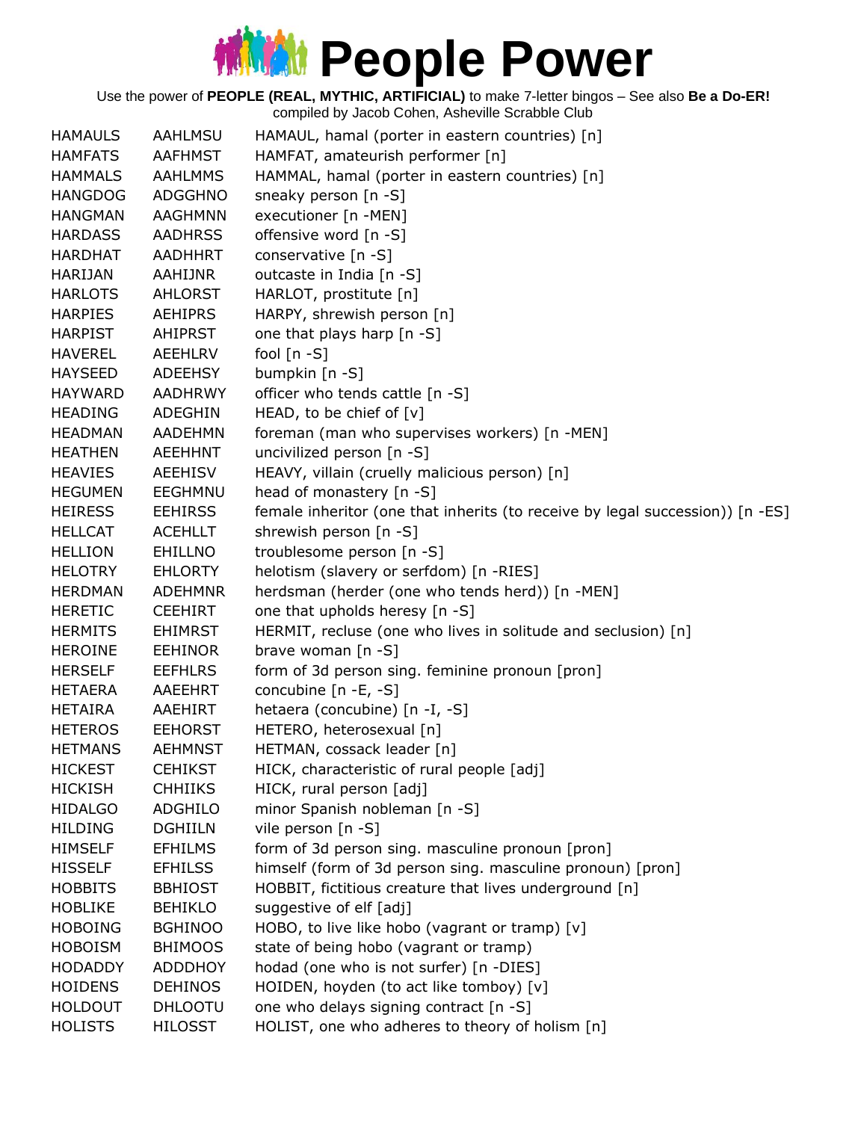Use the power of **PEOPLE (REAL, MYTHIC, ARTIFICIAL)** to make 7-letter bingos – See also **Be a Do-ER!**

| <b>HAMAULS</b> | AAHLMSU        | HAMAUL, hamal (porter in eastern countries) [n]                               |
|----------------|----------------|-------------------------------------------------------------------------------|
| <b>HAMFATS</b> | <b>AAFHMST</b> | HAMFAT, amateurish performer [n]                                              |
| <b>HAMMALS</b> | <b>AAHLMMS</b> | HAMMAL, hamal (porter in eastern countries) [n]                               |
| <b>HANGDOG</b> | ADGGHNO        | sneaky person [n -S]                                                          |
| <b>HANGMAN</b> | <b>AAGHMNN</b> | executioner [n -MEN]                                                          |
| <b>HARDASS</b> | <b>AADHRSS</b> | offensive word [n -S]                                                         |
| <b>HARDHAT</b> | AADHHRT        | conservative [n -S]                                                           |
| <b>HARIJAN</b> | <b>AAHIJNR</b> | outcaste in India [n -S]                                                      |
| <b>HARLOTS</b> | AHLORST        | HARLOT, prostitute [n]                                                        |
| <b>HARPIES</b> | <b>AEHIPRS</b> | HARPY, shrewish person [n]                                                    |
| <b>HARPIST</b> | <b>AHIPRST</b> | one that plays harp [n -S]                                                    |
| <b>HAVEREL</b> | AEEHLRV        | fool $[n - S]$                                                                |
| <b>HAYSEED</b> | ADEEHSY        | bumpkin [n -S]                                                                |
| <b>HAYWARD</b> | AADHRWY        | officer who tends cattle [n -S]                                               |
| <b>HEADING</b> | ADEGHIN        | HEAD, to be chief of [v]                                                      |
| <b>HEADMAN</b> | AADEHMN        | foreman (man who supervises workers) [n -MEN]                                 |
| <b>HEATHEN</b> | <b>AEEHHNT</b> | uncivilized person [n -S]                                                     |
| <b>HEAVIES</b> | <b>AEEHISV</b> | HEAVY, villain (cruelly malicious person) [n]                                 |
| <b>HEGUMEN</b> | EEGHMNU        | head of monastery [n -S]                                                      |
| <b>HEIRESS</b> | <b>EEHIRSS</b> | female inheritor (one that inherits (to receive by legal succession)) [n -ES] |
| <b>HELLCAT</b> | <b>ACEHLLT</b> | shrewish person [n -S]                                                        |
| <b>HELLION</b> | <b>EHILLNO</b> | troublesome person [n -S]                                                     |
| <b>HELOTRY</b> | <b>EHLORTY</b> | helotism (slavery or serfdom) [n -RIES]                                       |
| <b>HERDMAN</b> | <b>ADEHMNR</b> | herdsman (herder (one who tends herd)) [n -MEN]                               |
| <b>HERETIC</b> | <b>CEEHIRT</b> | one that upholds heresy [n -S]                                                |
| <b>HERMITS</b> | <b>EHIMRST</b> | HERMIT, recluse (one who lives in solitude and seclusion) [n]                 |
| <b>HEROINE</b> | <b>EEHINOR</b> | brave woman $[n -S]$                                                          |
| <b>HERSELF</b> | <b>EEFHLRS</b> | form of 3d person sing. feminine pronoun [pron]                               |
| <b>HETAERA</b> | AAEEHRT        | concubine $[n -E, -S]$                                                        |
| <b>HETAIRA</b> | AAEHIRT        | hetaera (concubine) [n -I, -S]                                                |
| <b>HETEROS</b> | <b>EEHORST</b> | HETERO, heterosexual [n]                                                      |
| <b>HETMANS</b> | <b>AEHMNST</b> | HETMAN, cossack leader [n]                                                    |
| <b>HICKEST</b> | <b>CEHIKST</b> | HICK, characteristic of rural people [adj]                                    |
| <b>HICKISH</b> | <b>CHHIIKS</b> | HICK, rural person [adj]                                                      |
| <b>HIDALGO</b> | <b>ADGHILO</b> | minor Spanish nobleman [n -S]                                                 |
| <b>HILDING</b> | <b>DGHIILN</b> | vile person [n -S]                                                            |
| <b>HIMSELF</b> | <b>EFHILMS</b> | form of 3d person sing. masculine pronoun [pron]                              |
| <b>HISSELF</b> | <b>EFHILSS</b> | himself (form of 3d person sing. masculine pronoun) [pron]                    |
| <b>HOBBITS</b> | <b>BBHIOST</b> | HOBBIT, fictitious creature that lives underground [n]                        |
| <b>HOBLIKE</b> | <b>BEHIKLO</b> | suggestive of elf [adj]                                                       |
| <b>HOBOING</b> | <b>BGHINOO</b> | HOBO, to live like hobo (vagrant or tramp) [v]                                |
| <b>HOBOISM</b> | <b>BHIMOOS</b> | state of being hobo (vagrant or tramp)                                        |
| <b>HODADDY</b> | ADDDHOY        | hodad (one who is not surfer) [n -DIES]                                       |
| <b>HOIDENS</b> | <b>DEHINOS</b> | HOIDEN, hoyden (to act like tomboy) [v]                                       |
| <b>HOLDOUT</b> | <b>DHLOOTU</b> | one who delays signing contract [n -S]                                        |
| <b>HOLISTS</b> | <b>HILOSST</b> | HOLIST, one who adheres to theory of holism [n]                               |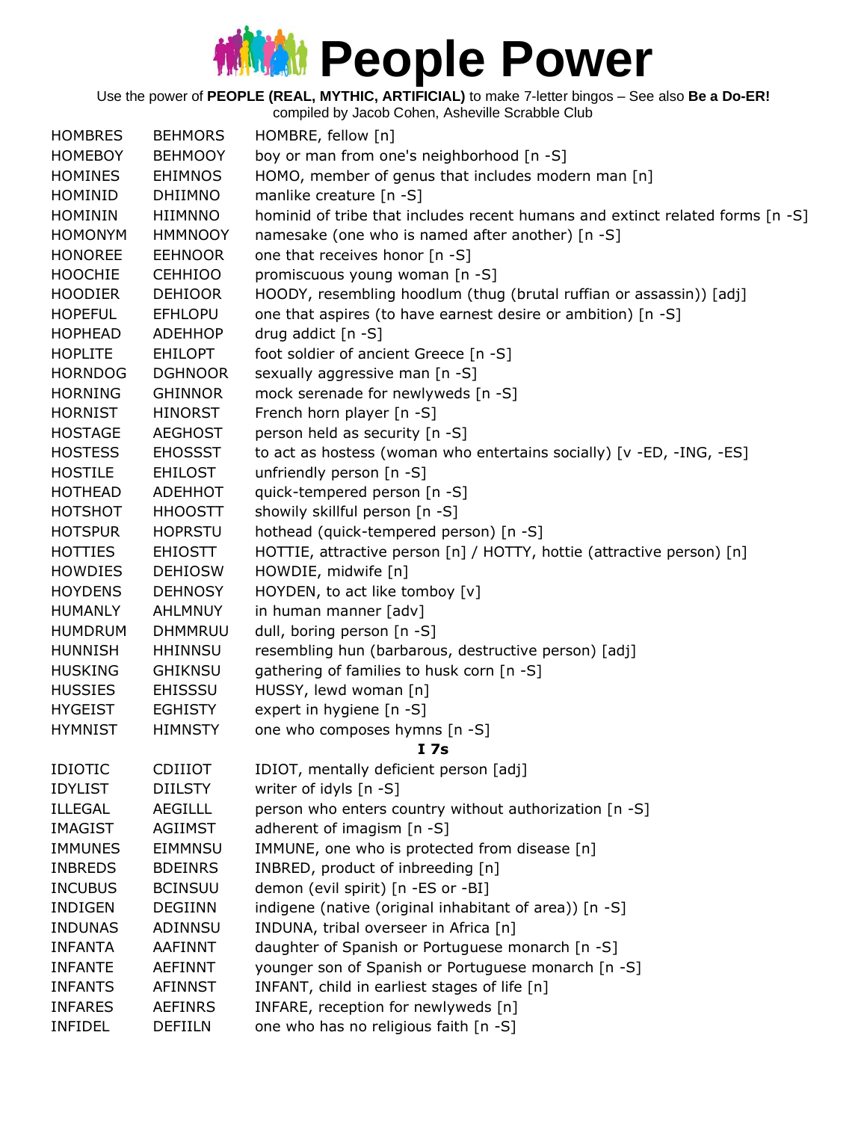#### **Middle Power**

Use the power of **PEOPLE (REAL, MYTHIC, ARTIFICIAL)** to make 7-letter bingos – See also **Be a Do-ER!**

| <b>HOMBRES</b> | <b>BEHMORS</b> | HOMBRE, fellow [n]                                                            |
|----------------|----------------|-------------------------------------------------------------------------------|
| <b>HOMEBOY</b> | <b>BEHMOOY</b> | boy or man from one's neighborhood [n -S]                                     |
| <b>HOMINES</b> | <b>EHIMNOS</b> | HOMO, member of genus that includes modern man [n]                            |
| HOMINID        | <b>DHIIMNO</b> | manlike creature [n -S]                                                       |
| <b>HOMININ</b> | <b>HIIMNNO</b> | hominid of tribe that includes recent humans and extinct related forms [n -S] |
| <b>HOMONYM</b> | <b>HMMNOOY</b> | namesake (one who is named after another) [n -S]                              |
| <b>HONOREE</b> | <b>EEHNOOR</b> | one that receives honor [n -S]                                                |
| <b>HOOCHIE</b> | <b>CEHHIOO</b> | promiscuous young woman [n -S]                                                |
| <b>HOODIER</b> | <b>DEHIOOR</b> | HOODY, resembling hoodlum (thug (brutal ruffian or assassin)) [adj]           |
| <b>HOPEFUL</b> | <b>EFHLOPU</b> | one that aspires (to have earnest desire or ambition) [n -S]                  |
| <b>HOPHEAD</b> | <b>ADEHHOP</b> | drug addict [n -S]                                                            |
| <b>HOPLITE</b> | <b>EHILOPT</b> | foot soldier of ancient Greece [n -S]                                         |
| <b>HORNDOG</b> | <b>DGHNOOR</b> | sexually aggressive man [n -S]                                                |
| <b>HORNING</b> | <b>GHINNOR</b> | mock serenade for newlyweds [n -S]                                            |
| <b>HORNIST</b> | <b>HINORST</b> | French horn player [n -S]                                                     |
| <b>HOSTAGE</b> | <b>AEGHOST</b> | person held as security [n -S]                                                |
| <b>HOSTESS</b> | <b>EHOSSST</b> | to act as hostess (woman who entertains socially) [v -ED, -ING, -ES]          |
| <b>HOSTILE</b> | <b>EHILOST</b> | unfriendly person [n -S]                                                      |
| <b>HOTHEAD</b> | <b>ADEHHOT</b> | quick-tempered person [n -S]                                                  |
| <b>HOTSHOT</b> | <b>HHOOSTT</b> | showily skillful person [n -S]                                                |
| <b>HOTSPUR</b> | <b>HOPRSTU</b> | hothead (quick-tempered person) [n -S]                                        |
| <b>HOTTIES</b> | <b>EHIOSTT</b> | HOTTIE, attractive person [n] / HOTTY, hottie (attractive person) [n]         |
| <b>HOWDIES</b> | <b>DEHIOSW</b> | HOWDIE, midwife [n]                                                           |
| <b>HOYDENS</b> | <b>DEHNOSY</b> | HOYDEN, to act like tomboy [v]                                                |
| <b>HUMANLY</b> | <b>AHLMNUY</b> | in human manner [adv]                                                         |
| <b>HUMDRUM</b> | <b>DHMMRUU</b> | dull, boring person [n -S]                                                    |
| <b>HUNNISH</b> | <b>HHINNSU</b> | resembling hun (barbarous, destructive person) [adj]                          |
| <b>HUSKING</b> | <b>GHIKNSU</b> | gathering of families to husk corn [n -S]                                     |
| <b>HUSSIES</b> | <b>EHISSSU</b> | HUSSY, lewd woman [n]                                                         |
| <b>HYGEIST</b> | <b>EGHISTY</b> | expert in hygiene [n -S]                                                      |
| <b>HYMNIST</b> | <b>HIMNSTY</b> | one who composes hymns [n -S]                                                 |
|                |                | I <sub>7s</sub>                                                               |
| <b>IDIOTIC</b> | <b>CDIIIOT</b> | IDIOT, mentally deficient person [adj]                                        |
| <b>IDYLIST</b> | <b>DIILSTY</b> | writer of idyls [n -S]                                                        |
| <b>ILLEGAL</b> | AEGILLL        | person who enters country without authorization [n -S]                        |
| <b>IMAGIST</b> | <b>AGIIMST</b> | adherent of imagism $[n - S]$                                                 |
| <b>IMMUNES</b> | <b>EIMMNSU</b> | IMMUNE, one who is protected from disease [n]                                 |
| <b>INBREDS</b> | <b>BDEINRS</b> | INBRED, product of inbreeding [n]                                             |
| <b>INCUBUS</b> | <b>BCINSUU</b> | demon (evil spirit) [n -ES or -BI]                                            |
| <b>INDIGEN</b> | <b>DEGIINN</b> | indigene (native (original inhabitant of area)) [n -S]                        |
| <b>INDUNAS</b> | ADINNSU        | INDUNA, tribal overseer in Africa [n]                                         |
| <b>INFANTA</b> |                |                                                                               |
|                | AAFINNT        | daughter of Spanish or Portuguese monarch [n -S]                              |
| <b>INFANTE</b> | <b>AEFINNT</b> | younger son of Spanish or Portuguese monarch [n -S]                           |
| <b>INFANTS</b> | <b>AFINNST</b> | INFANT, child in earliest stages of life [n]                                  |
| <b>INFARES</b> | <b>AEFINRS</b> | INFARE, reception for newlyweds [n]                                           |
| <b>INFIDEL</b> | DEFIILN        | one who has no religious faith [n -S]                                         |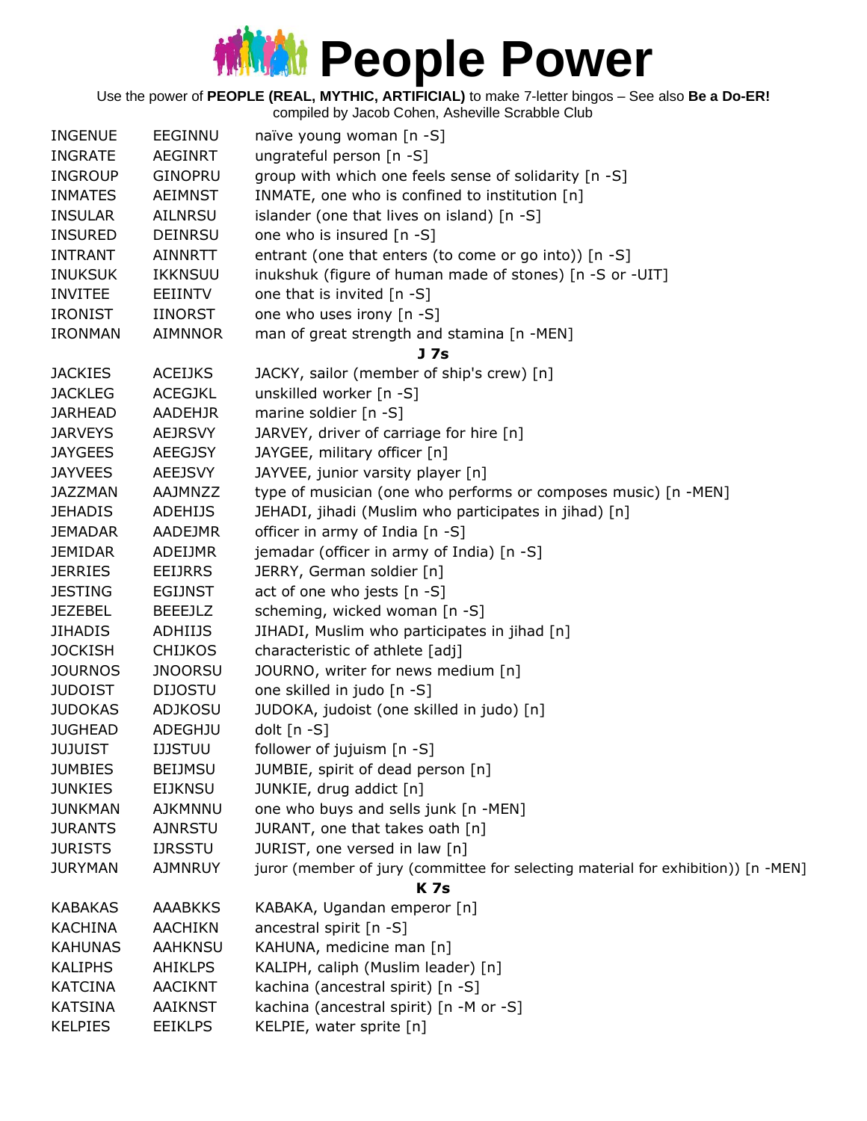Use the power of **PEOPLE (REAL, MYTHIC, ARTIFICIAL)** to make 7-letter bingos – See also **Be a Do-ER!**

| <b>INGENUE</b> | EEGINNU        | naïve young woman [n -S]                                                          |
|----------------|----------------|-----------------------------------------------------------------------------------|
| <b>INGRATE</b> | <b>AEGINRT</b> | ungrateful person [n -S]                                                          |
| <b>INGROUP</b> | <b>GINOPRU</b> | group with which one feels sense of solidarity [n -S]                             |
| <b>INMATES</b> | <b>AEIMNST</b> | INMATE, one who is confined to institution [n]                                    |
| <b>INSULAR</b> | AILNRSU        | islander (one that lives on island) [n -S]                                        |
| <b>INSURED</b> | <b>DEINRSU</b> | one who is insured [n -S]                                                         |
| <b>INTRANT</b> | <b>AINNRTT</b> | entrant (one that enters (to come or go into)) [n -S]                             |
| <b>INUKSUK</b> | IKKNSUU        | inukshuk (figure of human made of stones) [n -S or -UIT]                          |
| <b>INVITEE</b> | EEIINTV        | one that is invited $[n - S]$                                                     |
| <b>IRONIST</b> | <b>IINORST</b> | one who uses irony [n -S]                                                         |
| <b>IRONMAN</b> | <b>AIMNNOR</b> | man of great strength and stamina [n -MEN]                                        |
|                |                | J <sub>7s</sub>                                                                   |
| <b>JACKIES</b> | <b>ACEIJKS</b> | JACKY, sailor (member of ship's crew) [n]                                         |
| <b>JACKLEG</b> | <b>ACEGJKL</b> | unskilled worker [n -S]                                                           |
| <b>JARHEAD</b> | AADEHJR        | marine soldier [n -S]                                                             |
| <b>JARVEYS</b> | <b>AEJRSVY</b> | JARVEY, driver of carriage for hire [n]                                           |
| <b>JAYGEES</b> | <b>AEEGJSY</b> | JAYGEE, military officer [n]                                                      |
| <b>JAYVEES</b> | <b>AEEJSVY</b> | JAYVEE, junior varsity player [n]                                                 |
| <b>JAZZMAN</b> | <b>AAJMNZZ</b> | type of musician (one who performs or composes music) [n -MEN]                    |
| <b>JEHADIS</b> | <b>ADEHIJS</b> | JEHADI, jihadi (Muslim who participates in jihad) [n]                             |
| <b>JEMADAR</b> | AADEJMR        | officer in army of India [n -S]                                                   |
| <b>JEMIDAR</b> | ADEIJMR        | jemadar (officer in army of India) [n -S]                                         |
| <b>JERRIES</b> | <b>EEIJRRS</b> | JERRY, German soldier [n]                                                         |
| <b>JESTING</b> | <b>EGIJNST</b> | act of one who jests [n -S]                                                       |
| <b>JEZEBEL</b> | <b>BEEEJLZ</b> | scheming, wicked woman [n -S]                                                     |
| <b>JIHADIS</b> | ADHIIJS        | JIHADI, Muslim who participates in jihad [n]                                      |
| <b>JOCKISH</b> | <b>CHIJKOS</b> | characteristic of athlete [adj]                                                   |
| <b>JOURNOS</b> | <b>JNOORSU</b> | JOURNO, writer for news medium [n]                                                |
| <b>JUDOIST</b> | <b>DIJOSTU</b> | one skilled in judo [n -S]                                                        |
| <b>JUDOKAS</b> | <b>ADJKOSU</b> | JUDOKA, judoist (one skilled in judo) [n]                                         |
| <b>JUGHEAD</b> | <b>ADEGHJU</b> | dolt [n -S]                                                                       |
| <b>JUJUIST</b> | <b>IJJSTUU</b> | follower of jujuism [n -S]                                                        |
| <b>JUMBIES</b> | <b>BEIJMSU</b> | JUMBIE, spirit of dead person [n]                                                 |
| <b>JUNKIES</b> | <b>EIJKNSU</b> | JUNKIE, drug addict [n]                                                           |
| <b>JUNKMAN</b> | <b>AJKMNNU</b> | one who buys and sells junk [n -MEN]                                              |
| <b>JURANTS</b> | <b>AJNRSTU</b> | JURANT, one that takes oath [n]                                                   |
| <b>JURISTS</b> | <b>IJRSSTU</b> | JURIST, one versed in law [n]                                                     |
| <b>JURYMAN</b> | AJMNRUY        | juror (member of jury (committee for selecting material for exhibition)) [n -MEN] |
|                |                | <b>K7s</b>                                                                        |
| <b>KABAKAS</b> | <b>AAABKKS</b> | KABAKA, Ugandan emperor [n]                                                       |
| <b>KACHINA</b> | <b>AACHIKN</b> | ancestral spirit [n -S]                                                           |
| <b>KAHUNAS</b> | <b>AAHKNSU</b> | KAHUNA, medicine man [n]                                                          |
| <b>KALIPHS</b> | <b>AHIKLPS</b> | KALIPH, caliph (Muslim leader) [n]                                                |
| <b>KATCINA</b> | <b>AACIKNT</b> | kachina (ancestral spirit) [n -S]                                                 |
| <b>KATSINA</b> | <b>AAIKNST</b> | kachina (ancestral spirit) [n -M or -S]                                           |
| <b>KELPIES</b> | <b>EEIKLPS</b> | KELPIE, water sprite [n]                                                          |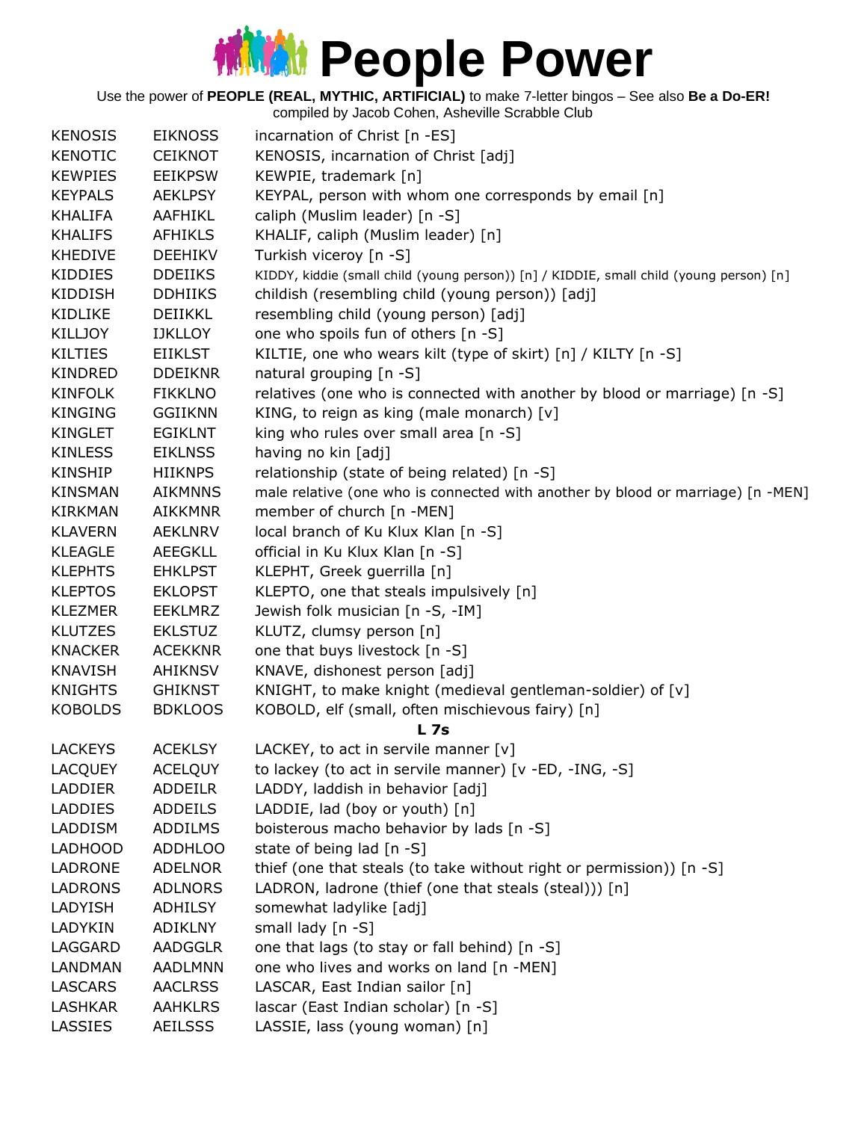#### **MMM** People Power

Use the power of **PEOPLE (REAL, MYTHIC, ARTIFICIAL)** to make 7-letter bingos – See also **Be a Do-ER!**

compiled by Jacob Cohen, Asheville Scrabble Club KENOSIS EIKNOSS incarnation of Christ [n -ES] KENOTIC CEIKNOT KENOSIS, incarnation of Christ [adj] KEWPIES EEIKPSW KEWPIE, trademark [n] KEYPALS AEKLPSY KEYPAL, person with whom one corresponds by email [n] KHALIFA AAFHIKL caliph (Muslim leader) [n -S] KHALIFS AFHIKLS KHALIF, caliph (Muslim leader) [n] KHEDIVE DEEHIKV Turkish viceroy [n -S] KIDDIES DDEIIKS KIDDY, kiddie (small child (young person)) [n] / KIDDIE, small child (young person) [n] KIDDISH DDHIIKS childish (resembling child (young person)) [adj] KIDLIKE DEIIKKL resembling child (young person) [adj] KILLJOY IJKLLOY one who spoils fun of others [n -S] KILTIES EIIKLST KILTIE, one who wears kilt (type of skirt) [n] / KILTY [n -S] KINDRED DDEIKNR natural grouping [n -S] KINFOLK FIKKLNO relatives (one who is connected with another by blood or marriage) [n -S] KINGING GGIIKNN KING, to reign as king (male monarch) [v] KINGLET EGIKLNT king who rules over small area [n -S] KINLESS EIKLNSS having no kin [adj] KINSHIP HIIKNPS relationship (state of being related) [n -S] KINSMAN AIKMNNS male relative (one who is connected with another by blood or marriage) [n -MEN] KIRKMAN AIKKMNR member of church [n -MEN] KLAVERN AEKLNRV local branch of Ku Klux Klan [n -S] KLEAGLE AEEGKLL official in Ku Klux Klan [n -S] KLEPHTS EHKLPST KLEPHT, Greek guerrilla [n] KLEPTOS EKLOPST KLEPTO, one that steals impulsively [n] KLEZMER EEKLMRZ Jewish folk musician [n -S, -IM] KLUTZES EKLSTUZ KLUTZ, clumsy person [n] KNACKER ACEKKNR one that buys livestock [n -S] KNAVISH AHIKNSV KNAVE, dishonest person [adj] KNIGHTS GHIKNST KNIGHT, to make knight (medieval gentleman-soldier) of [v] KOBOLDS BDKLOOS KOBOLD, elf (small, often mischievous fairy) [n] **L 7s** LACKEYS ACEKLSY LACKEY, to act in servile manner [v] LACQUEY ACELQUY to lackey (to act in servile manner) [v -ED, -ING, -S] LADDIER ADDEILR LADDY, laddish in behavior [adj] LADDIES ADDEILS LADDIE, lad (boy or youth) [n] LADDISM ADDILMS boisterous macho behavior by lads [n -S] LADHOOD ADDHLOO state of being lad [n -S] LADRONE ADELNOR thief (one that steals (to take without right or permission))  $[n - S]$ LADRONS ADLNORS LADRON, ladrone (thief (one that steals (steal))) [n] LADYISH ADHILSY somewhat ladylike [adj] LADYKIN ADIKLNY small lady [n -S] LAGGARD AADGGLR one that lags (to stay or fall behind) [n -S] LANDMAN AADLMNN one who lives and works on land [n -MEN] LASCARS AACLRSS LASCAR, East Indian sailor [n] LASHKAR AAHKLRS lascar (East Indian scholar) [n -S] LASSIES AEILSSS LASSIE, lass (young woman) [n]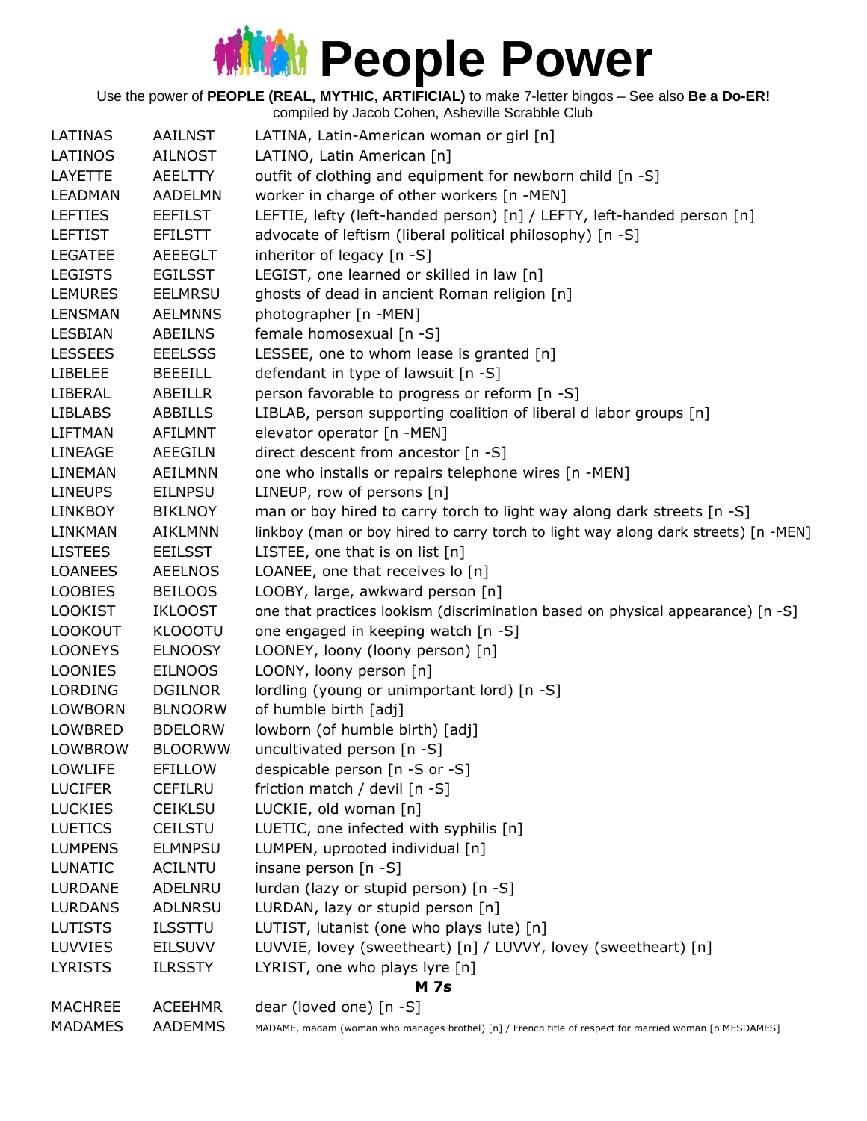Use the power of **PEOPLE (REAL, MYTHIC, ARTIFICIAL)** to make 7-letter bingos – See also **Be a Do-ER!**

|                |                | compiled by Jacob Cohen, Asheville Scrabble Club                                                       |
|----------------|----------------|--------------------------------------------------------------------------------------------------------|
| LATINAS        | <b>AAILNST</b> | LATINA, Latin-American woman or girl [n]                                                               |
| LATINOS        | <b>AILNOST</b> | LATINO, Latin American [n]                                                                             |
| <b>LAYETTE</b> | <b>AEELTTY</b> | outfit of clothing and equipment for newborn child [n -S]                                              |
| <b>LEADMAN</b> | <b>AADELMN</b> | worker in charge of other workers [n -MEN]                                                             |
| <b>LEFTIES</b> | <b>EEFILST</b> | LEFTIE, lefty (left-handed person) [n] / LEFTY, left-handed person [n]                                 |
| <b>LEFTIST</b> | <b>EFILSTT</b> | advocate of leftism (liberal political philosophy) [n -S]                                              |
| <b>LEGATEE</b> | <b>AEEEGLT</b> | inheritor of legacy $[n - S]$                                                                          |
| <b>LEGISTS</b> | <b>EGILSST</b> | LEGIST, one learned or skilled in law [n]                                                              |
| <b>LEMURES</b> | <b>EELMRSU</b> | ghosts of dead in ancient Roman religion [n]                                                           |
| <b>LENSMAN</b> | <b>AELMNNS</b> | photographer [n -MEN]                                                                                  |
| <b>LESBIAN</b> | <b>ABEILNS</b> | female homosexual [n -S]                                                                               |
| <b>LESSEES</b> | <b>EEELSSS</b> | LESSEE, one to whom lease is granted [n]                                                               |
| <b>LIBELEE</b> | <b>BEEEILL</b> | defendant in type of lawsuit [n -S]                                                                    |
| LIBERAL        | ABEILLR        | person favorable to progress or reform [n -S]                                                          |
| <b>LIBLABS</b> | ABBILLS        | LIBLAB, person supporting coalition of liberal d labor groups [n]                                      |
| <b>LIFTMAN</b> | <b>AFILMNT</b> | elevator operator [n -MEN]                                                                             |
| <b>LINEAGE</b> | <b>AEEGILN</b> | direct descent from ancestor [n -S]                                                                    |
| LINEMAN        | <b>AEILMNN</b> | one who installs or repairs telephone wires [n -MEN]                                                   |
| <b>LINEUPS</b> | <b>EILNPSU</b> | LINEUP, row of persons [n]                                                                             |
| <b>LINKBOY</b> | <b>BIKLNOY</b> | man or boy hired to carry torch to light way along dark streets [n -S]                                 |
| LINKMAN        | <b>AIKLMNN</b> | linkboy (man or boy hired to carry torch to light way along dark streets) [n -MEN]                     |
| <b>LISTEES</b> | <b>EEILSST</b> | LISTEE, one that is on list [n]                                                                        |
| <b>LOANEES</b> | <b>AEELNOS</b> | LOANEE, one that receives lo [n]                                                                       |
| <b>LOOBIES</b> | <b>BEILOOS</b> | LOOBY, large, awkward person [n]                                                                       |
| <b>LOOKIST</b> | <b>IKLOOST</b> | one that practices lookism (discrimination based on physical appearance) [n -S]                        |
| <b>LOOKOUT</b> | <b>KLOOOTU</b> | one engaged in keeping watch [n -S]                                                                    |
| <b>LOONEYS</b> | <b>ELNOOSY</b> | LOONEY, loony (loony person) [n]                                                                       |
| <b>LOONIES</b> | <b>EILNOOS</b> | LOONY, loony person [n]                                                                                |
| <b>LORDING</b> | <b>DGILNOR</b> | lordling (young or unimportant lord) [n -S]                                                            |
| LOWBORN        | <b>BLNOORW</b> | of humble birth [adj]                                                                                  |
| LOWBRED        | <b>BDELORW</b> | lowborn (of humble birth) [adj]                                                                        |
| <b>LOWBROW</b> | <b>BLOORWW</b> | uncultivated person [n -S]                                                                             |
| <b>LOWLIFE</b> | EFILLOW        | despicable person [n -S or -S]                                                                         |
| <b>LUCIFER</b> | <b>CEFILRU</b> | friction match / devil [n -S]                                                                          |
| <b>LUCKIES</b> | <b>CEIKLSU</b> | LUCKIE, old woman [n]                                                                                  |
| <b>LUETICS</b> | <b>CEILSTU</b> | LUETIC, one infected with syphilis [n]                                                                 |
| <b>LUMPENS</b> | <b>ELMNPSU</b> | LUMPEN, uprooted individual [n]                                                                        |
| <b>LUNATIC</b> | ACILNTU        | insane person [n -S]                                                                                   |
| LURDANE        | ADELNRU        | lurdan (lazy or stupid person) [n -S]                                                                  |
| <b>LURDANS</b> | <b>ADLNRSU</b> | LURDAN, lazy or stupid person [n]                                                                      |
| <b>LUTISTS</b> | <b>ILSSTTU</b> | LUTIST, lutanist (one who plays lute) [n]                                                              |
| <b>LUVVIES</b> | <b>EILSUVV</b> | LUVVIE, lovey (sweetheart) [n] / LUVVY, lovey (sweetheart) [n]                                         |
| <b>LYRISTS</b> | <b>ILRSSTY</b> | LYRIST, one who plays lyre [n]                                                                         |
|                |                | <b>M</b> 7s                                                                                            |
| <b>MACHREE</b> | <b>ACEEHMR</b> | dear (loved one) [n -S]                                                                                |
| <b>MADAMES</b> | AADEMMS        | MADAME, madam (woman who manages brothel) [n] / French title of respect for married woman [n MESDAMES] |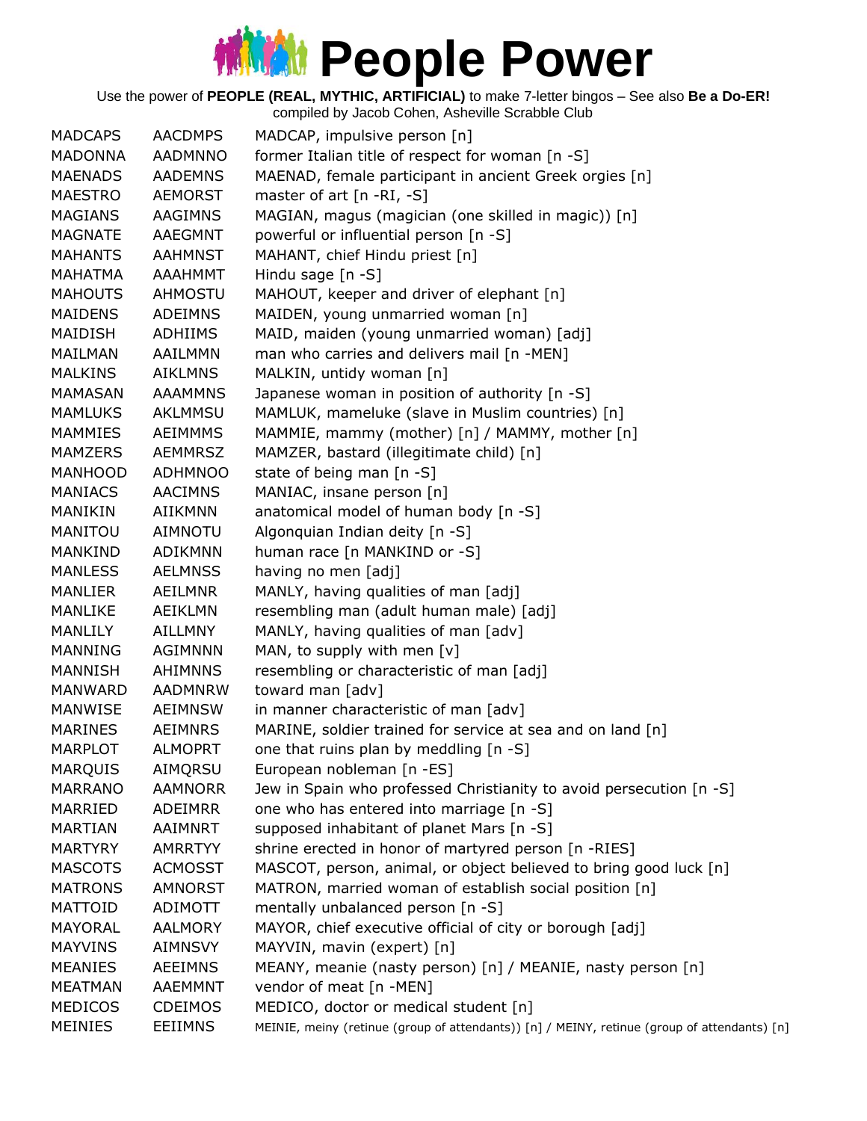Use the power of **PEOPLE (REAL, MYTHIC, ARTIFICIAL)** to make 7-letter bingos – See also **Be a Do-ER!**

| <b>MADONNA</b><br>former Italian title of respect for woman [n -S]<br><b>AADMNNO</b><br><b>MAENADS</b><br>MAENAD, female participant in ancient Greek orgies [n]<br><b>AADEMNS</b><br>master of art $[n - RI, -S]$<br><b>MAESTRO</b><br><b>AEMORST</b><br>MAGIAN, magus (magician (one skilled in magic)) [n]<br><b>MAGIANS</b><br>AAGIMNS<br><b>MAGNATE</b><br>powerful or influential person [n -S]<br>AAEGMNT<br>MAHANT, chief Hindu priest [n]<br><b>MAHANTS</b><br><b>AAHMNST</b><br><b>MAHATMA</b><br><b>AAAHMMT</b><br>Hindu sage $[n -S]$<br>MAHOUT, keeper and driver of elephant [n]<br><b>MAHOUTS</b><br>AHMOSTU<br>MAIDEN, young unmarried woman [n]<br><b>MAIDENS</b><br><b>ADEIMNS</b><br>MAIDISH<br><b>ADHIIMS</b><br>MAID, maiden (young unmarried woman) [adj]<br>man who carries and delivers mail [n -MEN]<br><b>MAILMAN</b><br>AAILMMN<br>MALKIN, untidy woman [n]<br><b>MALKINS</b><br><b>AIKLMNS</b><br>Japanese woman in position of authority [n -S]<br><b>MAMASAN</b><br><b>AAAMMNS</b><br>MAMLUK, mameluke (slave in Muslim countries) [n]<br><b>MAMLUKS</b><br>AKLMMSU<br>MAMMIE, mammy (mother) [n] / MAMMY, mother [n]<br><b>MAMMIES</b><br><b>AEIMMMS</b><br>MAMZERS<br><b>AEMMRSZ</b><br>MAMZER, bastard (illegitimate child) [n]<br>MANHOOD<br>state of being man [n -S]<br><b>ADHMNOO</b><br>MANIAC, insane person [n]<br><b>MANIACS</b><br><b>AACIMNS</b><br>anatomical model of human body [n -S]<br>MANIKIN<br><b>AIIKMNN</b><br>Algonquian Indian deity [n -S]<br>MANITOU<br><b>AIMNOTU</b><br>human race [n MANKIND or -S]<br><b>MANKIND</b><br><b>ADIKMNN</b><br><b>MANLESS</b><br><b>AELMNSS</b><br>having no men [adj]<br>MANLY, having qualities of man [adj]<br>MANLIER<br>AEILMNR<br>resembling man (adult human male) [adj]<br>MANLIKE<br>AEIKLMN<br>MANLY, having qualities of man [adv]<br>MANLILY<br><b>AILLMNY</b><br>MAN, to supply with men [v]<br><b>MANNING</b><br><b>AGIMNNN</b><br>MANNISH<br><b>AHIMNNS</b><br>resembling or characteristic of man [adj]<br>toward man [adv]<br>MANWARD<br><b>AADMNRW</b><br>in manner characteristic of man [adv]<br><b>MANWISE</b><br>AEIMNSW<br>MARINE, soldier trained for service at sea and on land [n]<br><b>MARINES</b><br><b>AEIMNRS</b><br>one that ruins plan by meddling $[n - S]$<br><b>MARPLOT</b><br><b>ALMOPRT</b><br><b>MARQUIS</b><br>AIMQRSU<br>European nobleman [n -ES]<br><b>MARRANO</b><br><b>AAMNORR</b><br>Jew in Spain who professed Christianity to avoid persecution [n -S]<br>one who has entered into marriage [n -S]<br>MARRIED<br><b>ADEIMRR</b><br>supposed inhabitant of planet Mars [n -S]<br><b>MARTIAN</b><br>AAIMNRT<br>shrine erected in honor of martyred person [n -RIES]<br><b>MARTYRY</b><br><b>AMRRTYY</b><br>MASCOT, person, animal, or object believed to bring good luck [n]<br><b>MASCOTS</b><br><b>ACMOSST</b><br>MATRON, married woman of establish social position [n]<br><b>MATRONS</b><br>AMNORST<br><b>MATTOID</b><br>mentally unbalanced person [n -S]<br>ADIMOTT<br>MAYOR, chief executive official of city or borough [adj]<br>MAYORAL<br><b>AALMORY</b><br><b>MAYVINS</b><br>MAYVIN, mavin (expert) [n]<br><b>AIMNSVY</b><br>MEANY, meanie (nasty person) [n] / MEANIE, nasty person [n]<br><b>MEANIES</b><br><b>AEEIMNS</b><br>vendor of meat [n -MEN]<br><b>MEATMAN</b><br><b>AAEMMNT</b><br><b>MEDICOS</b><br><b>CDEIMOS</b><br>MEDICO, doctor or medical student [n] | <b>MADCAPS</b> | <b>AACDMPS</b> | MADCAP, impulsive person [n]                                                                 |
|----------------------------------------------------------------------------------------------------------------------------------------------------------------------------------------------------------------------------------------------------------------------------------------------------------------------------------------------------------------------------------------------------------------------------------------------------------------------------------------------------------------------------------------------------------------------------------------------------------------------------------------------------------------------------------------------------------------------------------------------------------------------------------------------------------------------------------------------------------------------------------------------------------------------------------------------------------------------------------------------------------------------------------------------------------------------------------------------------------------------------------------------------------------------------------------------------------------------------------------------------------------------------------------------------------------------------------------------------------------------------------------------------------------------------------------------------------------------------------------------------------------------------------------------------------------------------------------------------------------------------------------------------------------------------------------------------------------------------------------------------------------------------------------------------------------------------------------------------------------------------------------------------------------------------------------------------------------------------------------------------------------------------------------------------------------------------------------------------------------------------------------------------------------------------------------------------------------------------------------------------------------------------------------------------------------------------------------------------------------------------------------------------------------------------------------------------------------------------------------------------------------------------------------------------------------------------------------------------------------------------------------------------------------------------------------------------------------------------------------------------------------------------------------------------------------------------------------------------------------------------------------------------------------------------------------------------------------------------------------------------------------------------------------------------------------------------------------------------------------------------------------------------------------------------------------------------------------------------------------------------------------------------------------------------------------------------------------------------------------------------------------------------------------------------|----------------|----------------|----------------------------------------------------------------------------------------------|
|                                                                                                                                                                                                                                                                                                                                                                                                                                                                                                                                                                                                                                                                                                                                                                                                                                                                                                                                                                                                                                                                                                                                                                                                                                                                                                                                                                                                                                                                                                                                                                                                                                                                                                                                                                                                                                                                                                                                                                                                                                                                                                                                                                                                                                                                                                                                                                                                                                                                                                                                                                                                                                                                                                                                                                                                                                                                                                                                                                                                                                                                                                                                                                                                                                                                                                                                                                                                                            |                |                |                                                                                              |
|                                                                                                                                                                                                                                                                                                                                                                                                                                                                                                                                                                                                                                                                                                                                                                                                                                                                                                                                                                                                                                                                                                                                                                                                                                                                                                                                                                                                                                                                                                                                                                                                                                                                                                                                                                                                                                                                                                                                                                                                                                                                                                                                                                                                                                                                                                                                                                                                                                                                                                                                                                                                                                                                                                                                                                                                                                                                                                                                                                                                                                                                                                                                                                                                                                                                                                                                                                                                                            |                |                |                                                                                              |
|                                                                                                                                                                                                                                                                                                                                                                                                                                                                                                                                                                                                                                                                                                                                                                                                                                                                                                                                                                                                                                                                                                                                                                                                                                                                                                                                                                                                                                                                                                                                                                                                                                                                                                                                                                                                                                                                                                                                                                                                                                                                                                                                                                                                                                                                                                                                                                                                                                                                                                                                                                                                                                                                                                                                                                                                                                                                                                                                                                                                                                                                                                                                                                                                                                                                                                                                                                                                                            |                |                |                                                                                              |
|                                                                                                                                                                                                                                                                                                                                                                                                                                                                                                                                                                                                                                                                                                                                                                                                                                                                                                                                                                                                                                                                                                                                                                                                                                                                                                                                                                                                                                                                                                                                                                                                                                                                                                                                                                                                                                                                                                                                                                                                                                                                                                                                                                                                                                                                                                                                                                                                                                                                                                                                                                                                                                                                                                                                                                                                                                                                                                                                                                                                                                                                                                                                                                                                                                                                                                                                                                                                                            |                |                |                                                                                              |
|                                                                                                                                                                                                                                                                                                                                                                                                                                                                                                                                                                                                                                                                                                                                                                                                                                                                                                                                                                                                                                                                                                                                                                                                                                                                                                                                                                                                                                                                                                                                                                                                                                                                                                                                                                                                                                                                                                                                                                                                                                                                                                                                                                                                                                                                                                                                                                                                                                                                                                                                                                                                                                                                                                                                                                                                                                                                                                                                                                                                                                                                                                                                                                                                                                                                                                                                                                                                                            |                |                |                                                                                              |
|                                                                                                                                                                                                                                                                                                                                                                                                                                                                                                                                                                                                                                                                                                                                                                                                                                                                                                                                                                                                                                                                                                                                                                                                                                                                                                                                                                                                                                                                                                                                                                                                                                                                                                                                                                                                                                                                                                                                                                                                                                                                                                                                                                                                                                                                                                                                                                                                                                                                                                                                                                                                                                                                                                                                                                                                                                                                                                                                                                                                                                                                                                                                                                                                                                                                                                                                                                                                                            |                |                |                                                                                              |
|                                                                                                                                                                                                                                                                                                                                                                                                                                                                                                                                                                                                                                                                                                                                                                                                                                                                                                                                                                                                                                                                                                                                                                                                                                                                                                                                                                                                                                                                                                                                                                                                                                                                                                                                                                                                                                                                                                                                                                                                                                                                                                                                                                                                                                                                                                                                                                                                                                                                                                                                                                                                                                                                                                                                                                                                                                                                                                                                                                                                                                                                                                                                                                                                                                                                                                                                                                                                                            |                |                |                                                                                              |
|                                                                                                                                                                                                                                                                                                                                                                                                                                                                                                                                                                                                                                                                                                                                                                                                                                                                                                                                                                                                                                                                                                                                                                                                                                                                                                                                                                                                                                                                                                                                                                                                                                                                                                                                                                                                                                                                                                                                                                                                                                                                                                                                                                                                                                                                                                                                                                                                                                                                                                                                                                                                                                                                                                                                                                                                                                                                                                                                                                                                                                                                                                                                                                                                                                                                                                                                                                                                                            |                |                |                                                                                              |
|                                                                                                                                                                                                                                                                                                                                                                                                                                                                                                                                                                                                                                                                                                                                                                                                                                                                                                                                                                                                                                                                                                                                                                                                                                                                                                                                                                                                                                                                                                                                                                                                                                                                                                                                                                                                                                                                                                                                                                                                                                                                                                                                                                                                                                                                                                                                                                                                                                                                                                                                                                                                                                                                                                                                                                                                                                                                                                                                                                                                                                                                                                                                                                                                                                                                                                                                                                                                                            |                |                |                                                                                              |
|                                                                                                                                                                                                                                                                                                                                                                                                                                                                                                                                                                                                                                                                                                                                                                                                                                                                                                                                                                                                                                                                                                                                                                                                                                                                                                                                                                                                                                                                                                                                                                                                                                                                                                                                                                                                                                                                                                                                                                                                                                                                                                                                                                                                                                                                                                                                                                                                                                                                                                                                                                                                                                                                                                                                                                                                                                                                                                                                                                                                                                                                                                                                                                                                                                                                                                                                                                                                                            |                |                |                                                                                              |
|                                                                                                                                                                                                                                                                                                                                                                                                                                                                                                                                                                                                                                                                                                                                                                                                                                                                                                                                                                                                                                                                                                                                                                                                                                                                                                                                                                                                                                                                                                                                                                                                                                                                                                                                                                                                                                                                                                                                                                                                                                                                                                                                                                                                                                                                                                                                                                                                                                                                                                                                                                                                                                                                                                                                                                                                                                                                                                                                                                                                                                                                                                                                                                                                                                                                                                                                                                                                                            |                |                |                                                                                              |
|                                                                                                                                                                                                                                                                                                                                                                                                                                                                                                                                                                                                                                                                                                                                                                                                                                                                                                                                                                                                                                                                                                                                                                                                                                                                                                                                                                                                                                                                                                                                                                                                                                                                                                                                                                                                                                                                                                                                                                                                                                                                                                                                                                                                                                                                                                                                                                                                                                                                                                                                                                                                                                                                                                                                                                                                                                                                                                                                                                                                                                                                                                                                                                                                                                                                                                                                                                                                                            |                |                |                                                                                              |
|                                                                                                                                                                                                                                                                                                                                                                                                                                                                                                                                                                                                                                                                                                                                                                                                                                                                                                                                                                                                                                                                                                                                                                                                                                                                                                                                                                                                                                                                                                                                                                                                                                                                                                                                                                                                                                                                                                                                                                                                                                                                                                                                                                                                                                                                                                                                                                                                                                                                                                                                                                                                                                                                                                                                                                                                                                                                                                                                                                                                                                                                                                                                                                                                                                                                                                                                                                                                                            |                |                |                                                                                              |
|                                                                                                                                                                                                                                                                                                                                                                                                                                                                                                                                                                                                                                                                                                                                                                                                                                                                                                                                                                                                                                                                                                                                                                                                                                                                                                                                                                                                                                                                                                                                                                                                                                                                                                                                                                                                                                                                                                                                                                                                                                                                                                                                                                                                                                                                                                                                                                                                                                                                                                                                                                                                                                                                                                                                                                                                                                                                                                                                                                                                                                                                                                                                                                                                                                                                                                                                                                                                                            |                |                |                                                                                              |
|                                                                                                                                                                                                                                                                                                                                                                                                                                                                                                                                                                                                                                                                                                                                                                                                                                                                                                                                                                                                                                                                                                                                                                                                                                                                                                                                                                                                                                                                                                                                                                                                                                                                                                                                                                                                                                                                                                                                                                                                                                                                                                                                                                                                                                                                                                                                                                                                                                                                                                                                                                                                                                                                                                                                                                                                                                                                                                                                                                                                                                                                                                                                                                                                                                                                                                                                                                                                                            |                |                |                                                                                              |
|                                                                                                                                                                                                                                                                                                                                                                                                                                                                                                                                                                                                                                                                                                                                                                                                                                                                                                                                                                                                                                                                                                                                                                                                                                                                                                                                                                                                                                                                                                                                                                                                                                                                                                                                                                                                                                                                                                                                                                                                                                                                                                                                                                                                                                                                                                                                                                                                                                                                                                                                                                                                                                                                                                                                                                                                                                                                                                                                                                                                                                                                                                                                                                                                                                                                                                                                                                                                                            |                |                |                                                                                              |
|                                                                                                                                                                                                                                                                                                                                                                                                                                                                                                                                                                                                                                                                                                                                                                                                                                                                                                                                                                                                                                                                                                                                                                                                                                                                                                                                                                                                                                                                                                                                                                                                                                                                                                                                                                                                                                                                                                                                                                                                                                                                                                                                                                                                                                                                                                                                                                                                                                                                                                                                                                                                                                                                                                                                                                                                                                                                                                                                                                                                                                                                                                                                                                                                                                                                                                                                                                                                                            |                |                |                                                                                              |
|                                                                                                                                                                                                                                                                                                                                                                                                                                                                                                                                                                                                                                                                                                                                                                                                                                                                                                                                                                                                                                                                                                                                                                                                                                                                                                                                                                                                                                                                                                                                                                                                                                                                                                                                                                                                                                                                                                                                                                                                                                                                                                                                                                                                                                                                                                                                                                                                                                                                                                                                                                                                                                                                                                                                                                                                                                                                                                                                                                                                                                                                                                                                                                                                                                                                                                                                                                                                                            |                |                |                                                                                              |
|                                                                                                                                                                                                                                                                                                                                                                                                                                                                                                                                                                                                                                                                                                                                                                                                                                                                                                                                                                                                                                                                                                                                                                                                                                                                                                                                                                                                                                                                                                                                                                                                                                                                                                                                                                                                                                                                                                                                                                                                                                                                                                                                                                                                                                                                                                                                                                                                                                                                                                                                                                                                                                                                                                                                                                                                                                                                                                                                                                                                                                                                                                                                                                                                                                                                                                                                                                                                                            |                |                |                                                                                              |
|                                                                                                                                                                                                                                                                                                                                                                                                                                                                                                                                                                                                                                                                                                                                                                                                                                                                                                                                                                                                                                                                                                                                                                                                                                                                                                                                                                                                                                                                                                                                                                                                                                                                                                                                                                                                                                                                                                                                                                                                                                                                                                                                                                                                                                                                                                                                                                                                                                                                                                                                                                                                                                                                                                                                                                                                                                                                                                                                                                                                                                                                                                                                                                                                                                                                                                                                                                                                                            |                |                |                                                                                              |
|                                                                                                                                                                                                                                                                                                                                                                                                                                                                                                                                                                                                                                                                                                                                                                                                                                                                                                                                                                                                                                                                                                                                                                                                                                                                                                                                                                                                                                                                                                                                                                                                                                                                                                                                                                                                                                                                                                                                                                                                                                                                                                                                                                                                                                                                                                                                                                                                                                                                                                                                                                                                                                                                                                                                                                                                                                                                                                                                                                                                                                                                                                                                                                                                                                                                                                                                                                                                                            |                |                |                                                                                              |
|                                                                                                                                                                                                                                                                                                                                                                                                                                                                                                                                                                                                                                                                                                                                                                                                                                                                                                                                                                                                                                                                                                                                                                                                                                                                                                                                                                                                                                                                                                                                                                                                                                                                                                                                                                                                                                                                                                                                                                                                                                                                                                                                                                                                                                                                                                                                                                                                                                                                                                                                                                                                                                                                                                                                                                                                                                                                                                                                                                                                                                                                                                                                                                                                                                                                                                                                                                                                                            |                |                |                                                                                              |
|                                                                                                                                                                                                                                                                                                                                                                                                                                                                                                                                                                                                                                                                                                                                                                                                                                                                                                                                                                                                                                                                                                                                                                                                                                                                                                                                                                                                                                                                                                                                                                                                                                                                                                                                                                                                                                                                                                                                                                                                                                                                                                                                                                                                                                                                                                                                                                                                                                                                                                                                                                                                                                                                                                                                                                                                                                                                                                                                                                                                                                                                                                                                                                                                                                                                                                                                                                                                                            |                |                |                                                                                              |
|                                                                                                                                                                                                                                                                                                                                                                                                                                                                                                                                                                                                                                                                                                                                                                                                                                                                                                                                                                                                                                                                                                                                                                                                                                                                                                                                                                                                                                                                                                                                                                                                                                                                                                                                                                                                                                                                                                                                                                                                                                                                                                                                                                                                                                                                                                                                                                                                                                                                                                                                                                                                                                                                                                                                                                                                                                                                                                                                                                                                                                                                                                                                                                                                                                                                                                                                                                                                                            |                |                |                                                                                              |
|                                                                                                                                                                                                                                                                                                                                                                                                                                                                                                                                                                                                                                                                                                                                                                                                                                                                                                                                                                                                                                                                                                                                                                                                                                                                                                                                                                                                                                                                                                                                                                                                                                                                                                                                                                                                                                                                                                                                                                                                                                                                                                                                                                                                                                                                                                                                                                                                                                                                                                                                                                                                                                                                                                                                                                                                                                                                                                                                                                                                                                                                                                                                                                                                                                                                                                                                                                                                                            |                |                |                                                                                              |
|                                                                                                                                                                                                                                                                                                                                                                                                                                                                                                                                                                                                                                                                                                                                                                                                                                                                                                                                                                                                                                                                                                                                                                                                                                                                                                                                                                                                                                                                                                                                                                                                                                                                                                                                                                                                                                                                                                                                                                                                                                                                                                                                                                                                                                                                                                                                                                                                                                                                                                                                                                                                                                                                                                                                                                                                                                                                                                                                                                                                                                                                                                                                                                                                                                                                                                                                                                                                                            |                |                |                                                                                              |
|                                                                                                                                                                                                                                                                                                                                                                                                                                                                                                                                                                                                                                                                                                                                                                                                                                                                                                                                                                                                                                                                                                                                                                                                                                                                                                                                                                                                                                                                                                                                                                                                                                                                                                                                                                                                                                                                                                                                                                                                                                                                                                                                                                                                                                                                                                                                                                                                                                                                                                                                                                                                                                                                                                                                                                                                                                                                                                                                                                                                                                                                                                                                                                                                                                                                                                                                                                                                                            |                |                |                                                                                              |
|                                                                                                                                                                                                                                                                                                                                                                                                                                                                                                                                                                                                                                                                                                                                                                                                                                                                                                                                                                                                                                                                                                                                                                                                                                                                                                                                                                                                                                                                                                                                                                                                                                                                                                                                                                                                                                                                                                                                                                                                                                                                                                                                                                                                                                                                                                                                                                                                                                                                                                                                                                                                                                                                                                                                                                                                                                                                                                                                                                                                                                                                                                                                                                                                                                                                                                                                                                                                                            |                |                |                                                                                              |
|                                                                                                                                                                                                                                                                                                                                                                                                                                                                                                                                                                                                                                                                                                                                                                                                                                                                                                                                                                                                                                                                                                                                                                                                                                                                                                                                                                                                                                                                                                                                                                                                                                                                                                                                                                                                                                                                                                                                                                                                                                                                                                                                                                                                                                                                                                                                                                                                                                                                                                                                                                                                                                                                                                                                                                                                                                                                                                                                                                                                                                                                                                                                                                                                                                                                                                                                                                                                                            |                |                |                                                                                              |
|                                                                                                                                                                                                                                                                                                                                                                                                                                                                                                                                                                                                                                                                                                                                                                                                                                                                                                                                                                                                                                                                                                                                                                                                                                                                                                                                                                                                                                                                                                                                                                                                                                                                                                                                                                                                                                                                                                                                                                                                                                                                                                                                                                                                                                                                                                                                                                                                                                                                                                                                                                                                                                                                                                                                                                                                                                                                                                                                                                                                                                                                                                                                                                                                                                                                                                                                                                                                                            |                |                |                                                                                              |
|                                                                                                                                                                                                                                                                                                                                                                                                                                                                                                                                                                                                                                                                                                                                                                                                                                                                                                                                                                                                                                                                                                                                                                                                                                                                                                                                                                                                                                                                                                                                                                                                                                                                                                                                                                                                                                                                                                                                                                                                                                                                                                                                                                                                                                                                                                                                                                                                                                                                                                                                                                                                                                                                                                                                                                                                                                                                                                                                                                                                                                                                                                                                                                                                                                                                                                                                                                                                                            |                |                |                                                                                              |
|                                                                                                                                                                                                                                                                                                                                                                                                                                                                                                                                                                                                                                                                                                                                                                                                                                                                                                                                                                                                                                                                                                                                                                                                                                                                                                                                                                                                                                                                                                                                                                                                                                                                                                                                                                                                                                                                                                                                                                                                                                                                                                                                                                                                                                                                                                                                                                                                                                                                                                                                                                                                                                                                                                                                                                                                                                                                                                                                                                                                                                                                                                                                                                                                                                                                                                                                                                                                                            |                |                |                                                                                              |
|                                                                                                                                                                                                                                                                                                                                                                                                                                                                                                                                                                                                                                                                                                                                                                                                                                                                                                                                                                                                                                                                                                                                                                                                                                                                                                                                                                                                                                                                                                                                                                                                                                                                                                                                                                                                                                                                                                                                                                                                                                                                                                                                                                                                                                                                                                                                                                                                                                                                                                                                                                                                                                                                                                                                                                                                                                                                                                                                                                                                                                                                                                                                                                                                                                                                                                                                                                                                                            |                |                |                                                                                              |
|                                                                                                                                                                                                                                                                                                                                                                                                                                                                                                                                                                                                                                                                                                                                                                                                                                                                                                                                                                                                                                                                                                                                                                                                                                                                                                                                                                                                                                                                                                                                                                                                                                                                                                                                                                                                                                                                                                                                                                                                                                                                                                                                                                                                                                                                                                                                                                                                                                                                                                                                                                                                                                                                                                                                                                                                                                                                                                                                                                                                                                                                                                                                                                                                                                                                                                                                                                                                                            |                |                |                                                                                              |
|                                                                                                                                                                                                                                                                                                                                                                                                                                                                                                                                                                                                                                                                                                                                                                                                                                                                                                                                                                                                                                                                                                                                                                                                                                                                                                                                                                                                                                                                                                                                                                                                                                                                                                                                                                                                                                                                                                                                                                                                                                                                                                                                                                                                                                                                                                                                                                                                                                                                                                                                                                                                                                                                                                                                                                                                                                                                                                                                                                                                                                                                                                                                                                                                                                                                                                                                                                                                                            |                |                |                                                                                              |
|                                                                                                                                                                                                                                                                                                                                                                                                                                                                                                                                                                                                                                                                                                                                                                                                                                                                                                                                                                                                                                                                                                                                                                                                                                                                                                                                                                                                                                                                                                                                                                                                                                                                                                                                                                                                                                                                                                                                                                                                                                                                                                                                                                                                                                                                                                                                                                                                                                                                                                                                                                                                                                                                                                                                                                                                                                                                                                                                                                                                                                                                                                                                                                                                                                                                                                                                                                                                                            |                |                |                                                                                              |
|                                                                                                                                                                                                                                                                                                                                                                                                                                                                                                                                                                                                                                                                                                                                                                                                                                                                                                                                                                                                                                                                                                                                                                                                                                                                                                                                                                                                                                                                                                                                                                                                                                                                                                                                                                                                                                                                                                                                                                                                                                                                                                                                                                                                                                                                                                                                                                                                                                                                                                                                                                                                                                                                                                                                                                                                                                                                                                                                                                                                                                                                                                                                                                                                                                                                                                                                                                                                                            |                |                |                                                                                              |
|                                                                                                                                                                                                                                                                                                                                                                                                                                                                                                                                                                                                                                                                                                                                                                                                                                                                                                                                                                                                                                                                                                                                                                                                                                                                                                                                                                                                                                                                                                                                                                                                                                                                                                                                                                                                                                                                                                                                                                                                                                                                                                                                                                                                                                                                                                                                                                                                                                                                                                                                                                                                                                                                                                                                                                                                                                                                                                                                                                                                                                                                                                                                                                                                                                                                                                                                                                                                                            |                |                |                                                                                              |
|                                                                                                                                                                                                                                                                                                                                                                                                                                                                                                                                                                                                                                                                                                                                                                                                                                                                                                                                                                                                                                                                                                                                                                                                                                                                                                                                                                                                                                                                                                                                                                                                                                                                                                                                                                                                                                                                                                                                                                                                                                                                                                                                                                                                                                                                                                                                                                                                                                                                                                                                                                                                                                                                                                                                                                                                                                                                                                                                                                                                                                                                                                                                                                                                                                                                                                                                                                                                                            |                |                |                                                                                              |
|                                                                                                                                                                                                                                                                                                                                                                                                                                                                                                                                                                                                                                                                                                                                                                                                                                                                                                                                                                                                                                                                                                                                                                                                                                                                                                                                                                                                                                                                                                                                                                                                                                                                                                                                                                                                                                                                                                                                                                                                                                                                                                                                                                                                                                                                                                                                                                                                                                                                                                                                                                                                                                                                                                                                                                                                                                                                                                                                                                                                                                                                                                                                                                                                                                                                                                                                                                                                                            |                |                |                                                                                              |
|                                                                                                                                                                                                                                                                                                                                                                                                                                                                                                                                                                                                                                                                                                                                                                                                                                                                                                                                                                                                                                                                                                                                                                                                                                                                                                                                                                                                                                                                                                                                                                                                                                                                                                                                                                                                                                                                                                                                                                                                                                                                                                                                                                                                                                                                                                                                                                                                                                                                                                                                                                                                                                                                                                                                                                                                                                                                                                                                                                                                                                                                                                                                                                                                                                                                                                                                                                                                                            |                |                |                                                                                              |
|                                                                                                                                                                                                                                                                                                                                                                                                                                                                                                                                                                                                                                                                                                                                                                                                                                                                                                                                                                                                                                                                                                                                                                                                                                                                                                                                                                                                                                                                                                                                                                                                                                                                                                                                                                                                                                                                                                                                                                                                                                                                                                                                                                                                                                                                                                                                                                                                                                                                                                                                                                                                                                                                                                                                                                                                                                                                                                                                                                                                                                                                                                                                                                                                                                                                                                                                                                                                                            |                |                |                                                                                              |
|                                                                                                                                                                                                                                                                                                                                                                                                                                                                                                                                                                                                                                                                                                                                                                                                                                                                                                                                                                                                                                                                                                                                                                                                                                                                                                                                                                                                                                                                                                                                                                                                                                                                                                                                                                                                                                                                                                                                                                                                                                                                                                                                                                                                                                                                                                                                                                                                                                                                                                                                                                                                                                                                                                                                                                                                                                                                                                                                                                                                                                                                                                                                                                                                                                                                                                                                                                                                                            |                |                |                                                                                              |
|                                                                                                                                                                                                                                                                                                                                                                                                                                                                                                                                                                                                                                                                                                                                                                                                                                                                                                                                                                                                                                                                                                                                                                                                                                                                                                                                                                                                                                                                                                                                                                                                                                                                                                                                                                                                                                                                                                                                                                                                                                                                                                                                                                                                                                                                                                                                                                                                                                                                                                                                                                                                                                                                                                                                                                                                                                                                                                                                                                                                                                                                                                                                                                                                                                                                                                                                                                                                                            |                |                |                                                                                              |
|                                                                                                                                                                                                                                                                                                                                                                                                                                                                                                                                                                                                                                                                                                                                                                                                                                                                                                                                                                                                                                                                                                                                                                                                                                                                                                                                                                                                                                                                                                                                                                                                                                                                                                                                                                                                                                                                                                                                                                                                                                                                                                                                                                                                                                                                                                                                                                                                                                                                                                                                                                                                                                                                                                                                                                                                                                                                                                                                                                                                                                                                                                                                                                                                                                                                                                                                                                                                                            | <b>MEINIES</b> | <b>EEIIMNS</b> | MEINIE, meiny (retinue (group of attendants)) [n] / MEINY, retinue (group of attendants) [n] |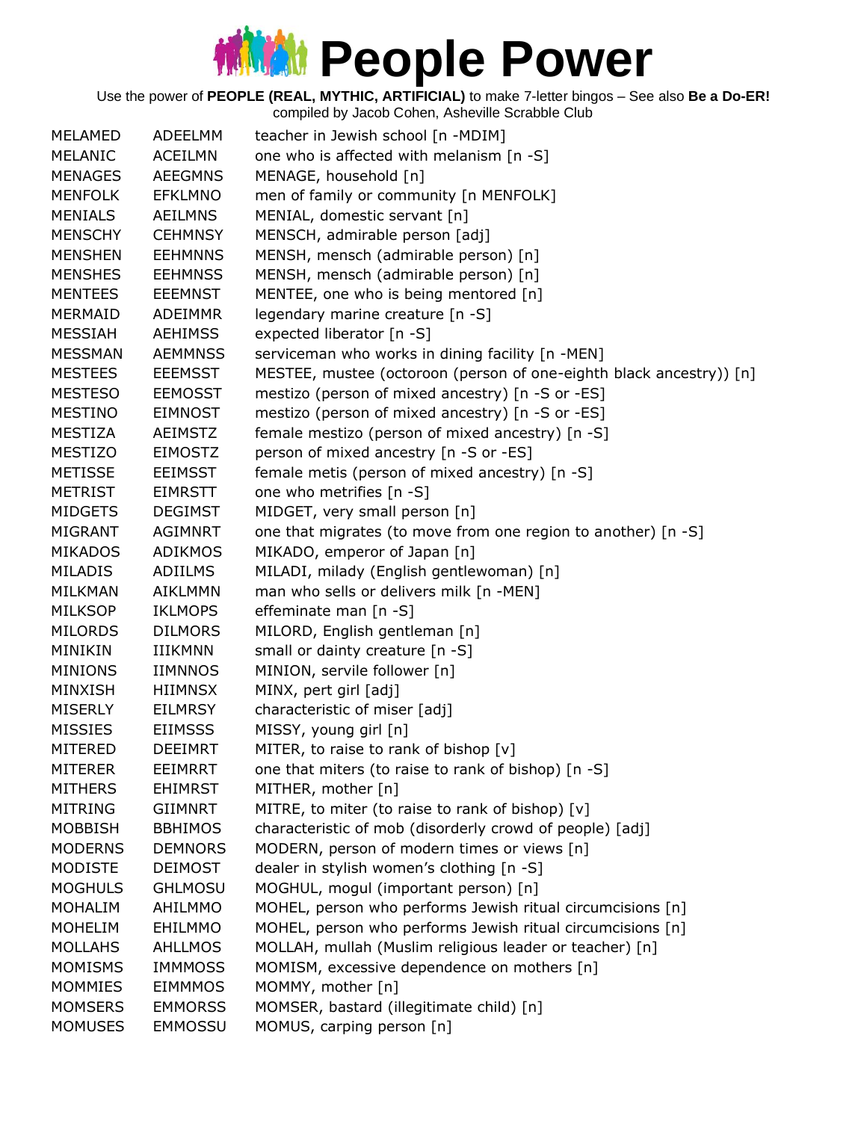Use the power of **PEOPLE (REAL, MYTHIC, ARTIFICIAL)** to make 7-letter bingos – See also **Be a Do-ER!**

| MELAMED        | ADEELMM        | teacher in Jewish school [n -MDIM]                                  |
|----------------|----------------|---------------------------------------------------------------------|
| MELANIC        | <b>ACEILMN</b> | one who is affected with melanism [n -S]                            |
| <b>MENAGES</b> | <b>AEEGMNS</b> | MENAGE, household [n]                                               |
| <b>MENFOLK</b> | <b>EFKLMNO</b> | men of family or community [n MENFOLK]                              |
| <b>MENIALS</b> | <b>AEILMNS</b> | MENIAL, domestic servant [n]                                        |
| <b>MENSCHY</b> | <b>CEHMNSY</b> | MENSCH, admirable person [adj]                                      |
| <b>MENSHEN</b> | <b>EEHMNNS</b> | MENSH, mensch (admirable person) [n]                                |
| <b>MENSHES</b> | <b>EEHMNSS</b> | MENSH, mensch (admirable person) [n]                                |
| <b>MENTEES</b> | <b>EEEMNST</b> | MENTEE, one who is being mentored [n]                               |
| MERMAID        | <b>ADEIMMR</b> | legendary marine creature [n -S]                                    |
| <b>MESSIAH</b> | <b>AEHIMSS</b> | expected liberator [n -S]                                           |
| <b>MESSMAN</b> | <b>AEMMNSS</b> | serviceman who works in dining facility [n -MEN]                    |
| <b>MESTEES</b> | <b>EEEMSST</b> | MESTEE, mustee (octoroon (person of one-eighth black ancestry)) [n] |
| <b>MESTESO</b> | <b>EEMOSST</b> | mestizo (person of mixed ancestry) [n -S or -ES]                    |
| <b>MESTINO</b> | <b>EIMNOST</b> | mestizo (person of mixed ancestry) [n -S or -ES]                    |
| <b>MESTIZA</b> | <b>AEIMSTZ</b> | female mestizo (person of mixed ancestry) [n -S]                    |
| <b>MESTIZO</b> | <b>EIMOSTZ</b> | person of mixed ancestry [n -S or -ES]                              |
| <b>METISSE</b> | <b>EEIMSST</b> | female metis (person of mixed ancestry) [n -S]                      |
| <b>METRIST</b> | <b>EIMRSTT</b> | one who metrifies [n -S]                                            |
| <b>MIDGETS</b> | <b>DEGIMST</b> | MIDGET, very small person [n]                                       |
| <b>MIGRANT</b> | <b>AGIMNRT</b> | one that migrates (to move from one region to another) [n -S]       |
| <b>MIKADOS</b> | <b>ADIKMOS</b> | MIKADO, emperor of Japan [n]                                        |
| <b>MILADIS</b> | <b>ADIILMS</b> | MILADI, milady (English gentlewoman) [n]                            |
| MILKMAN        | <b>AIKLMMN</b> | man who sells or delivers milk [n -MEN]                             |
| <b>MILKSOP</b> | <b>IKLMOPS</b> | effeminate man [n -S]                                               |
| <b>MILORDS</b> | <b>DILMORS</b> | MILORD, English gentleman [n]                                       |
| MINIKIN        | <b>IIIKMNN</b> | small or dainty creature [n -S]                                     |
| <b>MINIONS</b> | <b>IIMNNOS</b> | MINION, servile follower [n]                                        |
| <b>MINXISH</b> | <b>HIIMNSX</b> | MINX, pert girl [adj]                                               |
| <b>MISERLY</b> | <b>EILMRSY</b> | characteristic of miser [adj]                                       |
| <b>MISSIES</b> | <b>EIIMSSS</b> | MISSY, young girl [n]                                               |
| MITERED        | <b>DEEIMRT</b> | MITER, to raise to rank of bishop [v]                               |
| <b>MITERER</b> | EEIMRRT        | one that miters (to raise to rank of bishop) [n -S]                 |
| <b>MITHERS</b> | <b>EHIMRST</b> | MITHER, mother [n]                                                  |
| <b>MITRING</b> | GIIMNRT        | MITRE, to miter (to raise to rank of bishop) [v]                    |
| <b>MOBBISH</b> | <b>BBHIMOS</b> | characteristic of mob (disorderly crowd of people) [adj]            |
| <b>MODERNS</b> | <b>DEMNORS</b> | MODERN, person of modern times or views [n]                         |
| <b>MODISTE</b> | <b>DEIMOST</b> | dealer in stylish women's clothing [n -S]                           |
| <b>MOGHULS</b> | <b>GHLMOSU</b> | MOGHUL, mogul (important person) [n]                                |
| <b>MOHALIM</b> | <b>AHILMMO</b> | MOHEL, person who performs Jewish ritual circumcisions [n]          |
| <b>MOHELIM</b> | EHILMMO        | MOHEL, person who performs Jewish ritual circumcisions [n]          |
| <b>MOLLAHS</b> | <b>AHLLMOS</b> | MOLLAH, mullah (Muslim religious leader or teacher) [n]             |
| <b>MOMISMS</b> | <b>IMMMOSS</b> | MOMISM, excessive dependence on mothers [n]                         |
| <b>MOMMIES</b> | <b>EIMMMOS</b> | MOMMY, mother [n]                                                   |
| <b>MOMSERS</b> | <b>EMMORSS</b> | MOMSER, bastard (illegitimate child) [n]                            |
| <b>MOMUSES</b> | <b>EMMOSSU</b> | MOMUS, carping person [n]                                           |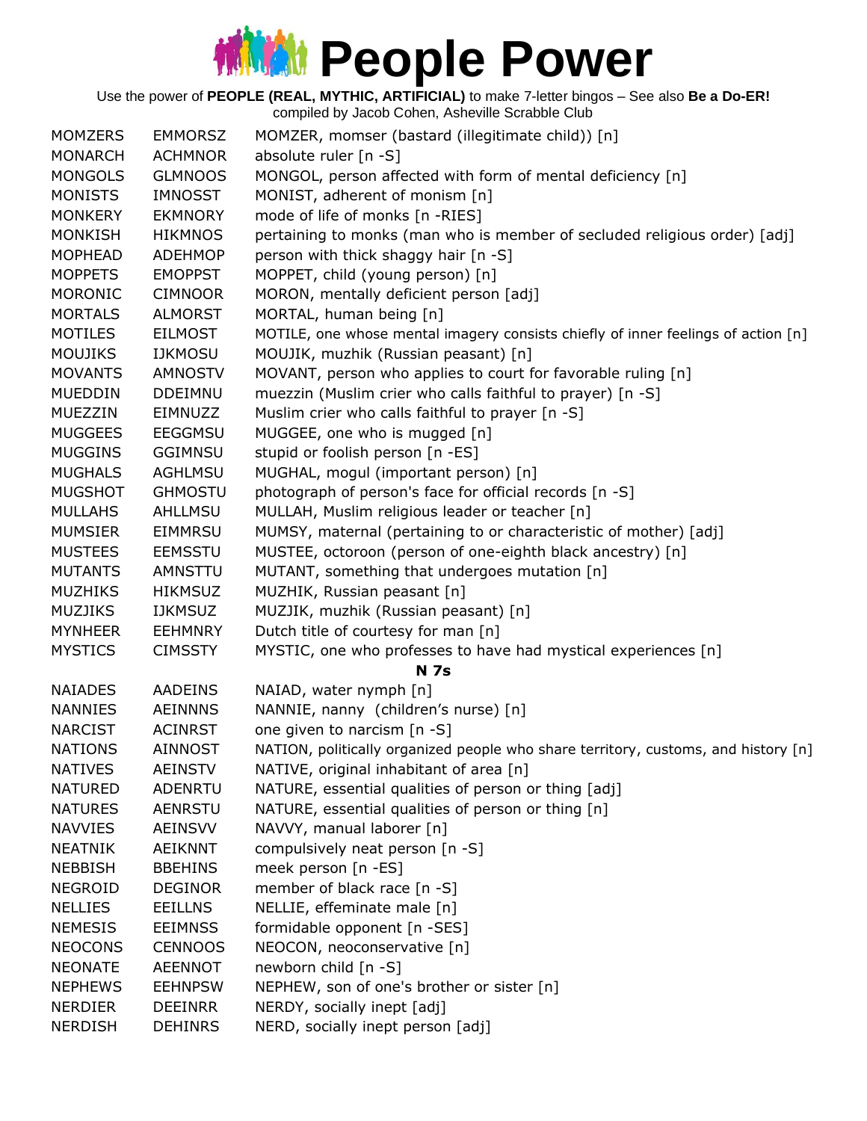Use the power of **PEOPLE (REAL, MYTHIC, ARTIFICIAL)** to make 7-letter bingos – See also **Be a Do-ER!**

| <b>MOMZERS</b> | <b>EMMORSZ</b> | MOMZER, momser (bastard (illegitimate child)) [n]                                  |
|----------------|----------------|------------------------------------------------------------------------------------|
| <b>MONARCH</b> | <b>ACHMNOR</b> | absolute ruler $[n - S]$                                                           |
| <b>MONGOLS</b> | <b>GLMNOOS</b> | MONGOL, person affected with form of mental deficiency [n]                         |
| <b>MONISTS</b> | <b>IMNOSST</b> | MONIST, adherent of monism [n]                                                     |
| <b>MONKERY</b> | <b>EKMNORY</b> | mode of life of monks [n -RIES]                                                    |
| <b>MONKISH</b> | <b>HIKMNOS</b> | pertaining to monks (man who is member of secluded religious order) [adj]          |
| <b>MOPHEAD</b> | <b>ADEHMOP</b> | person with thick shaggy hair [n -S]                                               |
| <b>MOPPETS</b> | <b>EMOPPST</b> | MOPPET, child (young person) [n]                                                   |
| MORONIC        | <b>CIMNOOR</b> | MORON, mentally deficient person [adj]                                             |
| <b>MORTALS</b> | <b>ALMORST</b> | MORTAL, human being [n]                                                            |
| <b>MOTILES</b> | <b>EILMOST</b> | MOTILE, one whose mental imagery consists chiefly of inner feelings of action [n]  |
| <b>MOUJIKS</b> | <b>IJKMOSU</b> | MOUJIK, muzhik (Russian peasant) [n]                                               |
| <b>MOVANTS</b> | <b>AMNOSTV</b> | MOVANT, person who applies to court for favorable ruling [n]                       |
| <b>MUEDDIN</b> | <b>DDEIMNU</b> | muezzin (Muslim crier who calls faithful to prayer) [n -S]                         |
| <b>MUEZZIN</b> | <b>EIMNUZZ</b> | Muslim crier who calls faithful to prayer [n -S]                                   |
| <b>MUGGEES</b> | <b>EEGGMSU</b> | MUGGEE, one who is mugged [n]                                                      |
| <b>MUGGINS</b> | <b>GGIMNSU</b> | stupid or foolish person [n -ES]                                                   |
| <b>MUGHALS</b> | <b>AGHLMSU</b> | MUGHAL, mogul (important person) [n]                                               |
| <b>MUGSHOT</b> | <b>GHMOSTU</b> | photograph of person's face for official records [n -S]                            |
| <b>MULLAHS</b> | AHLLMSU        | MULLAH, Muslim religious leader or teacher [n]                                     |
| <b>MUMSIER</b> | <b>EIMMRSU</b> | MUMSY, maternal (pertaining to or characteristic of mother) [adj]                  |
| <b>MUSTEES</b> | <b>EEMSSTU</b> | MUSTEE, octoroon (person of one-eighth black ancestry) [n]                         |
| <b>MUTANTS</b> | AMNSTTU        | MUTANT, something that undergoes mutation [n]                                      |
| <b>MUZHIKS</b> | <b>HIKMSUZ</b> | MUZHIK, Russian peasant [n]                                                        |
| <b>MUZJIKS</b> | <b>IJKMSUZ</b> | MUZJIK, muzhik (Russian peasant) [n]                                               |
| <b>MYNHEER</b> | <b>EEHMNRY</b> | Dutch title of courtesy for man [n]                                                |
| <b>MYSTICS</b> | <b>CIMSSTY</b> | MYSTIC, one who professes to have had mystical experiences [n]                     |
|                |                | <b>N 7s</b>                                                                        |
| <b>NAIADES</b> | AADEINS        | NAIAD, water nymph [n]                                                             |
| <b>NANNIES</b> | <b>AEINNNS</b> | NANNIE, nanny (children's nurse) [n]                                               |
| <b>NARCIST</b> | <b>ACINRST</b> | one given to narcism [n -S]                                                        |
| <b>NATIONS</b> | <b>AINNOST</b> | NATION, politically organized people who share territory, customs, and history [n] |
| <b>NATIVES</b> | <b>AEINSTV</b> | NATIVE, original inhabitant of area [n]                                            |
| <b>NATURED</b> | ADENRTU        | NATURE, essential qualities of person or thing [adj]                               |
| <b>NATURES</b> | <b>AENRSTU</b> | NATURE, essential qualities of person or thing [n]                                 |
| <b>NAVVIES</b> | <b>AEINSVV</b> | NAVVY, manual laborer [n]                                                          |
| <b>NEATNIK</b> | <b>AEIKNNT</b> | compulsively neat person [n -S]                                                    |
| <b>NEBBISH</b> | <b>BBEHINS</b> | meek person [n -ES]                                                                |
| <b>NEGROID</b> | <b>DEGINOR</b> | member of black race [n -S]                                                        |
| <b>NELLIES</b> | <b>EEILLNS</b> | NELLIE, effeminate male [n]                                                        |
| <b>NEMESIS</b> | <b>EEIMNSS</b> | formidable opponent [n -SES]                                                       |
| <b>NEOCONS</b> | <b>CENNOOS</b> | NEOCON, neoconservative [n]                                                        |
| <b>NEONATE</b> | <b>AEENNOT</b> | newborn child [n -S]                                                               |
| <b>NEPHEWS</b> | <b>EEHNPSW</b> | NEPHEW, son of one's brother or sister [n]                                         |
| <b>NERDIER</b> | <b>DEEINRR</b> | NERDY, socially inept [adj]                                                        |
| <b>NERDISH</b> | <b>DEHINRS</b> | NERD, socially inept person [adj]                                                  |
|                |                |                                                                                    |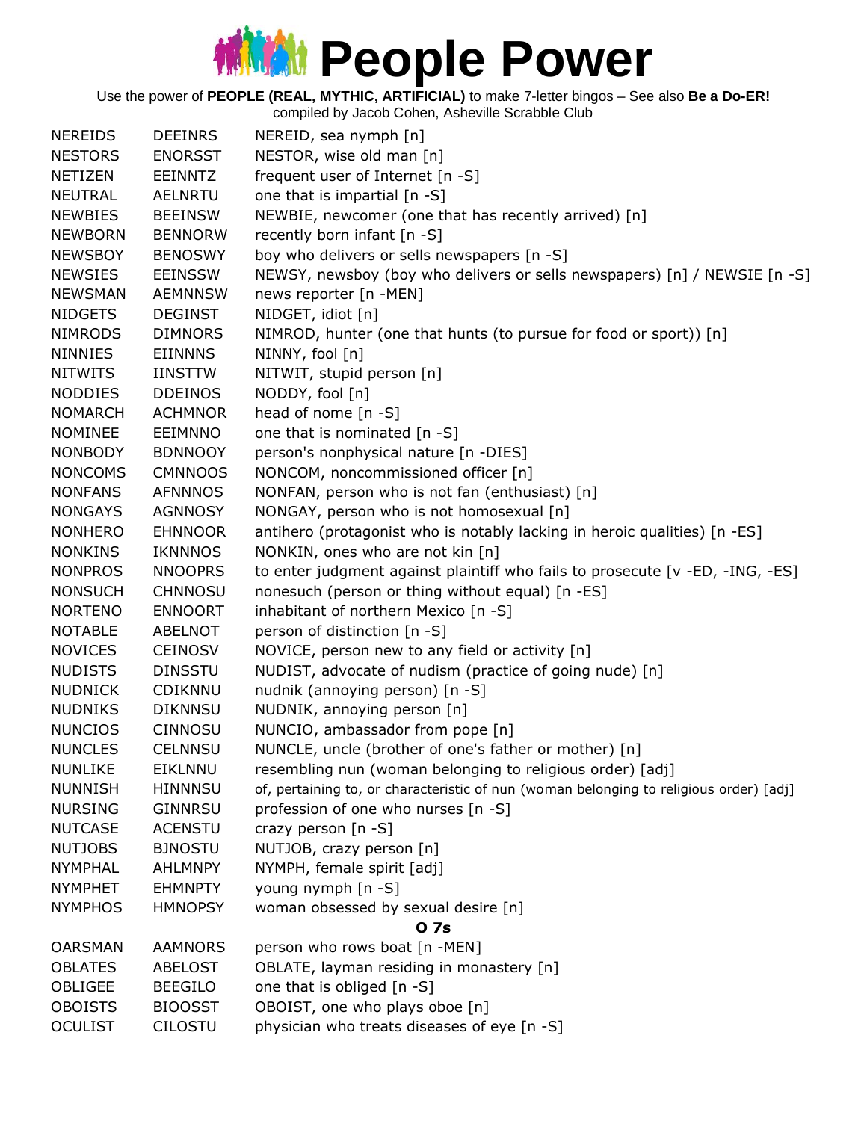Use the power of **PEOPLE (REAL, MYTHIC, ARTIFICIAL)** to make 7-letter bingos – See also **Be a Do-ER!**

| <b>NEREIDS</b> | <b>DEEINRS</b> | NEREID, sea nymph [n]                                                                  |
|----------------|----------------|----------------------------------------------------------------------------------------|
| <b>NESTORS</b> | <b>ENORSST</b> | NESTOR, wise old man [n]                                                               |
| <b>NETIZEN</b> | <b>EEINNTZ</b> | frequent user of Internet [n -S]                                                       |
| <b>NEUTRAL</b> | <b>AELNRTU</b> | one that is impartial [n -S]                                                           |
| <b>NEWBIES</b> | <b>BEEINSW</b> | NEWBIE, newcomer (one that has recently arrived) [n]                                   |
| <b>NEWBORN</b> | <b>BENNORW</b> | recently born infant [n -S]                                                            |
| <b>NEWSBOY</b> | <b>BENOSWY</b> | boy who delivers or sells newspapers [n -S]                                            |
| <b>NEWSIES</b> | <b>EEINSSW</b> | NEWSY, newsboy (boy who delivers or sells newspapers) [n] / NEWSIE [n -S]              |
| <b>NEWSMAN</b> | <b>AEMNNSW</b> | news reporter [n -MEN]                                                                 |
| <b>NIDGETS</b> | <b>DEGINST</b> | NIDGET, idiot [n]                                                                      |
| <b>NIMRODS</b> | <b>DIMNORS</b> | NIMROD, hunter (one that hunts (to pursue for food or sport)) [n]                      |
| <b>NINNIES</b> | <b>EIINNNS</b> | NINNY, fool [n]                                                                        |
| <b>NITWITS</b> | <b>IINSTTW</b> | NITWIT, stupid person [n]                                                              |
| <b>NODDIES</b> | <b>DDEINOS</b> | NODDY, fool [n]                                                                        |
| <b>NOMARCH</b> | <b>ACHMNOR</b> | head of nome $[n -S]$                                                                  |
| <b>NOMINEE</b> | EEIMNNO        | one that is nominated [n -S]                                                           |
| <b>NONBODY</b> | <b>BDNNOOY</b> | person's nonphysical nature [n -DIES]                                                  |
| <b>NONCOMS</b> | <b>CMNNOOS</b> | NONCOM, noncommissioned officer [n]                                                    |
| <b>NONFANS</b> | <b>AFNNNOS</b> | NONFAN, person who is not fan (enthusiast) [n]                                         |
| <b>NONGAYS</b> | <b>AGNNOSY</b> | NONGAY, person who is not homosexual [n]                                               |
| <b>NONHERO</b> | <b>EHNNOOR</b> | antihero (protagonist who is notably lacking in heroic qualities) [n -ES]              |
| <b>NONKINS</b> | IKNNNOS        | NONKIN, ones who are not kin [n]                                                       |
| <b>NONPROS</b> | <b>NNOOPRS</b> | to enter judgment against plaintiff who fails to prosecute [v -ED, -ING, -ES]          |
| <b>NONSUCH</b> | <b>CHNNOSU</b> | nonesuch (person or thing without equal) [n -ES]                                       |
| <b>NORTENO</b> | <b>ENNOORT</b> | inhabitant of northern Mexico [n -S]                                                   |
| <b>NOTABLE</b> | <b>ABELNOT</b> | person of distinction [n -S]                                                           |
| <b>NOVICES</b> | <b>CEINOSV</b> | NOVICE, person new to any field or activity [n]                                        |
| <b>NUDISTS</b> | <b>DINSSTU</b> | NUDIST, advocate of nudism (practice of going nude) [n]                                |
| <b>NUDNICK</b> | CDIKNNU        | nudnik (annoying person) [n -S]                                                        |
| <b>NUDNIKS</b> | <b>DIKNNSU</b> | NUDNIK, annoying person [n]                                                            |
| <b>NUNCIOS</b> | <b>CINNOSU</b> | NUNCIO, ambassador from pope [n]                                                       |
| <b>NUNCLES</b> | <b>CELNNSU</b> | NUNCLE, uncle (brother of one's father or mother) [n]                                  |
| <b>NUNLIKE</b> | <b>EIKLNNU</b> | resembling nun (woman belonging to religious order) [adj]                              |
| <b>NUNNISH</b> | <b>HINNNSU</b> | of, pertaining to, or characteristic of nun (woman belonging to religious order) [adj] |
| <b>NURSING</b> | GINNRSU        | profession of one who nurses [n -S]                                                    |
| <b>NUTCASE</b> | <b>ACENSTU</b> | crazy person $[n - S]$                                                                 |
| <b>NUTJOBS</b> | <b>BJNOSTU</b> | NUTJOB, crazy person [n]                                                               |
| <b>NYMPHAL</b> | <b>AHLMNPY</b> | NYMPH, female spirit [adj]                                                             |
| <b>NYMPHET</b> | <b>EHMNPTY</b> | young nymph [n -S]                                                                     |
| <b>NYMPHOS</b> | <b>HMNOPSY</b> | woman obsessed by sexual desire [n]                                                    |
|                |                | 0 7s                                                                                   |
| <b>OARSMAN</b> | <b>AAMNORS</b> | person who rows boat [n -MEN]                                                          |
| <b>OBLATES</b> | <b>ABELOST</b> | OBLATE, layman residing in monastery [n]                                               |
| OBLIGEE        | <b>BEEGILO</b> | one that is obliged [n -S]                                                             |
| <b>OBOISTS</b> | <b>BIOOSST</b> | OBOIST, one who plays oboe [n]                                                         |
| <b>OCULIST</b> | <b>CILOSTU</b> | physician who treats diseases of eye [n -S]                                            |
|                |                |                                                                                        |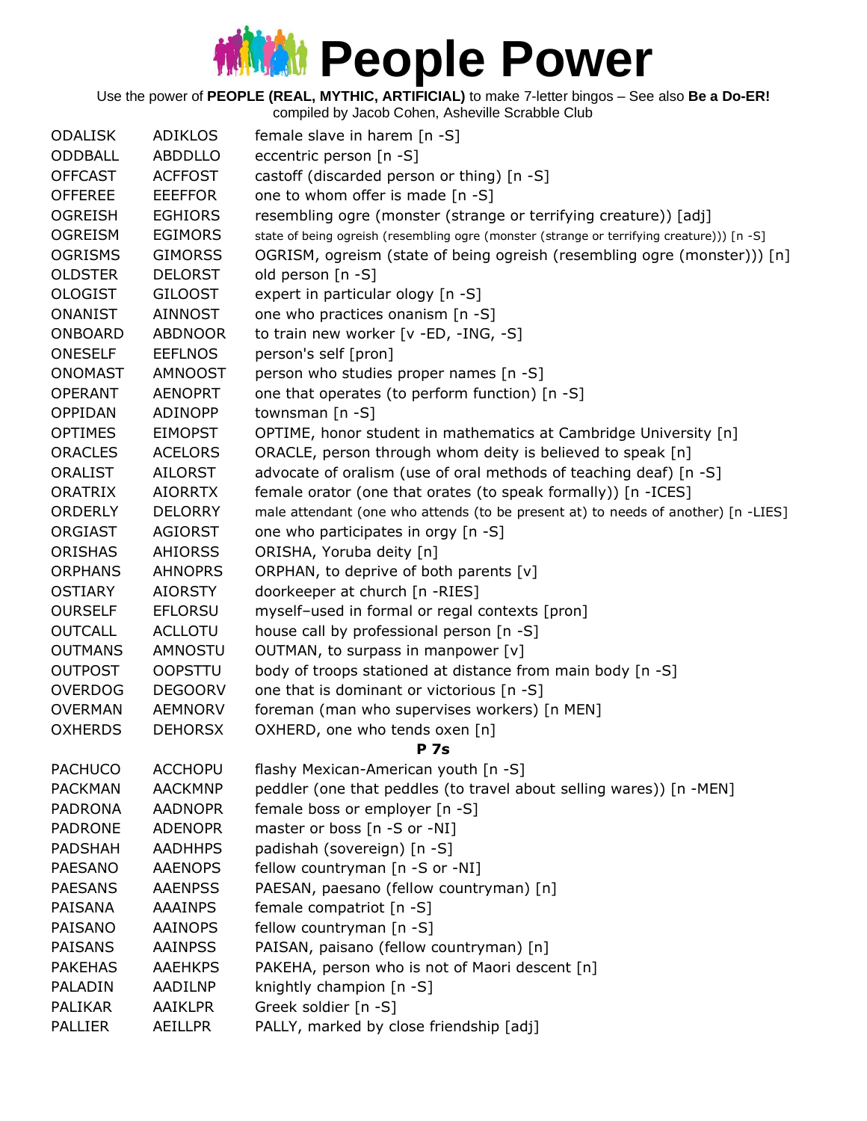|                |                | complica by sacob Conch, Ashcville Octabbie Oldb                                           |
|----------------|----------------|--------------------------------------------------------------------------------------------|
| <b>ODALISK</b> | <b>ADIKLOS</b> | female slave in harem [n -S]                                                               |
| ODDBALL        | <b>ABDDLLO</b> | eccentric person [n -S]                                                                    |
| <b>OFFCAST</b> | <b>ACFFOST</b> | castoff (discarded person or thing) [n -S]                                                 |
| <b>OFFEREE</b> | <b>EEEFFOR</b> | one to whom offer is made [n -S]                                                           |
| <b>OGREISH</b> | <b>EGHIORS</b> | resembling ogre (monster (strange or terrifying creature)) [adj]                           |
| <b>OGREISM</b> | <b>EGIMORS</b> | state of being ogreish (resembling ogre (monster (strange or terrifying creature))) [n -S] |
| <b>OGRISMS</b> | <b>GIMORSS</b> | OGRISM, ogreism (state of being ogreish (resembling ogre (monster))) [n]                   |
| <b>OLDSTER</b> | <b>DELORST</b> | old person [n -S]                                                                          |
| <b>OLOGIST</b> | <b>GILOOST</b> | expert in particular ology [n -S]                                                          |
| <b>ONANIST</b> | <b>AINNOST</b> | one who practices onanism [n -S]                                                           |
| <b>ONBOARD</b> | <b>ABDNOOR</b> | to train new worker [v -ED, -ING, -S]                                                      |
| <b>ONESELF</b> | <b>EEFLNOS</b> | person's self [pron]                                                                       |
| <b>ONOMAST</b> | <b>AMNOOST</b> | person who studies proper names [n -S]                                                     |
| <b>OPERANT</b> | <b>AENOPRT</b> | one that operates (to perform function) [n -S]                                             |
| OPPIDAN        | <b>ADINOPP</b> | townsman [n -S]                                                                            |
| <b>OPTIMES</b> | <b>EIMOPST</b> | OPTIME, honor student in mathematics at Cambridge University [n]                           |
| <b>ORACLES</b> | <b>ACELORS</b> | ORACLE, person through whom deity is believed to speak [n]                                 |
| <b>ORALIST</b> | <b>AILORST</b> | advocate of oralism (use of oral methods of teaching deaf) [n -S]                          |
| <b>ORATRIX</b> | <b>AIORRTX</b> | female orator (one that orates (to speak formally)) [n -ICES]                              |
| <b>ORDERLY</b> | <b>DELORRY</b> | male attendant (one who attends (to be present at) to needs of another) [n -LIES]          |
| ORGIAST        | <b>AGIORST</b> | one who participates in orgy [n -S]                                                        |
| <b>ORISHAS</b> | <b>AHIORSS</b> | ORISHA, Yoruba deity [n]                                                                   |
| <b>ORPHANS</b> | <b>AHNOPRS</b> | ORPHAN, to deprive of both parents [v]                                                     |
| <b>OSTIARY</b> | <b>AIORSTY</b> | doorkeeper at church [n -RIES]                                                             |
| <b>OURSELF</b> | <b>EFLORSU</b> | myself-used in formal or regal contexts [pron]                                             |
| <b>OUTCALL</b> | <b>ACLLOTU</b> | house call by professional person [n -S]                                                   |
| <b>OUTMANS</b> | <b>AMNOSTU</b> | OUTMAN, to surpass in manpower [v]                                                         |
| <b>OUTPOST</b> | <b>OOPSTTU</b> | body of troops stationed at distance from main body [n -S]                                 |
| <b>OVERDOG</b> | <b>DEGOORV</b> | one that is dominant or victorious [n -S]                                                  |
| <b>OVERMAN</b> | <b>AEMNORV</b> | foreman (man who supervises workers) [n MEN]                                               |
| <b>OXHERDS</b> | <b>DEHORSX</b> | OXHERD, one who tends oxen [n]                                                             |
|                |                | <b>P</b> 7s                                                                                |
| <b>PACHUCO</b> | <b>ACCHOPU</b> | flashy Mexican-American youth [n -S]                                                       |
| <b>PACKMAN</b> | <b>AACKMNP</b> | peddler (one that peddles (to travel about selling wares)) [n -MEN]                        |
| <b>PADRONA</b> | <b>AADNOPR</b> | female boss or employer [n -S]                                                             |
| <b>PADRONE</b> | <b>ADENOPR</b> | master or boss [n -S or -NI]                                                               |
| <b>PADSHAH</b> | <b>AADHHPS</b> | padishah (sovereign) [n -S]                                                                |
| <b>PAESANO</b> | <b>AAENOPS</b> | fellow countryman [n -S or -NI]                                                            |
| <b>PAESANS</b> | <b>AAENPSS</b> | PAESAN, paesano (fellow countryman) [n]                                                    |
| PAISANA        | <b>AAAINPS</b> | female compatriot [n -S]                                                                   |
| PAISANO        | <b>AAINOPS</b> | fellow countryman [n -S]                                                                   |
| <b>PAISANS</b> | <b>AAINPSS</b> | PAISAN, paisano (fellow countryman) [n]                                                    |
| <b>PAKEHAS</b> | <b>AAEHKPS</b> | PAKEHA, person who is not of Maori descent [n]                                             |
| PALADIN        | AADILNP        | knightly champion [n -S]                                                                   |
| <b>PALIKAR</b> | <b>AAIKLPR</b> | Greek soldier [n -S]                                                                       |
| PALLIER        | AEILLPR        | PALLY, marked by close friendship [adj]                                                    |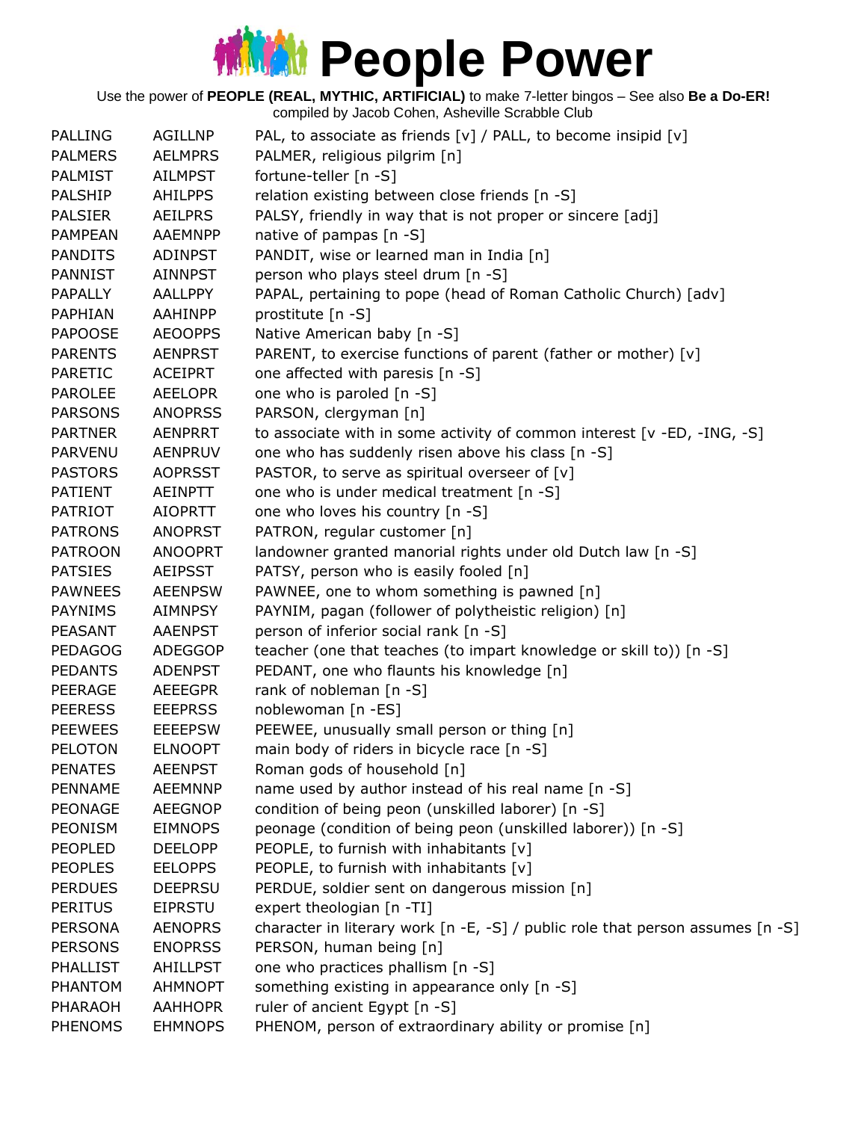Use the power of **PEOPLE (REAL, MYTHIC, ARTIFICIAL)** to make 7-letter bingos – See also **Be a Do-ER!**

| <b>PALLING</b>  | <b>AGILLNP</b> | PAL, to associate as friends [v] / PALL, to become insipid [v]                 |
|-----------------|----------------|--------------------------------------------------------------------------------|
| <b>PALMERS</b>  | <b>AELMPRS</b> | PALMER, religious pilgrim [n]                                                  |
| <b>PALMIST</b>  | <b>AILMPST</b> | fortune-teller [n -S]                                                          |
| <b>PALSHIP</b>  | <b>AHILPPS</b> | relation existing between close friends [n -S]                                 |
| <b>PALSIER</b>  | <b>AEILPRS</b> | PALSY, friendly in way that is not proper or sincere [adj]                     |
| <b>PAMPEAN</b>  | <b>AAEMNPP</b> | native of pampas [n -S]                                                        |
| <b>PANDITS</b>  | <b>ADINPST</b> | PANDIT, wise or learned man in India [n]                                       |
| <b>PANNIST</b>  | <b>AINNPST</b> | person who plays steel drum [n -S]                                             |
| <b>PAPALLY</b>  | AALLPPY        | PAPAL, pertaining to pope (head of Roman Catholic Church) [adv]                |
| PAPHIAN         | <b>AAHINPP</b> | prostitute [n -S]                                                              |
| <b>PAPOOSE</b>  | <b>AEOOPPS</b> | Native American baby [n -S]                                                    |
| <b>PARENTS</b>  | <b>AENPRST</b> | PARENT, to exercise functions of parent (father or mother) [v]                 |
| <b>PARETIC</b>  | <b>ACEIPRT</b> | one affected with paresis [n -S]                                               |
| <b>PAROLEE</b>  | <b>AEELOPR</b> | one who is paroled [n -S]                                                      |
| <b>PARSONS</b>  | <b>ANOPRSS</b> | PARSON, clergyman [n]                                                          |
| <b>PARTNER</b>  | <b>AENPRRT</b> | to associate with in some activity of common interest [v -ED, -ING, -S]        |
| <b>PARVENU</b>  | <b>AENPRUV</b> | one who has suddenly risen above his class [n -S]                              |
| <b>PASTORS</b>  | <b>AOPRSST</b> | PASTOR, to serve as spiritual overseer of [v]                                  |
| PATIENT         | AEINPTT        | one who is under medical treatment [n -S]                                      |
| <b>PATRIOT</b>  | <b>AIOPRTT</b> | one who loves his country [n -S]                                               |
| <b>PATRONS</b>  | <b>ANOPRST</b> | PATRON, regular customer [n]                                                   |
| <b>PATROON</b>  | <b>ANOOPRT</b> | landowner granted manorial rights under old Dutch law [n -S]                   |
| <b>PATSIES</b>  | <b>AEIPSST</b> | PATSY, person who is easily fooled [n]                                         |
| <b>PAWNEES</b>  | <b>AEENPSW</b> | PAWNEE, one to whom something is pawned [n]                                    |
| <b>PAYNIMS</b>  | AIMNPSY        | PAYNIM, pagan (follower of polytheistic religion) [n]                          |
| PEASANT         | <b>AAENPST</b> | person of inferior social rank [n -S]                                          |
| <b>PEDAGOG</b>  | <b>ADEGGOP</b> | teacher (one that teaches (to impart knowledge or skill to)) [n -S]            |
| <b>PEDANTS</b>  | <b>ADENPST</b> | PEDANT, one who flaunts his knowledge [n]                                      |
| <b>PEERAGE</b>  | <b>AEEEGPR</b> | rank of nobleman [n -S]                                                        |
| <b>PEERESS</b>  | <b>EEEPRSS</b> | noblewoman [n -ES]                                                             |
| <b>PEEWEES</b>  | <b>EEEEPSW</b> | PEEWEE, unusually small person or thing [n]                                    |
| <b>PELOTON</b>  | <b>ELNOOPT</b> | main body of riders in bicycle race [n -S]                                     |
| <b>PENATES</b>  | <b>AEENPST</b> | Roman gods of household [n]                                                    |
| PENNAME         | <b>AEEMNNP</b> | name used by author instead of his real name [n -S]                            |
| <b>PEONAGE</b>  | <b>AEEGNOP</b> | condition of being peon (unskilled laborer) [n -S]                             |
| PEONISM         | <b>EIMNOPS</b> | peonage (condition of being peon (unskilled laborer)) [n -S]                   |
| <b>PEOPLED</b>  | <b>DEELOPP</b> | PEOPLE, to furnish with inhabitants $[v]$                                      |
| <b>PEOPLES</b>  | <b>EELOPPS</b> | PEOPLE, to furnish with inhabitants [v]                                        |
| <b>PERDUES</b>  | <b>DEEPRSU</b> | PERDUE, soldier sent on dangerous mission [n]                                  |
| <b>PERITUS</b>  | <b>EIPRSTU</b> | expert theologian [n -TI]                                                      |
| <b>PERSONA</b>  | <b>AENOPRS</b> | character in literary work [n -E, -S] / public role that person assumes [n -S] |
| <b>PERSONS</b>  | <b>ENOPRSS</b> | PERSON, human being [n]                                                        |
| <b>PHALLIST</b> | AHILLPST       | one who practices phallism [n -S]                                              |
| PHANTOM         | <b>AHMNOPT</b> | something existing in appearance only [n -S]                                   |
| PHARAOH         | <b>AAHHOPR</b> | ruler of ancient Egypt [n -S]                                                  |
| <b>PHENOMS</b>  | <b>EHMNOPS</b> | PHENOM, person of extraordinary ability or promise [n]                         |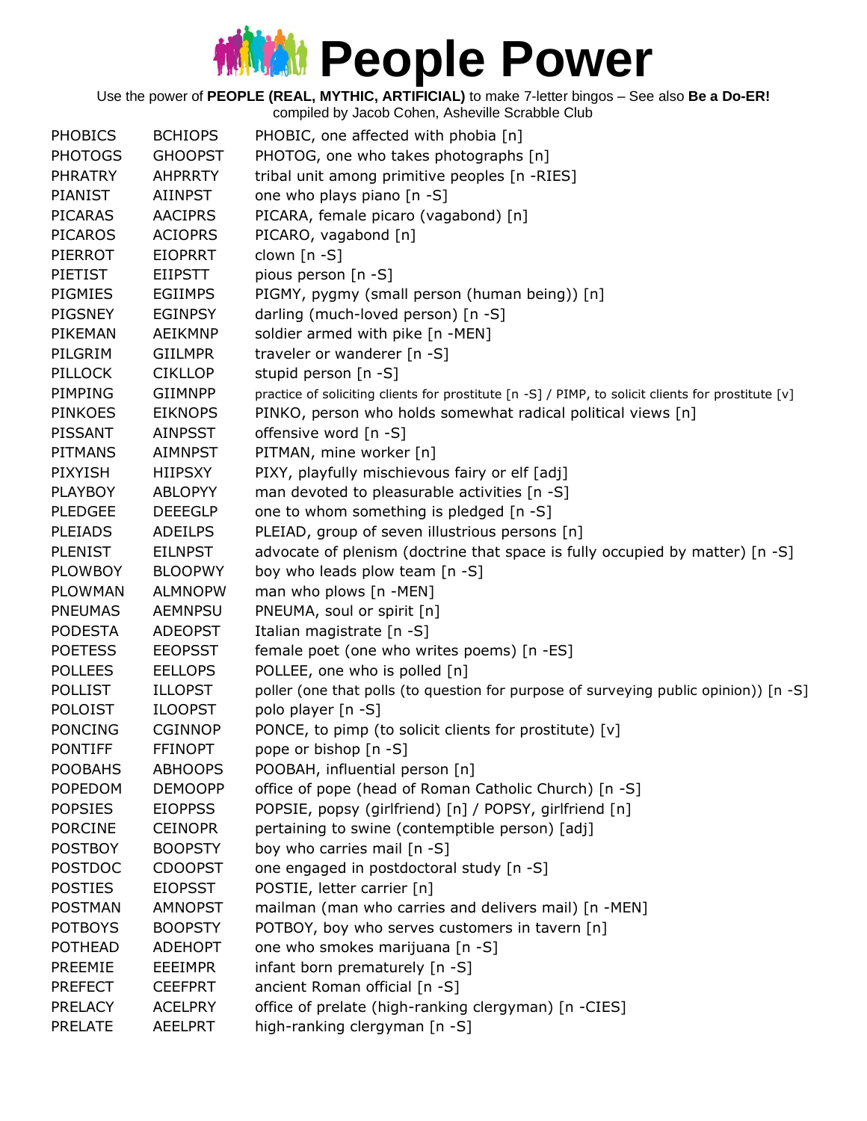Use the power of **PEOPLE (REAL, MYTHIC, ARTIFICIAL)** to make 7-letter bingos – See also **Be a Do-ER!**

| <b>PHOBICS</b> | <b>BCHIOPS</b> | PHOBIC, one affected with phobia [n]                                                               |
|----------------|----------------|----------------------------------------------------------------------------------------------------|
| <b>PHOTOGS</b> | <b>GHOOPST</b> | PHOTOG, one who takes photographs [n]                                                              |
| <b>PHRATRY</b> | <b>AHPRRTY</b> | tribal unit among primitive peoples [n -RIES]                                                      |
| <b>PIANIST</b> | <b>AIINPST</b> | one who plays piano [n -S]                                                                         |
| <b>PICARAS</b> | <b>AACIPRS</b> | PICARA, female picaro (vagabond) [n]                                                               |
| <b>PICAROS</b> | <b>ACIOPRS</b> | PICARO, vagabond [n]                                                                               |
| PIERROT        | <b>EIOPRRT</b> | clown [n -S]                                                                                       |
| <b>PIETIST</b> | <b>EIIPSTT</b> | pious person [n -S]                                                                                |
| PIGMIES        | <b>EGIIMPS</b> | PIGMY, pygmy (small person (human being)) [n]                                                      |
| PIGSNEY        | <b>EGINPSY</b> | darling (much-loved person) [n -S]                                                                 |
| PIKEMAN        | AEIKMNP        | soldier armed with pike [n -MEN]                                                                   |
| PILGRIM        | <b>GIILMPR</b> | traveler or wanderer [n -S]                                                                        |
| <b>PILLOCK</b> | <b>CIKLLOP</b> | stupid person [n -S]                                                                               |
| PIMPING        | <b>GIIMNPP</b> | practice of soliciting clients for prostitute [n -S] / PIMP, to solicit clients for prostitute [v] |
| <b>PINKOES</b> | <b>EIKNOPS</b> | PINKO, person who holds somewhat radical political views [n]                                       |
| <b>PISSANT</b> | <b>AINPSST</b> | offensive word [n -S]                                                                              |
| <b>PITMANS</b> | <b>AIMNPST</b> | PITMAN, mine worker [n]                                                                            |
| <b>PIXYISH</b> | <b>HIIPSXY</b> | PIXY, playfully mischievous fairy or elf [adj]                                                     |
| <b>PLAYBOY</b> | <b>ABLOPYY</b> | man devoted to pleasurable activities [n -S]                                                       |
| <b>PLEDGEE</b> | <b>DEEEGLP</b> | one to whom something is pledged [n -S]                                                            |
| <b>PLEIADS</b> | <b>ADEILPS</b> | PLEIAD, group of seven illustrious persons [n]                                                     |
| <b>PLENIST</b> | <b>EILNPST</b> | advocate of plenism (doctrine that space is fully occupied by matter) [n -S]                       |
| <b>PLOWBOY</b> | <b>BLOOPWY</b> | boy who leads plow team [n -S]                                                                     |
| <b>PLOWMAN</b> | <b>ALMNOPW</b> | man who plows [n -MEN]                                                                             |
| <b>PNEUMAS</b> | <b>AEMNPSU</b> | PNEUMA, soul or spirit [n]                                                                         |
| <b>PODESTA</b> | <b>ADEOPST</b> | Italian magistrate [n -S]                                                                          |
| <b>POETESS</b> | <b>EEOPSST</b> | female poet (one who writes poems) [n -ES]                                                         |
| <b>POLLEES</b> | <b>EELLOPS</b> | POLLEE, one who is polled [n]                                                                      |
| <b>POLLIST</b> | <b>ILLOPST</b> | poller (one that polls (to question for purpose of surveying public opinion)) [n -S]               |
| <b>POLOIST</b> | <b>ILOOPST</b> | polo player [n -S]                                                                                 |
| <b>PONCING</b> | <b>CGINNOP</b> | PONCE, to pimp (to solicit clients for prostitute) [v]                                             |
| <b>PONTIFF</b> | <b>FFINOPT</b> | pope or bishop [n -S]                                                                              |
| <b>POOBAHS</b> | <b>ABHOOPS</b> | POOBAH, influential person [n]                                                                     |
| <b>POPEDOM</b> | <b>DEMOOPP</b> | office of pope (head of Roman Catholic Church) [n -S]                                              |
| <b>POPSIES</b> | <b>EIOPPSS</b> | POPSIE, popsy (girlfriend) [n] / POPSY, girlfriend [n]                                             |
| <b>PORCINE</b> | <b>CEINOPR</b> | pertaining to swine (contemptible person) [adj]                                                    |
| <b>POSTBOY</b> | <b>BOOPSTY</b> | boy who carries mail [n -S]                                                                        |
| <b>POSTDOC</b> | <b>CDOOPST</b> | one engaged in postdoctoral study [n -S]                                                           |
| <b>POSTIES</b> | <b>EIOPSST</b> | POSTIE, letter carrier [n]                                                                         |
| <b>POSTMAN</b> | <b>AMNOPST</b> | mailman (man who carries and delivers mail) [n -MEN]                                               |
| <b>POTBOYS</b> | <b>BOOPSTY</b> | POTBOY, boy who serves customers in tavern [n]                                                     |
| <b>POTHEAD</b> | <b>ADEHOPT</b> | one who smokes marijuana [n -S]                                                                    |
| PREEMIE        | <b>EEEIMPR</b> | infant born prematurely [n -S]                                                                     |
| <b>PREFECT</b> | <b>CEEFPRT</b> | ancient Roman official [n -S]                                                                      |
| <b>PRELACY</b> | <b>ACELPRY</b> | office of prelate (high-ranking clergyman) [n -CIES]                                               |
| <b>PRELATE</b> | <b>AEELPRT</b> | high-ranking clergyman [n -S]                                                                      |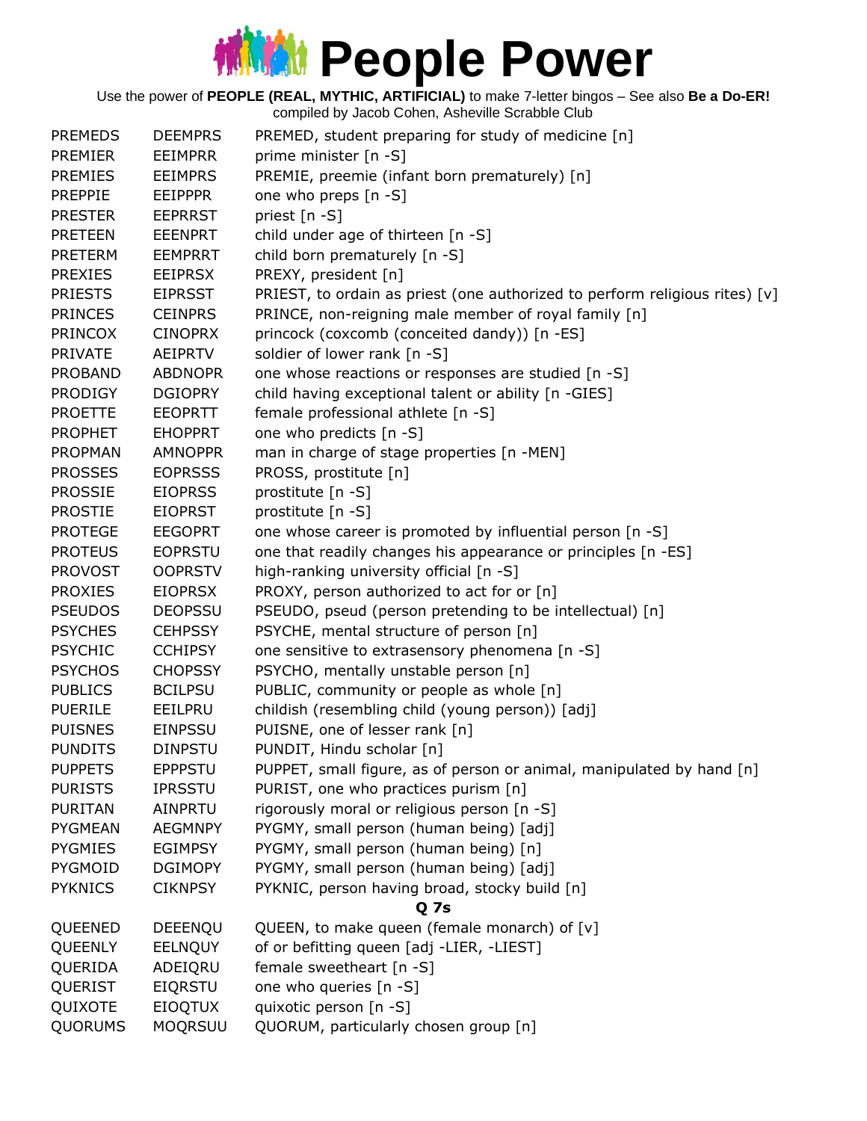Use the power of **PEOPLE (REAL, MYTHIC, ARTIFICIAL)** to make 7-letter bingos – See also **Be a Do-ER!**

| <b>PREMEDS</b> | <b>DEEMPRS</b> | PREMED, student preparing for study of medicine [n]                         |
|----------------|----------------|-----------------------------------------------------------------------------|
| <b>PREMIER</b> | <b>EEIMPRR</b> | prime minister [n -S]                                                       |
| <b>PREMIES</b> | <b>EEIMPRS</b> | PREMIE, preemie (infant born prematurely) [n]                               |
| <b>PREPPIE</b> | <b>EEIPPPR</b> | one who preps [n -S]                                                        |
| <b>PRESTER</b> | <b>EEPRRST</b> | priest [n -S]                                                               |
| <b>PRETEEN</b> | <b>EEENPRT</b> | child under age of thirteen [n -S]                                          |
| <b>PRETERM</b> | <b>EEMPRRT</b> | child born prematurely [n -S]                                               |
| <b>PREXIES</b> | <b>EEIPRSX</b> | PREXY, president [n]                                                        |
| <b>PRIESTS</b> | <b>EIPRSST</b> | PRIEST, to ordain as priest (one authorized to perform religious rites) [v] |
| <b>PRINCES</b> | <b>CEINPRS</b> | PRINCE, non-reigning male member of royal family [n]                        |
| <b>PRINCOX</b> | <b>CINOPRX</b> | princock (coxcomb (conceited dandy)) [n -ES]                                |
| <b>PRIVATE</b> | <b>AEIPRTV</b> | soldier of lower rank [n -S]                                                |
| <b>PROBAND</b> | <b>ABDNOPR</b> | one whose reactions or responses are studied [n -S]                         |
| <b>PRODIGY</b> | <b>DGIOPRY</b> | child having exceptional talent or ability [n -GIES]                        |
| <b>PROETTE</b> | <b>EEOPRTT</b> | female professional athlete [n -S]                                          |
| <b>PROPHET</b> | <b>EHOPPRT</b> | one who predicts [n -S]                                                     |
| <b>PROPMAN</b> | <b>AMNOPPR</b> | man in charge of stage properties [n -MEN]                                  |
| <b>PROSSES</b> | <b>EOPRSSS</b> | PROSS, prostitute [n]                                                       |
| <b>PROSSIE</b> | <b>EIOPRSS</b> | prostitute [n -S]                                                           |
| <b>PROSTIE</b> | <b>EIOPRST</b> | prostitute [n -S]                                                           |
| <b>PROTEGE</b> | <b>EEGOPRT</b> | one whose career is promoted by influential person [n -S]                   |
| <b>PROTEUS</b> | <b>EOPRSTU</b> | one that readily changes his appearance or principles [n -ES]               |
| <b>PROVOST</b> | <b>OOPRSTV</b> | high-ranking university official [n -S]                                     |
| <b>PROXIES</b> | <b>EIOPRSX</b> | PROXY, person authorized to act for or [n]                                  |
| <b>PSEUDOS</b> | <b>DEOPSSU</b> | PSEUDO, pseud (person pretending to be intellectual) [n]                    |
| <b>PSYCHES</b> | <b>CEHPSSY</b> | PSYCHE, mental structure of person [n]                                      |
| <b>PSYCHIC</b> | <b>CCHIPSY</b> | one sensitive to extrasensory phenomena [n -S]                              |
| <b>PSYCHOS</b> | <b>CHOPSSY</b> | PSYCHO, mentally unstable person [n]                                        |
| <b>PUBLICS</b> | <b>BCILPSU</b> | PUBLIC, community or people as whole [n]                                    |
| <b>PUERILE</b> | EEILPRU        | childish (resembling child (young person)) [adj]                            |
| <b>PUISNES</b> | <b>EINPSSU</b> | PUISNE, one of lesser rank [n]                                              |
| <b>PUNDITS</b> | <b>DINPSTU</b> | PUNDIT, Hindu scholar [n]                                                   |
| <b>PUPPETS</b> | <b>EPPPSTU</b> | PUPPET, small figure, as of person or animal, manipulated by hand [n]       |
| <b>PURISTS</b> | <b>IPRSSTU</b> | PURIST, one who practices purism [n]                                        |
| <b>PURITAN</b> | AINPRTU        | rigorously moral or religious person [n -S]                                 |
| <b>PYGMEAN</b> | <b>AEGMNPY</b> | PYGMY, small person (human being) [adj]                                     |
| <b>PYGMIES</b> | <b>EGIMPSY</b> | PYGMY, small person (human being) [n]                                       |
| PYGMOID        | <b>DGIMOPY</b> | PYGMY, small person (human being) [adj]                                     |
| <b>PYKNICS</b> | <b>CIKNPSY</b> | PYKNIC, person having broad, stocky build [n]                               |
|                |                | Q 7s                                                                        |
| QUEENED        | DEEENQU        | QUEEN, to make queen (female monarch) of [v]                                |
| QUEENLY        | <b>EELNQUY</b> | of or befitting queen [adj -LIER, -LIEST]                                   |
| QUERIDA        | ADEIQRU        | female sweetheart [n -S]                                                    |
| QUERIST        | <b>EIQRSTU</b> | one who queries [n -S]                                                      |
| QUIXOTE        | <b>EIOQTUX</b> | quixotic person [n -S]                                                      |
| QUORUMS        | <b>MOQRSUU</b> | QUORUM, particularly chosen group [n]                                       |
|                |                |                                                                             |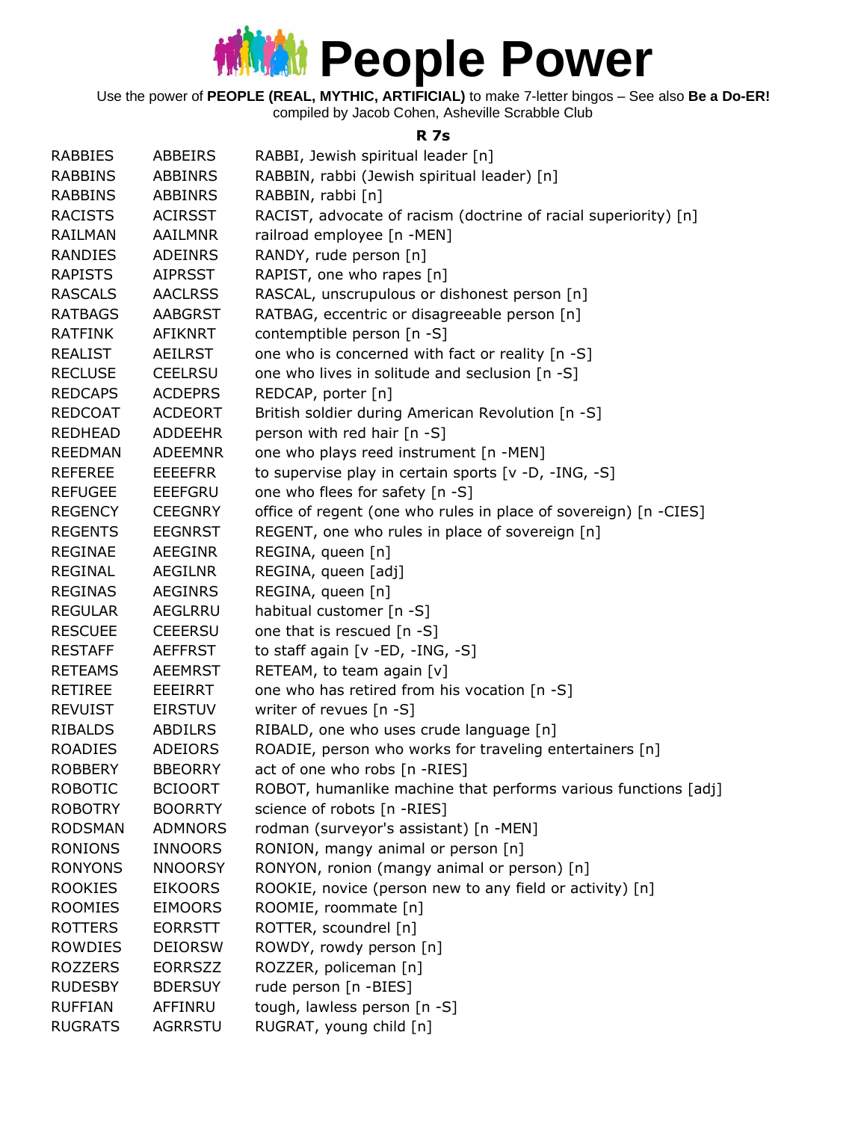Use the power of **PEOPLE (REAL, MYTHIC, ARTIFICIAL)** to make 7-letter bingos – See also **Be a Do-ER!** compiled by Jacob Cohen, Asheville Scrabble Club

**R 7s**

| <b>RABBIES</b> | ABBEIRS        | RABBI, Jewish spiritual leader [n]                               |
|----------------|----------------|------------------------------------------------------------------|
| <b>RABBINS</b> | <b>ABBINRS</b> | RABBIN, rabbi (Jewish spiritual leader) [n]                      |
| <b>RABBINS</b> | ABBINRS        | RABBIN, rabbi [n]                                                |
| <b>RACISTS</b> | <b>ACIRSST</b> | RACIST, advocate of racism (doctrine of racial superiority) [n]  |
| <b>RAILMAN</b> | <b>AAILMNR</b> | railroad employee [n -MEN]                                       |
| <b>RANDIES</b> | <b>ADEINRS</b> | RANDY, rude person [n]                                           |
| <b>RAPISTS</b> | <b>AIPRSST</b> | RAPIST, one who rapes [n]                                        |
| <b>RASCALS</b> | <b>AACLRSS</b> | RASCAL, unscrupulous or dishonest person [n]                     |
| <b>RATBAGS</b> | <b>AABGRST</b> | RATBAG, eccentric or disagreeable person [n]                     |
| <b>RATFINK</b> | AFIKNRT        | contemptible person [n -S]                                       |
| <b>REALIST</b> | AEILRST        | one who is concerned with fact or reality [n -S]                 |
| <b>RECLUSE</b> | <b>CEELRSU</b> | one who lives in solitude and seclusion [n -S]                   |
| <b>REDCAPS</b> | <b>ACDEPRS</b> | REDCAP, porter [n]                                               |
| <b>REDCOAT</b> | <b>ACDEORT</b> | British soldier during American Revolution [n -S]                |
| <b>REDHEAD</b> | <b>ADDEEHR</b> | person with red hair [n -S]                                      |
| <b>REEDMAN</b> | <b>ADEEMNR</b> | one who plays reed instrument [n -MEN]                           |
| <b>REFEREE</b> | <b>EEEEFRR</b> | to supervise play in certain sports [v -D, -ING, -S]             |
| <b>REFUGEE</b> | <b>EEEFGRU</b> | one who flees for safety [n -S]                                  |
| <b>REGENCY</b> | <b>CEEGNRY</b> | office of regent (one who rules in place of sovereign) [n -CIES] |
| <b>REGENTS</b> | <b>EEGNRST</b> | REGENT, one who rules in place of sovereign [n]                  |
| REGINAE        | AEEGINR        | REGINA, queen [n]                                                |
| <b>REGINAL</b> | AEGILNR        | REGINA, queen [adj]                                              |
| <b>REGINAS</b> | <b>AEGINRS</b> | REGINA, queen [n]                                                |
| <b>REGULAR</b> | <b>AEGLRRU</b> | habitual customer [n -S]                                         |
| <b>RESCUEE</b> | <b>CEEERSU</b> | one that is rescued [n -S]                                       |
| <b>RESTAFF</b> | <b>AEFFRST</b> | to staff again [v -ED, -ING, -S]                                 |
| <b>RETEAMS</b> | <b>AEEMRST</b> | RETEAM, to team again [v]                                        |
| <b>RETIREE</b> | EEEIRRT        | one who has retired from his vocation [n -S]                     |
| <b>REVUIST</b> | <b>EIRSTUV</b> | writer of revues [n -S]                                          |
| <b>RIBALDS</b> | ABDILRS        | RIBALD, one who uses crude language [n]                          |
| <b>ROADIES</b> | ADEIORS        | ROADIE, person who works for traveling entertainers [n]          |
| <b>ROBBERY</b> | <b>BBEORRY</b> | act of one who robs [n -RIES]                                    |
| <b>ROBOTIC</b> | <b>BCIOORT</b> | ROBOT, humanlike machine that performs various functions [adj]   |
| <b>ROBOTRY</b> | <b>BOORRTY</b> | science of robots [n -RIES]                                      |
| <b>RODSMAN</b> | <b>ADMNORS</b> | rodman (surveyor's assistant) [n -MEN]                           |
| <b>RONIONS</b> | <b>INNOORS</b> | RONION, mangy animal or person [n]                               |
| <b>RONYONS</b> | <b>NNOORSY</b> | RONYON, ronion (mangy animal or person) [n]                      |
| <b>ROOKIES</b> | <b>EIKOORS</b> | ROOKIE, novice (person new to any field or activity) [n]         |
| <b>ROOMIES</b> | <b>EIMOORS</b> | ROOMIE, roommate [n]                                             |
| <b>ROTTERS</b> | <b>EORRSTT</b> | ROTTER, scoundrel [n]                                            |
| ROWDIES        | <b>DEIORSW</b> | ROWDY, rowdy person [n]                                          |
| <b>ROZZERS</b> | <b>EORRSZZ</b> | ROZZER, policeman [n]                                            |
| <b>RUDESBY</b> | <b>BDERSUY</b> | rude person [n -BIES]                                            |
| <b>RUFFIAN</b> | AFFINRU        | tough, lawless person [n -S]                                     |
| <b>RUGRATS</b> | AGRRSTU        | RUGRAT, young child [n]                                          |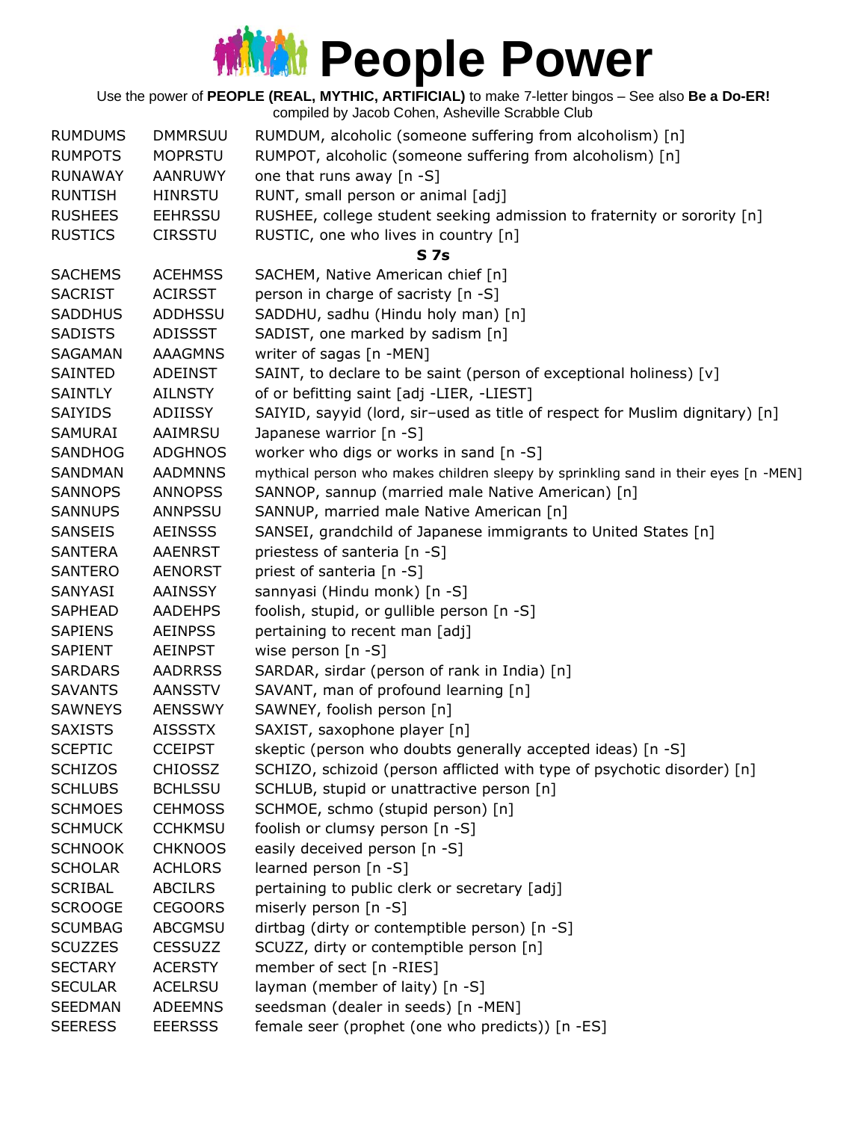Use the power of **PEOPLE (REAL, MYTHIC, ARTIFICIAL)** to make 7-letter bingos – See also **Be a Do-ER!**

| <b>RUMDUMS</b> | <b>DMMRSUU</b> | RUMDUM, alcoholic (someone suffering from alcoholism) [n]                           |
|----------------|----------------|-------------------------------------------------------------------------------------|
| <b>RUMPOTS</b> | <b>MOPRSTU</b> | RUMPOT, alcoholic (someone suffering from alcoholism) [n]                           |
| <b>RUNAWAY</b> | <b>AANRUWY</b> | one that runs away $[n - S]$                                                        |
| <b>RUNTISH</b> | <b>HINRSTU</b> | RUNT, small person or animal [adj]                                                  |
| <b>RUSHEES</b> | <b>EEHRSSU</b> | RUSHEE, college student seeking admission to fraternity or sorority [n]             |
| <b>RUSTICS</b> | <b>CIRSSTU</b> | RUSTIC, one who lives in country [n]                                                |
|                |                | <b>S7s</b>                                                                          |
| <b>SACHEMS</b> | <b>ACEHMSS</b> | SACHEM, Native American chief [n]                                                   |
| <b>SACRIST</b> | <b>ACIRSST</b> | person in charge of sacristy [n -S]                                                 |
| <b>SADDHUS</b> | <b>ADDHSSU</b> | SADDHU, sadhu (Hindu holy man) [n]                                                  |
| <b>SADISTS</b> | <b>ADISSST</b> | SADIST, one marked by sadism [n]                                                    |
| SAGAMAN        | <b>AAAGMNS</b> | writer of sagas [n -MEN]                                                            |
| SAINTED        | <b>ADEINST</b> | SAINT, to declare to be saint (person of exceptional holiness) [v]                  |
| <b>SAINTLY</b> | AILNSTY        | of or befitting saint [adj -LIER, -LIEST]                                           |
| <b>SAIYIDS</b> | ADIISSY        | SAIYID, sayyid (lord, sir-used as title of respect for Muslim dignitary) [n]        |
| SAMURAI        | AAIMRSU        | Japanese warrior [n -S]                                                             |
| <b>SANDHOG</b> | <b>ADGHNOS</b> | worker who digs or works in sand [n -S]                                             |
| SANDMAN        | <b>AADMNNS</b> | mythical person who makes children sleepy by sprinkling sand in their eyes [n -MEN] |
| <b>SANNOPS</b> | <b>ANNOPSS</b> | SANNOP, sannup (married male Native American) [n]                                   |
| <b>SANNUPS</b> | <b>ANNPSSU</b> | SANNUP, married male Native American [n]                                            |
| <b>SANSEIS</b> | <b>AEINSSS</b> | SANSEI, grandchild of Japanese immigrants to United States [n]                      |
| <b>SANTERA</b> | <b>AAENRST</b> | priestess of santeria [n -S]                                                        |
| <b>SANTERO</b> | <b>AENORST</b> | priest of santeria [n -S]                                                           |
| SANYASI        | <b>AAINSSY</b> | sannyasi (Hindu monk) [n -S]                                                        |
| <b>SAPHEAD</b> | <b>AADEHPS</b> | foolish, stupid, or gullible person [n -S]                                          |
| <b>SAPIENS</b> | <b>AEINPSS</b> | pertaining to recent man [adj]                                                      |
| <b>SAPIENT</b> | <b>AEINPST</b> | wise person [n -S]                                                                  |
| <b>SARDARS</b> | <b>AADRRSS</b> | SARDAR, sirdar (person of rank in India) [n]                                        |
| <b>SAVANTS</b> | <b>AANSSTV</b> | SAVANT, man of profound learning [n]                                                |
| <b>SAWNEYS</b> | <b>AENSSWY</b> | SAWNEY, foolish person [n]                                                          |
| <b>SAXISTS</b> | <b>AISSSTX</b> | SAXIST, saxophone player [n]                                                        |
| <b>SCEPTIC</b> | <b>CCEIPST</b> | skeptic (person who doubts generally accepted ideas) [n -S]                         |
| <b>SCHIZOS</b> | <b>CHIOSSZ</b> | SCHIZO, schizoid (person afflicted with type of psychotic disorder) [n]             |
| <b>SCHLUBS</b> | <b>BCHLSSU</b> | SCHLUB, stupid or unattractive person [n]                                           |
| <b>SCHMOES</b> | <b>CEHMOSS</b> | SCHMOE, schmo (stupid person) [n]                                                   |
| <b>SCHMUCK</b> | <b>CCHKMSU</b> | foolish or clumsy person [n -S]                                                     |
| <b>SCHNOOK</b> |                |                                                                                     |
|                | <b>CHKNOOS</b> | easily deceived person [n -S]                                                       |
| <b>SCHOLAR</b> | <b>ACHLORS</b> | learned person [n -S]                                                               |
| <b>SCRIBAL</b> | <b>ABCILRS</b> | pertaining to public clerk or secretary [adj]                                       |
| <b>SCROOGE</b> | <b>CEGOORS</b> | miserly person [n -S]                                                               |
| <b>SCUMBAG</b> | ABCGMSU        | dirtbag (dirty or contemptible person) [n -S]                                       |
| <b>SCUZZES</b> | CESSUZZ        | SCUZZ, dirty or contemptible person [n]                                             |
| <b>SECTARY</b> | <b>ACERSTY</b> | member of sect [n -RIES]                                                            |
| <b>SECULAR</b> | <b>ACELRSU</b> | layman (member of laity) [n -S]                                                     |
| <b>SEEDMAN</b> | <b>ADEEMNS</b> | seedsman (dealer in seeds) [n -MEN]                                                 |
| <b>SEERESS</b> | <b>EEERSSS</b> | female seer (prophet (one who predicts)) [n -ES]                                    |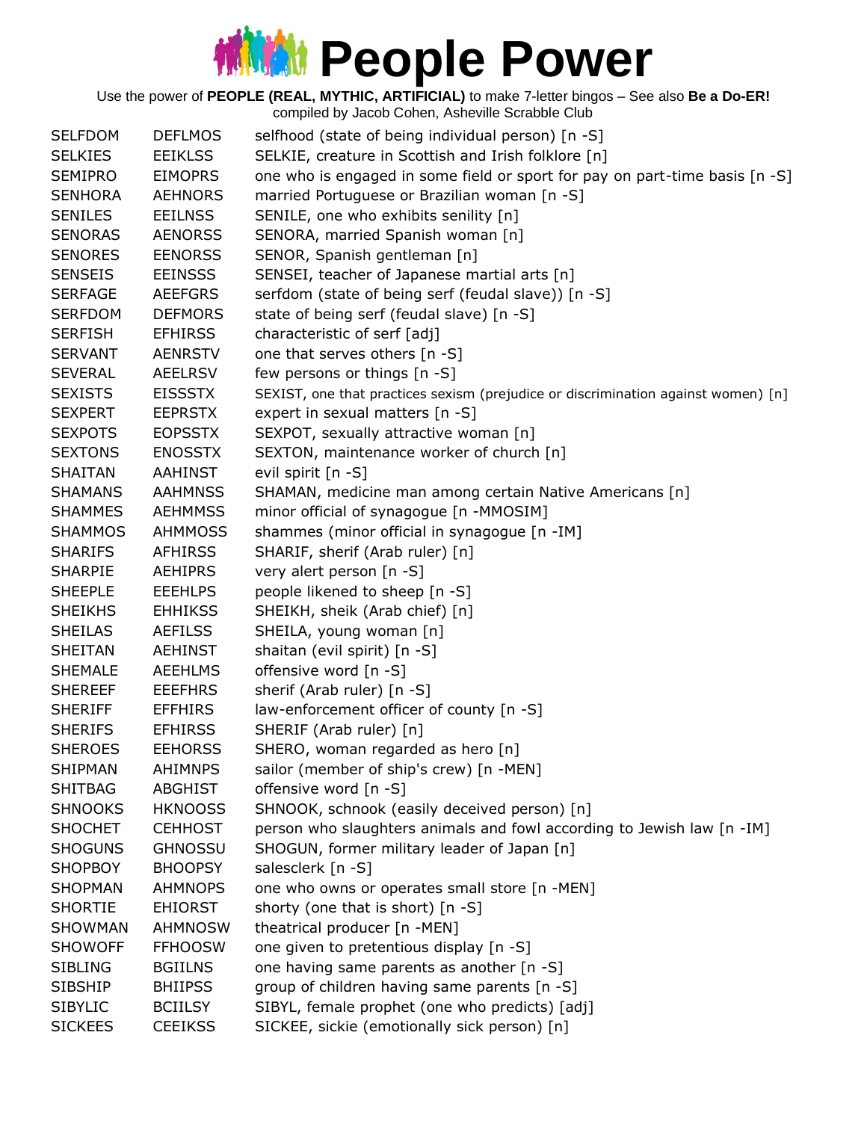Use the power of **PEOPLE (REAL, MYTHIC, ARTIFICIAL)** to make 7-letter bingos – See also **Be a Do-ER!**

| <b>SELFDOM</b> | <b>DEFLMOS</b> | selfhood (state of being individual person) [n -S]                                |
|----------------|----------------|-----------------------------------------------------------------------------------|
| <b>SELKIES</b> | <b>EEIKLSS</b> | SELKIE, creature in Scottish and Irish folklore [n]                               |
| <b>SEMIPRO</b> | <b>EIMOPRS</b> | one who is engaged in some field or sport for pay on part-time basis [n -S]       |
| <b>SENHORA</b> | <b>AEHNORS</b> | married Portuguese or Brazilian woman [n -S]                                      |
| <b>SENILES</b> | <b>EEILNSS</b> | SENILE, one who exhibits senility [n]                                             |
| <b>SENORAS</b> | <b>AENORSS</b> | SENORA, married Spanish woman [n]                                                 |
| <b>SENORES</b> | <b>EENORSS</b> | SENOR, Spanish gentleman [n]                                                      |
| <b>SENSEIS</b> | <b>EEINSSS</b> | SENSEI, teacher of Japanese martial arts [n]                                      |
| <b>SERFAGE</b> | <b>AEEFGRS</b> | serfdom (state of being serf (feudal slave)) [n -S]                               |
| <b>SERFDOM</b> | <b>DEFMORS</b> | state of being serf (feudal slave) [n -S]                                         |
| <b>SERFISH</b> | <b>EFHIRSS</b> | characteristic of serf [adj]                                                      |
| <b>SERVANT</b> | <b>AENRSTV</b> | one that serves others [n -S]                                                     |
| <b>SEVERAL</b> | <b>AEELRSV</b> | few persons or things [n -S]                                                      |
| <b>SEXISTS</b> | <b>EISSSTX</b> | SEXIST, one that practices sexism (prejudice or discrimination against women) [n] |
| <b>SEXPERT</b> | <b>EEPRSTX</b> | expert in sexual matters [n -S]                                                   |
| <b>SEXPOTS</b> | <b>EOPSSTX</b> | SEXPOT, sexually attractive woman [n]                                             |
| <b>SEXTONS</b> | <b>ENOSSTX</b> | SEXTON, maintenance worker of church [n]                                          |
| <b>SHAITAN</b> | AAHINST        | evil spirit [n -S]                                                                |
| <b>SHAMANS</b> | <b>AAHMNSS</b> | SHAMAN, medicine man among certain Native Americans [n]                           |
| <b>SHAMMES</b> | <b>AEHMMSS</b> | minor official of synagogue [n -MMOSIM]                                           |
| <b>SHAMMOS</b> | <b>AHMMOSS</b> | shammes (minor official in synagogue [n -IM]                                      |
| <b>SHARIFS</b> | <b>AFHIRSS</b> | SHARIF, sherif (Arab ruler) [n]                                                   |
| <b>SHARPIE</b> | <b>AEHIPRS</b> | very alert person [n -S]                                                          |
| <b>SHEEPLE</b> | <b>EEEHLPS</b> | people likened to sheep [n -S]                                                    |
| <b>SHEIKHS</b> | <b>EHHIKSS</b> | SHEIKH, sheik (Arab chief) [n]                                                    |
| <b>SHEILAS</b> | <b>AEFILSS</b> | SHEILA, young woman [n]                                                           |
| <b>SHEITAN</b> | <b>AEHINST</b> | shaitan (evil spirit) [n -S]                                                      |
| <b>SHEMALE</b> | <b>AEEHLMS</b> | offensive word [n -S]                                                             |
| <b>SHEREEF</b> | <b>EEEFHRS</b> | sherif (Arab ruler) [n -S]                                                        |
| <b>SHERIFF</b> | <b>EFFHIRS</b> | law-enforcement officer of county [n -S]                                          |
| <b>SHERIFS</b> | <b>EFHIRSS</b> | SHERIF (Arab ruler) [n]                                                           |
| <b>SHEROES</b> | <b>EEHORSS</b> | SHERO, woman regarded as hero [n]                                                 |
| <b>SHIPMAN</b> | <b>AHIMNPS</b> | sailor (member of ship's crew) [n -MEN]                                           |
| <b>SHITBAG</b> | <b>ABGHIST</b> | offensive word [n -S]                                                             |
| <b>SHNOOKS</b> | <b>HKNOOSS</b> | SHNOOK, schnook (easily deceived person) [n]                                      |
| <b>SHOCHET</b> | <b>CEHHOST</b> | person who slaughters animals and fowl according to Jewish law [n -IM]            |
| <b>SHOGUNS</b> | <b>GHNOSSU</b> | SHOGUN, former military leader of Japan [n]                                       |
| <b>SHOPBOY</b> | <b>BHOOPSY</b> | salesclerk [n -S]                                                                 |
| <b>SHOPMAN</b> | <b>AHMNOPS</b> | one who owns or operates small store [n -MEN]                                     |
| <b>SHORTIE</b> | <b>EHIORST</b> | shorty (one that is short) [n -S]                                                 |
| <b>SHOWMAN</b> | AHMNOSW        | theatrical producer [n -MEN]                                                      |
| <b>SHOWOFF</b> | <b>FFHOOSW</b> | one given to pretentious display [n -S]                                           |
| <b>SIBLING</b> | <b>BGIILNS</b> | one having same parents as another [n -S]                                         |
| <b>SIBSHIP</b> | <b>BHIIPSS</b> | group of children having same parents [n -S]                                      |
| <b>SIBYLIC</b> | <b>BCIILSY</b> | SIBYL, female prophet (one who predicts) [adj]                                    |
| <b>SICKEES</b> | <b>CEEIKSS</b> | SICKEE, sickie (emotionally sick person) [n]                                      |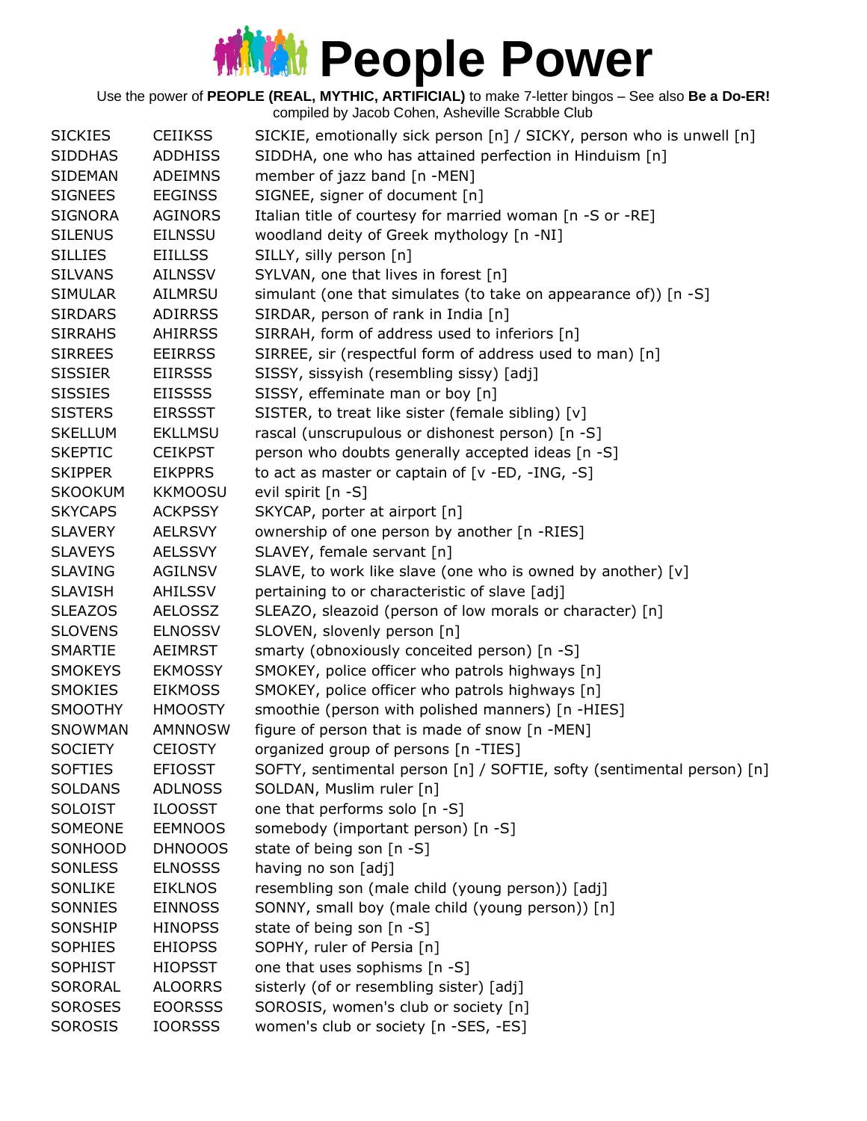#### **MMM** People Power

Use the power of **PEOPLE (REAL, MYTHIC, ARTIFICIAL)** to make 7-letter bingos – See also **Be a Do-ER!** compiled by Jacob Cohen, Asheville Scrabble Club

SICKIES CEIIKSS SICKIE, emotionally sick person [n] / SICKY, person who is unwell [n] SIDDHAS ADDHISS SIDDHA, one who has attained perfection in Hinduism [n] SIDEMAN ADEIMNS member of jazz band [n -MEN] SIGNEES EEGINSS SIGNEE, signer of document [n] SIGNORA AGINORS Italian title of courtesy for married woman [n -S or -RE] SILENUS EILNSSU woodland deity of Greek mythology [n -NI] SILLIES EIILLSS SILLY, silly person [n] SILVANS AILNSSV SYLVAN, one that lives in forest [n] SIMULAR AILMRSU simulant (one that simulates (to take on appearance of)) [n -S] SIRDARS ADIRRSS SIRDAR, person of rank in India [n] SIRRAHS AHIRRSS SIRRAH, form of address used to inferiors [n] SIRREES EEIRRSS SIRREE, sir (respectful form of address used to man) [n] SISSIER EIIRSSS SISSY, sissyish (resembling sissy) [adj] SISSIES EIISSSS SISSY, effeminate man or boy [n] SISTERS EIRSSST SISTER, to treat like sister (female sibling) [v] SKELLUM EKLLMSU rascal (unscrupulous or dishonest person) [n -S] SKEPTIC CEIKPST person who doubts generally accepted ideas [n -S] SKIPPER EIKPPRS to act as master or captain of [v -ED, -ING, -S] SKOOKUM KKMOOSU evil spirit [n -S] SKYCAPS ACKPSSY SKYCAP, porter at airport [n] SLAVERY AELRSVY ownership of one person by another [n -RIES] SLAVEYS AELSSVY SLAVEY, female servant [n] SLAVING AGILNSV SLAVE, to work like slave (one who is owned by another) [v] SLAVISH AHILSSV pertaining to or characteristic of slave [adj] SLEAZOS AELOSSZ SLEAZO, sleazoid (person of low morals or character) [n] SLOVENS ELNOSSV SLOVEN, slovenly person [n] SMARTIE AEIMRST smarty (obnoxiously conceited person) [n -S] SMOKEYS EKMOSSY SMOKEY, police officer who patrols highways [n] SMOKIES EIKMOSS SMOKEY, police officer who patrols highways [n] SMOOTHY HMOOSTY smoothie (person with polished manners) [n -HIES] SNOWMAN AMNNOSW figure of person that is made of snow [n -MEN] SOCIETY CEIOSTY organized group of persons [n -TIES] SOFTIES EFIOSST SOFTY, sentimental person [n] / SOFTIE, softy (sentimental person) [n] SOLDANS ADLNOSS SOLDAN, Muslim ruler [n] SOLOIST ILOOSST one that performs solo [n -S] SOMEONE EEMNOOS somebody (important person) [n -S] SONHOOD DHNOOOS state of being son [n -S] SONLESS ELNOSSS having no son [adj] SONLIKE EIKLNOS resembling son (male child (young person)) [adj] SONNIES EINNOSS SONNY, small boy (male child (young person)) [n] SONSHIP HINOPSS state of being son [n -S] SOPHIES EHIOPSS SOPHY, ruler of Persia [n] SOPHIST HIOPSST one that uses sophisms [n -S] SORORAL ALOORRS sisterly (of or resembling sister) [adj] SOROSES EOORSSS SOROSIS, women's club or society [n] SOROSIS IOORSSS women's club or society [n -SES, -ES]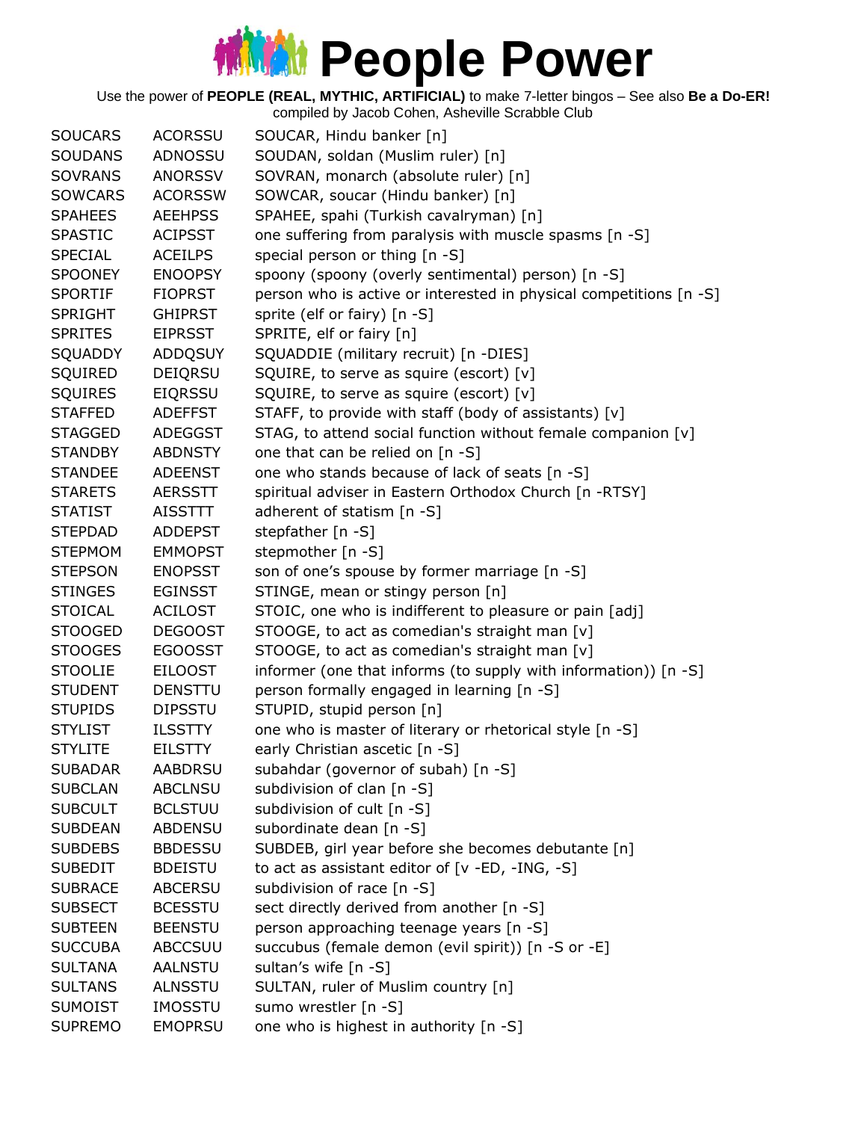| <b>SOUCARS</b> | <b>ACORSSU</b> | SOUCAR, Hindu banker [n]                                           |
|----------------|----------------|--------------------------------------------------------------------|
| <b>SOUDANS</b> | ADNOSSU        | SOUDAN, soldan (Muslim ruler) [n]                                  |
| <b>SOVRANS</b> | <b>ANORSSV</b> | SOVRAN, monarch (absolute ruler) [n]                               |
| <b>SOWCARS</b> | <b>ACORSSW</b> | SOWCAR, soucar (Hindu banker) [n]                                  |
| <b>SPAHEES</b> | <b>AEEHPSS</b> | SPAHEE, spahi (Turkish cavalryman) [n]                             |
| <b>SPASTIC</b> | <b>ACIPSST</b> | one suffering from paralysis with muscle spasms [n -S]             |
| <b>SPECIAL</b> | <b>ACEILPS</b> | special person or thing [n -S]                                     |
| <b>SPOONEY</b> | <b>ENOOPSY</b> | spoony (spoony (overly sentimental) person) [n -S]                 |
| <b>SPORTIF</b> | <b>FIOPRST</b> | person who is active or interested in physical competitions [n -S] |
| <b>SPRIGHT</b> | <b>GHIPRST</b> | sprite (elf or fairy) [n -S]                                       |
| <b>SPRITES</b> | <b>EIPRSST</b> | SPRITE, elf or fairy [n]                                           |
| SQUADDY        | <b>ADDQSUY</b> | SQUADDIE (military recruit) [n -DIES]                              |
| SQUIRED        | DEIQRSU        | SQUIRE, to serve as squire (escort) [v]                            |
| <b>SQUIRES</b> | <b>EIQRSSU</b> | SQUIRE, to serve as squire (escort) [v]                            |
| <b>STAFFED</b> | <b>ADEFFST</b> | STAFF, to provide with staff (body of assistants) [v]              |
| <b>STAGGED</b> | ADEGGST        | STAG, to attend social function without female companion [v]       |
| <b>STANDBY</b> | <b>ABDNSTY</b> | one that can be relied on [n -S]                                   |
| <b>STANDEE</b> | <b>ADEENST</b> | one who stands because of lack of seats [n -S]                     |
| <b>STARETS</b> | AERSSTT        | spiritual adviser in Eastern Orthodox Church [n -RTSY]             |
| <b>STATIST</b> | <b>AISSTTT</b> | adherent of statism [n -S]                                         |
| <b>STEPDAD</b> | <b>ADDEPST</b> | stepfather [n -S]                                                  |
| <b>STEPMOM</b> | <b>EMMOPST</b> | stepmother [n -S]                                                  |
| <b>STEPSON</b> | <b>ENOPSST</b> | son of one's spouse by former marriage [n -S]                      |
| <b>STINGES</b> | <b>EGINSST</b> | STINGE, mean or stingy person [n]                                  |
| <b>STOICAL</b> | <b>ACILOST</b> | STOIC, one who is indifferent to pleasure or pain [adj]            |
| <b>STOOGED</b> | <b>DEGOOST</b> | STOOGE, to act as comedian's straight man [v]                      |
| <b>STOOGES</b> | <b>EGOOSST</b> | STOOGE, to act as comedian's straight man [v]                      |
| <b>STOOLIE</b> | <b>EILOOST</b> | informer (one that informs (to supply with information)) [n -S]    |
| <b>STUDENT</b> | <b>DENSTTU</b> | person formally engaged in learning [n -S]                         |
| <b>STUPIDS</b> | <b>DIPSSTU</b> | STUPID, stupid person [n]                                          |
| <b>STYLIST</b> | <b>ILSSTTY</b> | one who is master of literary or rhetorical style [n -S]           |
| <b>STYLITE</b> | <b>EILSTTY</b> | early Christian ascetic [n -S]                                     |
| <b>SUBADAR</b> | <b>AABDRSU</b> | subahdar (governor of subah) [n -S]                                |
| <b>SUBCLAN</b> | <b>ABCLNSU</b> | subdivision of clan [n -S]                                         |
| <b>SUBCULT</b> | <b>BCLSTUU</b> | subdivision of cult [n -S]                                         |
| <b>SUBDEAN</b> | <b>ABDENSU</b> | subordinate dean [n -S]                                            |
| <b>SUBDEBS</b> | <b>BBDESSU</b> | SUBDEB, girl year before she becomes debutante [n]                 |
| <b>SUBEDIT</b> | <b>BDEISTU</b> | to act as assistant editor of [v -ED, -ING, -S]                    |
| <b>SUBRACE</b> | <b>ABCERSU</b> | subdivision of race [n -S]                                         |
| <b>SUBSECT</b> | <b>BCESSTU</b> | sect directly derived from another [n -S]                          |
| <b>SUBTEEN</b> | <b>BEENSTU</b> | person approaching teenage years [n -S]                            |
| <b>SUCCUBA</b> | <b>ABCCSUU</b> | succubus (female demon (evil spirit)) [n -S or -E]                 |
| <b>SULTANA</b> | <b>AALNSTU</b> | sultan's wife [n -S]                                               |
| <b>SULTANS</b> | <b>ALNSSTU</b> | SULTAN, ruler of Muslim country [n]                                |
| <b>SUMOIST</b> | <b>IMOSSTU</b> | sumo wrestler [n -S]                                               |
| <b>SUPREMO</b> | <b>EMOPRSU</b> | one who is highest in authority [n -S]                             |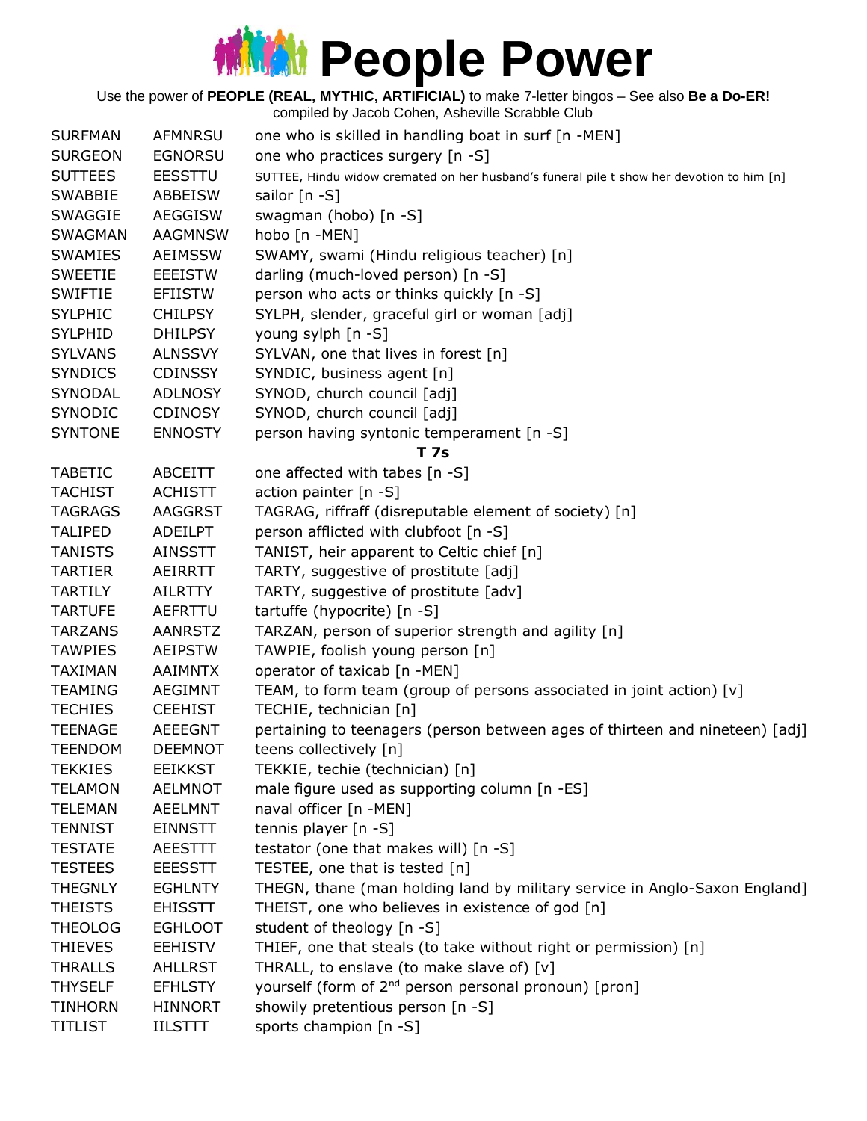Use the power of **PEOPLE (REAL, MYTHIC, ARTIFICIAL)** to make 7-letter bingos – See also **Be a Do-ER!**

| <b>SURFMAN</b> | <b>AFMNRSU</b> | one who is skilled in handling boat in surf [n -MEN]                                      |
|----------------|----------------|-------------------------------------------------------------------------------------------|
| <b>SURGEON</b> | <b>EGNORSU</b> | one who practices surgery [n -S]                                                          |
| <b>SUTTEES</b> | <b>EESSTTU</b> | SUTTEE, Hindu widow cremated on her husband's funeral pile t show her devotion to him [n] |
| <b>SWABBIE</b> | ABBEISW        | sailor [n -S]                                                                             |
| <b>SWAGGIE</b> | <b>AEGGISW</b> | swagman (hobo) [n -S]                                                                     |
|                |                |                                                                                           |
| <b>SWAGMAN</b> | <b>AAGMNSW</b> | hobo [n -MEN]                                                                             |
| <b>SWAMIES</b> | <b>AEIMSSW</b> | SWAMY, swami (Hindu religious teacher) [n]                                                |
| <b>SWEETIE</b> | <b>EEEISTW</b> | darling (much-loved person) [n -S]                                                        |
| SWIFTIE        | <b>EFIISTW</b> | person who acts or thinks quickly [n -S]                                                  |
| <b>SYLPHIC</b> | <b>CHILPSY</b> | SYLPH, slender, graceful girl or woman [adj]                                              |
| <b>SYLPHID</b> | <b>DHILPSY</b> | young sylph [n -S]                                                                        |
| <b>SYLVANS</b> | <b>ALNSSVY</b> | SYLVAN, one that lives in forest [n]                                                      |
| <b>SYNDICS</b> | <b>CDINSSY</b> | SYNDIC, business agent [n]                                                                |
| SYNODAL        | <b>ADLNOSY</b> | SYNOD, church council [adj]                                                               |
| <b>SYNODIC</b> | <b>CDINOSY</b> | SYNOD, church council [adj]                                                               |
| <b>SYNTONE</b> | <b>ENNOSTY</b> | person having syntonic temperament [n -S]                                                 |
|                |                | T 7s                                                                                      |
| <b>TABETIC</b> | ABCEITT        | one affected with tabes [n -S]                                                            |
| <b>TACHIST</b> | <b>ACHISTT</b> | action painter [n -S]                                                                     |
| <b>TAGRAGS</b> | AAGGRST        | TAGRAG, riffraff (disreputable element of society) [n]                                    |
| <b>TALIPED</b> | ADEILPT        | person afflicted with clubfoot [n -S]                                                     |
| <b>TANISTS</b> | <b>AINSSTT</b> | TANIST, heir apparent to Celtic chief [n]                                                 |
| TARTIER        | AEIRRTT        | TARTY, suggestive of prostitute [adj]                                                     |
| <b>TARTILY</b> | <b>AILRTTY</b> | TARTY, suggestive of prostitute [adv]                                                     |
| <b>TARTUFE</b> | AEFRTTU        | tartuffe (hypocrite) [n -S]                                                               |
| <b>TARZANS</b> | <b>AANRSTZ</b> | TARZAN, person of superior strength and agility [n]                                       |
| <b>TAWPIES</b> | <b>AEIPSTW</b> | TAWPIE, foolish young person [n]                                                          |
| <b>TAXIMAN</b> | <b>AAIMNTX</b> | operator of taxicab [n -MEN]                                                              |
| <b>TEAMING</b> | <b>AEGIMNT</b> | TEAM, to form team (group of persons associated in joint action) [v]                      |
| <b>TECHIES</b> | <b>CEEHIST</b> | TECHIE, technician [n]                                                                    |
| <b>TEENAGE</b> | <b>AEEEGNT</b> | pertaining to teenagers (person between ages of thirteen and nineteen) [adj]              |
| <b>TEENDOM</b> | <b>DEEMNOT</b> | teens collectively [n]                                                                    |
|                |                |                                                                                           |
| <b>TEKKIES</b> | <b>EEIKKST</b> | TEKKIE, techie (technician) [n]                                                           |
| <b>TELAMON</b> | <b>AELMNOT</b> | male figure used as supporting column [n -ES]                                             |
| <b>TELEMAN</b> | <b>AEELMNT</b> | naval officer [n -MEN]                                                                    |
| <b>TENNIST</b> | <b>EINNSTT</b> | tennis player [n -S]                                                                      |
| <b>TESTATE</b> | <b>AEESTTT</b> | testator (one that makes will) [n -S]                                                     |
| <b>TESTEES</b> | <b>EEESSTT</b> | TESTEE, one that is tested [n]                                                            |
| <b>THEGNLY</b> | <b>EGHLNTY</b> | THEGN, thane (man holding land by military service in Anglo-Saxon England]                |
| <b>THEISTS</b> | <b>EHISSTT</b> | THEIST, one who believes in existence of god [n]                                          |
| THEOLOG        | <b>EGHLOOT</b> | student of theology [n -S]                                                                |
| <b>THIEVES</b> | <b>EEHISTV</b> | THIEF, one that steals (to take without right or permission) [n]                          |
| <b>THRALLS</b> | <b>AHLLRST</b> | THRALL, to enslave (to make slave of) [v]                                                 |
| <b>THYSELF</b> | <b>EFHLSTY</b> | yourself (form of 2 <sup>nd</sup> person personal pronoun) [pron]                         |
| <b>TINHORN</b> | <b>HINNORT</b> | showily pretentious person [n -S]                                                         |
| <b>TITLIST</b> | <b>IILSTTT</b> | sports champion [n -S]                                                                    |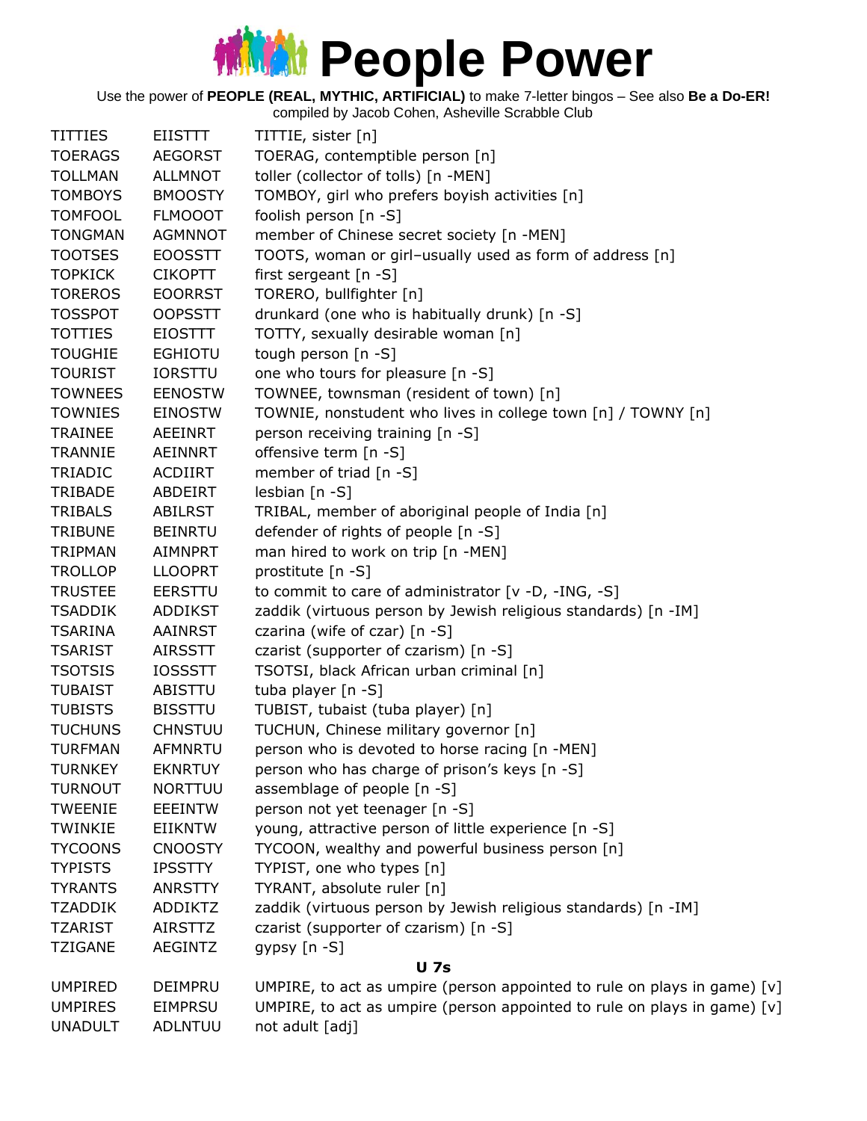Use the power of **PEOPLE (REAL, MYTHIC, ARTIFICIAL)** to make 7-letter bingos – See also **Be a Do-ER!**

| <b>TITTIES</b> | <b>EIISTTT</b> | TITTIE, sister [n]                                                       |
|----------------|----------------|--------------------------------------------------------------------------|
| <b>TOERAGS</b> | <b>AEGORST</b> | TOERAG, contemptible person [n]                                          |
| <b>TOLLMAN</b> | <b>ALLMNOT</b> | toller (collector of tolls) [n -MEN]                                     |
| <b>TOMBOYS</b> | <b>BMOOSTY</b> | TOMBOY, girl who prefers boyish activities [n]                           |
| <b>TOMFOOL</b> | <b>FLMOOOT</b> | foolish person [n -S]                                                    |
| <b>TONGMAN</b> | <b>AGMNNOT</b> | member of Chinese secret society [n -MEN]                                |
| <b>TOOTSES</b> | <b>EOOSSTT</b> | TOOTS, woman or girl-usually used as form of address [n]                 |
| <b>TOPKICK</b> | <b>CIKOPTT</b> | first sergeant $[n -S]$                                                  |
| <b>TOREROS</b> | <b>EOORRST</b> | TORERO, bullfighter [n]                                                  |
| <b>TOSSPOT</b> | <b>OOPSSTT</b> | drunkard (one who is habitually drunk) [n -S]                            |
| <b>TOTTIES</b> | <b>EIOSTTT</b> | TOTTY, sexually desirable woman [n]                                      |
| <b>TOUGHIE</b> | <b>EGHIOTU</b> | tough person [n -S]                                                      |
| <b>TOURIST</b> | <b>IORSTTU</b> | one who tours for pleasure [n -S]                                        |
| <b>TOWNEES</b> | <b>EENOSTW</b> | TOWNEE, townsman (resident of town) [n]                                  |
| <b>TOWNIES</b> | <b>EINOSTW</b> | TOWNIE, nonstudent who lives in college town [n] / TOWNY [n]             |
| <b>TRAINEE</b> | <b>AEEINRT</b> | person receiving training [n -S]                                         |
| <b>TRANNIE</b> | <b>AEINNRT</b> | offensive term [n -S]                                                    |
| <b>TRIADIC</b> | <b>ACDIIRT</b> | member of triad [n -S]                                                   |
| <b>TRIBADE</b> | <b>ABDEIRT</b> | lesbian [n -S]                                                           |
| <b>TRIBALS</b> | <b>ABILRST</b> | TRIBAL, member of aboriginal people of India [n]                         |
| <b>TRIBUNE</b> | <b>BEINRTU</b> | defender of rights of people [n -S]                                      |
| <b>TRIPMAN</b> | <b>AIMNPRT</b> | man hired to work on trip [n -MEN]                                       |
| <b>TROLLOP</b> | <b>LLOOPRT</b> | prostitute [n -S]                                                        |
| <b>TRUSTEE</b> | <b>EERSTTU</b> | to commit to care of administrator [v -D, -ING, -S]                      |
| <b>TSADDIK</b> | <b>ADDIKST</b> | zaddik (virtuous person by Jewish religious standards) [n -IM]           |
| <b>TSARINA</b> | <b>AAINRST</b> | czarina (wife of czar) [n -S]                                            |
| <b>TSARIST</b> | <b>AIRSSTT</b> | czarist (supporter of czarism) [n -S]                                    |
| <b>TSOTSIS</b> | <b>IOSSSTT</b> | TSOTSI, black African urban criminal [n]                                 |
| <b>TUBAIST</b> | ABISTTU        | tuba player [n -S]                                                       |
| <b>TUBISTS</b> | <b>BISSTTU</b> | TUBIST, tubaist (tuba player) [n]                                        |
| <b>TUCHUNS</b> | <b>CHNSTUU</b> | TUCHUN, Chinese military governor [n]                                    |
| <b>TURFMAN</b> | <b>AFMNRTU</b> | person who is devoted to horse racing [n -MEN]                           |
| <b>TURNKEY</b> | <b>EKNRTUY</b> | person who has charge of prison's keys [n -S]                            |
| <b>TURNOUT</b> | <b>NORTTUU</b> | assemblage of people [n -S]                                              |
| <b>TWEENIE</b> | <b>EEEINTW</b> | person not yet teenager [n -S]                                           |
| TWINKIE        | EIIKNTW        | young, attractive person of little experience [n -S]                     |
| <b>TYCOONS</b> | <b>CNOOSTY</b> | TYCOON, wealthy and powerful business person [n]                         |
| <b>TYPISTS</b> | <b>IPSSTTY</b> | TYPIST, one who types [n]                                                |
| <b>TYRANTS</b> | <b>ANRSTTY</b> | TYRANT, absolute ruler [n]                                               |
| <b>TZADDIK</b> | <b>ADDIKTZ</b> | zaddik (virtuous person by Jewish religious standards) [n -IM]           |
| <b>TZARIST</b> | <b>AIRSTTZ</b> | czarist (supporter of czarism) [n -S]                                    |
| <b>TZIGANE</b> | <b>AEGINTZ</b> | gypsy $[n - S]$                                                          |
|                |                | <b>U</b> 7s                                                              |
| <b>UMPIRED</b> | DEIMPRU        | UMPIRE, to act as umpire (person appointed to rule on plays in game) [v] |
| <b>UMPIRES</b> | <b>EIMPRSU</b> | UMPIRE, to act as umpire (person appointed to rule on plays in game) [v] |
| <b>UNADULT</b> | ADLNTUU        | not adult [adj]                                                          |
|                |                |                                                                          |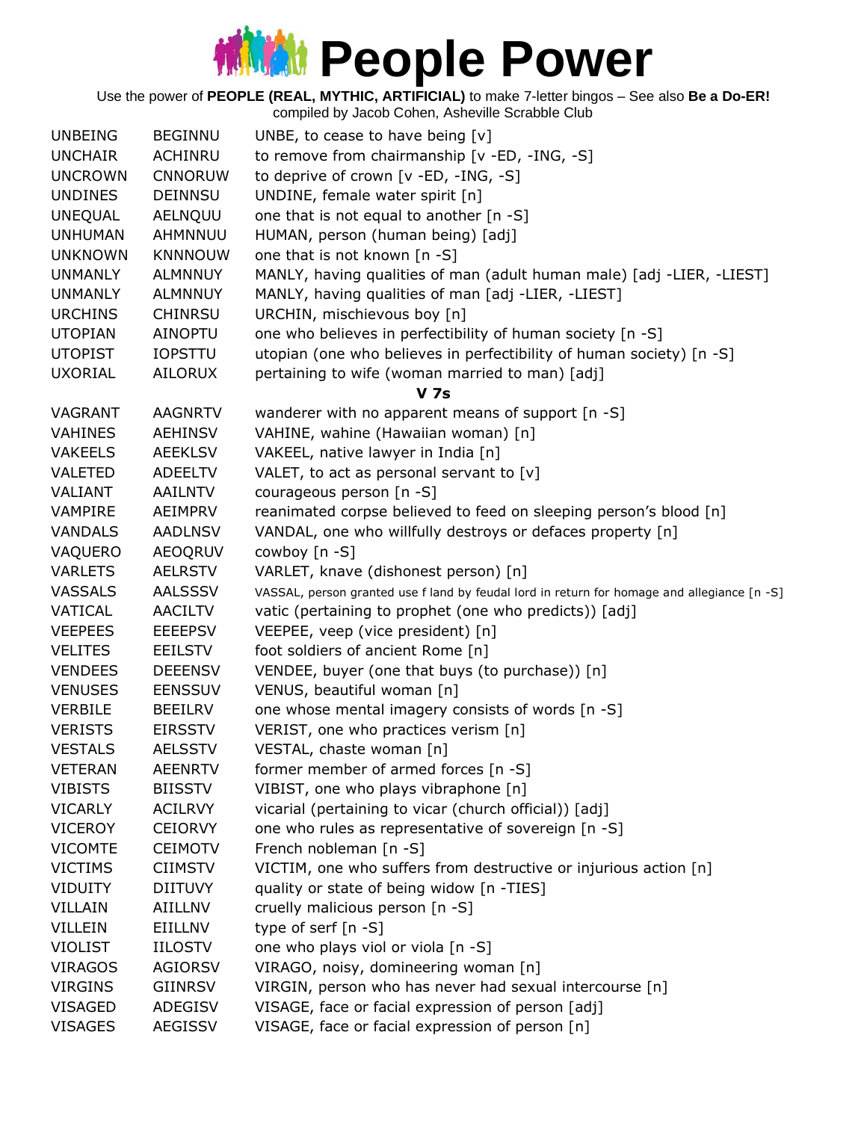Use the power of **PEOPLE (REAL, MYTHIC, ARTIFICIAL)** to make 7-letter bingos – See also **Be a Do-ER!**

| <b>UNBEING</b> | <b>BEGINNU</b> | UNBE, to cease to have being $[v]$                                                          |
|----------------|----------------|---------------------------------------------------------------------------------------------|
| <b>UNCHAIR</b> | ACHINRU        | to remove from chairmanship [v -ED, -ING, -S]                                               |
| <b>UNCROWN</b> | <b>CNNORUW</b> | to deprive of crown [v -ED, -ING, -S]                                                       |
| <b>UNDINES</b> | <b>DEINNSU</b> | UNDINE, female water spirit [n]                                                             |
| <b>UNEQUAL</b> | AELNQUU        | one that is not equal to another [n -S]                                                     |
| <b>UNHUMAN</b> | AHMNNUU        | HUMAN, person (human being) [adj]                                                           |
| <b>UNKNOWN</b> | <b>KNNNOUW</b> | one that is not known [n -S]                                                                |
| <b>UNMANLY</b> | <b>ALMNNUY</b> | MANLY, having qualities of man (adult human male) [adj -LIER, -LIEST]                       |
| <b>UNMANLY</b> | <b>ALMNNUY</b> | MANLY, having qualities of man [adj -LIER, -LIEST]                                          |
| <b>URCHINS</b> | <b>CHINRSU</b> | URCHIN, mischievous boy [n]                                                                 |
| <b>UTOPIAN</b> | <b>AINOPTU</b> | one who believes in perfectibility of human society [n -S]                                  |
| <b>UTOPIST</b> | <b>IOPSTTU</b> | utopian (one who believes in perfectibility of human society) [n -S]                        |
| <b>UXORIAL</b> | AILORUX        | pertaining to wife (woman married to man) [adj]                                             |
|                |                | <b>V</b> 7s                                                                                 |
| VAGRANT        | <b>AAGNRTV</b> | wanderer with no apparent means of support [n -S]                                           |
| <b>VAHINES</b> | <b>AEHINSV</b> | VAHINE, wahine (Hawaiian woman) [n]                                                         |
| <b>VAKEELS</b> | <b>AEEKLSV</b> | VAKEEL, native lawyer in India [n]                                                          |
| VALETED        | <b>ADEELTV</b> | VALET, to act as personal servant to $[v]$                                                  |
| VALIANT        | AAILNTV        | courageous person [n -S]                                                                    |
| VAMPIRE        | AEIMPRV        | reanimated corpse believed to feed on sleeping person's blood [n]                           |
| <b>VANDALS</b> | <b>AADLNSV</b> | VANDAL, one who willfully destroys or defaces property [n]                                  |
| VAQUERO        | <b>AEOQRUV</b> | cowboy [n -S]                                                                               |
| <b>VARLETS</b> | <b>AELRSTV</b> | VARLET, knave (dishonest person) [n]                                                        |
| <b>VASSALS</b> | <b>AALSSSV</b> | VASSAL, person granted use f land by feudal lord in return for homage and allegiance [n -S] |
| VATICAL        | <b>AACILTV</b> | vatic (pertaining to prophet (one who predicts)) [adj]                                      |
| <b>VEEPEES</b> | <b>EEEEPSV</b> | VEEPEE, veep (vice president) [n]                                                           |
| <b>VELITES</b> | <b>EEILSTV</b> | foot soldiers of ancient Rome [n]                                                           |
| <b>VENDEES</b> | <b>DEEENSV</b> | VENDEE, buyer (one that buys (to purchase)) [n]                                             |
| <b>VENUSES</b> | <b>EENSSUV</b> | VENUS, beautiful woman [n]                                                                  |
| <b>VERBILE</b> | <b>BEEILRV</b> | one whose mental imagery consists of words [n -S]                                           |
| <b>VERISTS</b> | <b>EIRSSTV</b> | VERIST, one who practices verism [n]                                                        |
| <b>VESTALS</b> | <b>AELSSTV</b> | VESTAL, chaste woman [n]                                                                    |
| <b>VETERAN</b> | <b>AEENRTV</b> | former member of armed forces [n -S]                                                        |
| <b>VIBISTS</b> | <b>BIISSTV</b> | VIBIST, one who plays vibraphone [n]                                                        |
| <b>VICARLY</b> | <b>ACILRVY</b> | vicarial (pertaining to vicar (church official)) [adj]                                      |
| <b>VICEROY</b> | <b>CEIORVY</b> | one who rules as representative of sovereign [n -S]                                         |
| <b>VICOMTE</b> | <b>CEIMOTV</b> | French nobleman [n -S]                                                                      |
| <b>VICTIMS</b> | <b>CIIMSTV</b> | VICTIM, one who suffers from destructive or injurious action [n]                            |
| <b>VIDUITY</b> | <b>DIITUVY</b> | quality or state of being widow [n -TIES]                                                   |
| VILLAIN        | AIILLNV        | cruelly malicious person [n -S]                                                             |
| VILLEIN        | EIILLNV        | type of serf $[n - S]$                                                                      |
| <b>VIOLIST</b> | <b>IILOSTV</b> | one who plays viol or viola [n -S]                                                          |
| <b>VIRAGOS</b> | <b>AGIORSV</b> | VIRAGO, noisy, domineering woman [n]                                                        |
| <b>VIRGINS</b> | <b>GIINRSV</b> | VIRGIN, person who has never had sexual intercourse [n]                                     |
| VISAGED        | ADEGISV        | VISAGE, face or facial expression of person [adj]                                           |
| <b>VISAGES</b> | <b>AEGISSV</b> | VISAGE, face or facial expression of person [n]                                             |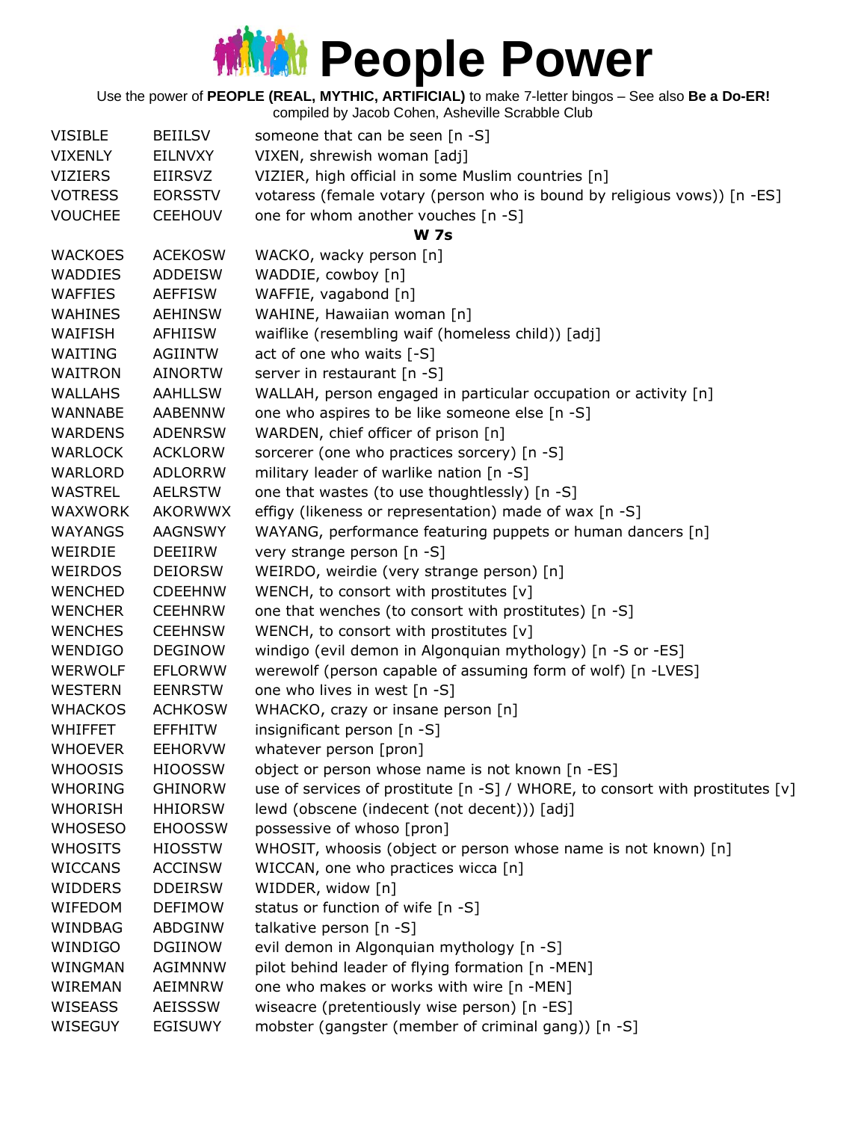Use the power of **PEOPLE (REAL, MYTHIC, ARTIFICIAL)** to make 7-letter bingos – See also **Be a Do-ER!**

| <b>VISIBLE</b> | <b>BEIILSV</b> | someone that can be seen [n -S]                                               |
|----------------|----------------|-------------------------------------------------------------------------------|
| <b>VIXENLY</b> | EILNVXY        | VIXEN, shrewish woman [adj]                                                   |
| <b>VIZIERS</b> | EIIRSVZ        | VIZIER, high official in some Muslim countries [n]                            |
| <b>VOTRESS</b> | <b>EORSSTV</b> | votaress (female votary (person who is bound by religious vows)) [n -ES]      |
| <b>VOUCHEE</b> | <b>CEEHOUV</b> | one for whom another vouches [n -S]                                           |
|                |                | <b>W</b> 7s                                                                   |
| <b>WACKOES</b> | <b>ACEKOSW</b> | WACKO, wacky person [n]                                                       |
| <b>WADDIES</b> | <b>ADDEISW</b> | WADDIE, cowboy [n]                                                            |
| <b>WAFFIES</b> | <b>AEFFISW</b> | WAFFIE, vagabond [n]                                                          |
| <b>WAHINES</b> | <b>AEHINSW</b> | WAHINE, Hawaiian woman [n]                                                    |
| WAIFISH        | <b>AFHIISW</b> | waiflike (resembling waif (homeless child)) [adj]                             |
| WAITING        | <b>AGIINTW</b> | act of one who waits [-S]                                                     |
| <b>WAITRON</b> | <b>AINORTW</b> | server in restaurant [n -S]                                                   |
| <b>WALLAHS</b> | <b>AAHLLSW</b> | WALLAH, person engaged in particular occupation or activity [n]               |
| <b>WANNABE</b> | AABENNW        | one who aspires to be like someone else [n -S]                                |
| <b>WARDENS</b> | <b>ADENRSW</b> | WARDEN, chief officer of prison [n]                                           |
| <b>WARLOCK</b> | <b>ACKLORW</b> | sorcerer (one who practices sorcery) [n -S]                                   |
| WARLORD        | <b>ADLORRW</b> | military leader of warlike nation [n -S]                                      |
| <b>WASTREL</b> | <b>AELRSTW</b> | one that wastes (to use thoughtlessly) [n -S]                                 |
| WAXWORK        | AKORWWX        | effigy (likeness or representation) made of wax [n -S]                        |
| <b>WAYANGS</b> | AAGNSWY        | WAYANG, performance featuring puppets or human dancers [n]                    |
| WEIRDIE        | <b>DEEIIRW</b> | very strange person [n -S]                                                    |
| <b>WEIRDOS</b> | <b>DEIORSW</b> | WEIRDO, weirdie (very strange person) [n]                                     |
| <b>WENCHED</b> | <b>CDEEHNW</b> | WENCH, to consort with prostitutes [v]                                        |
| <b>WENCHER</b> | <b>CEEHNRW</b> | one that wenches (to consort with prostitutes) [n -S]                         |
| <b>WENCHES</b> | <b>CEEHNSW</b> | WENCH, to consort with prostitutes [v]                                        |
| <b>WENDIGO</b> | <b>DEGINOW</b> | windigo (evil demon in Algonquian mythology) [n -S or -ES]                    |
| <b>WERWOLF</b> | <b>EFLORWW</b> | werewolf (person capable of assuming form of wolf) [n -LVES]                  |
| <b>WESTERN</b> | <b>EENRSTW</b> | one who lives in west [n -S]                                                  |
| <b>WHACKOS</b> | <b>ACHKOSW</b> | WHACKO, crazy or insane person [n]                                            |
| <b>WHIFFET</b> | <b>EFFHITW</b> | insignificant person [n -S]                                                   |
| <b>WHOEVER</b> | <b>EEHORVW</b> | whatever person [pron]                                                        |
| <b>WHOOSIS</b> | <b>HIOOSSW</b> | object or person whose name is not known [n -ES]                              |
| <b>WHORING</b> | <b>GHINORW</b> | use of services of prostitute [n -S] / WHORE, to consort with prostitutes [v] |
| <b>WHORISH</b> | <b>HHIORSW</b> | lewd (obscene (indecent (not decent))) [adj]                                  |
| <b>WHOSESO</b> | <b>EHOOSSW</b> | possessive of whoso [pron]                                                    |
| <b>WHOSITS</b> | <b>HIOSSTW</b> | WHOSIT, whoosis (object or person whose name is not known) [n]                |
| <b>WICCANS</b> | <b>ACCINSW</b> | WICCAN, one who practices wicca [n]                                           |
| <b>WIDDERS</b> | <b>DDEIRSW</b> | WIDDER, widow [n]                                                             |
| <b>WIFEDOM</b> | <b>DEFIMOW</b> | status or function of wife [n -S]                                             |
| WINDBAG        | ABDGINW        | talkative person [n -S]                                                       |
| WINDIGO        | <b>DGIINOW</b> | evil demon in Algonquian mythology [n -S]                                     |
| WINGMAN        | <b>AGIMNNW</b> | pilot behind leader of flying formation [n -MEN]                              |
| WIREMAN        | AEIMNRW        | one who makes or works with wire [n -MEN]                                     |
| <b>WISEASS</b> | <b>AEISSSW</b> | wiseacre (pretentiously wise person) [n -ES]                                  |
| WISEGUY        | <b>EGISUWY</b> | mobster (gangster (member of criminal gang)) [n -S]                           |
|                |                |                                                                               |